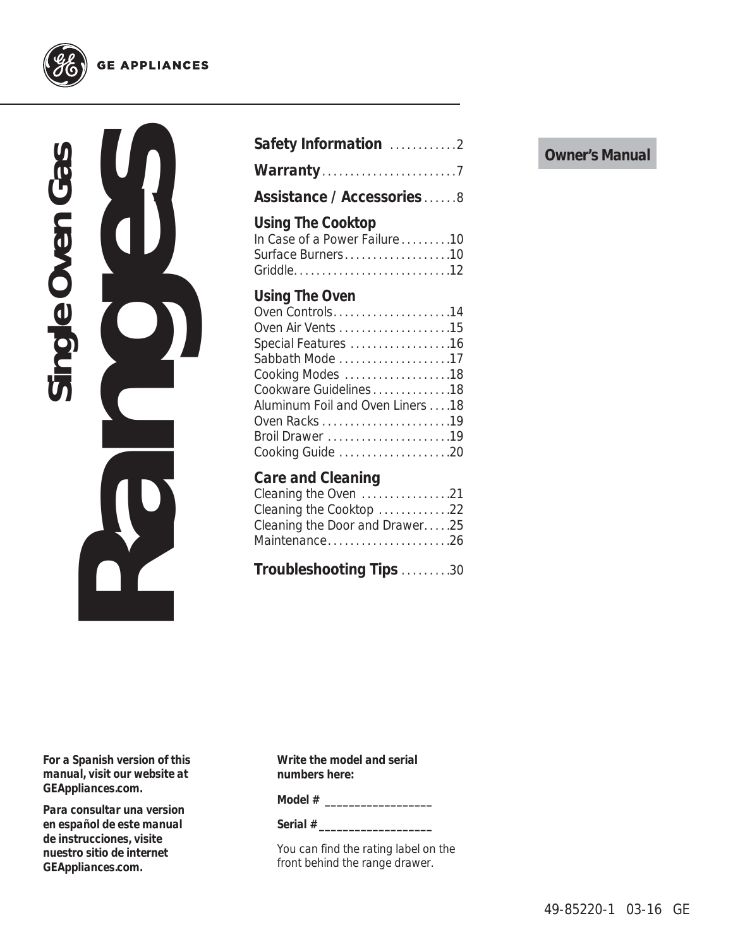

### **GE APPLIANCES**



| Safety Information 2                                                                                                                                           |
|----------------------------------------------------------------------------------------------------------------------------------------------------------------|
|                                                                                                                                                                |
| Assistance / Accessories8                                                                                                                                      |
| Using The Cooktop<br>In Case of a Power Failure10<br>Surface Burners10<br>Using The Oven<br>Oven Controls14                                                    |
| Special Features 16<br>Sabbath Mode 17<br>Cooking Modes 18<br>Cookware Guidelines18<br>Aluminum Foil and Oven Liners 18<br>Broil Drawer 19<br>Cooking Guide 20 |
| Care and Cleaning<br>Cleaning the Oven 21<br>Cleaning the Cooktop 22<br>Cleaning the Door and Drawer25<br>Maintenance26                                        |
| Troubleshooting Tips 30                                                                                                                                        |

*For a Spanish version of this manual, visit our website at GEAppliances.com.*

*Para consultar una version en español de este manual de instrucciones, visite nuestro sitio de internet GEAppliances.com.*

**Write the model and serial numbers here:**

**Model # \_\_\_\_\_\_\_\_\_\_\_\_\_\_\_\_\_\_**

**Serial # \_\_\_\_\_\_\_\_\_\_\_\_\_\_\_\_\_\_\_**

You can find the rating label on the front behind the range drawer.

### **Owner's Manual**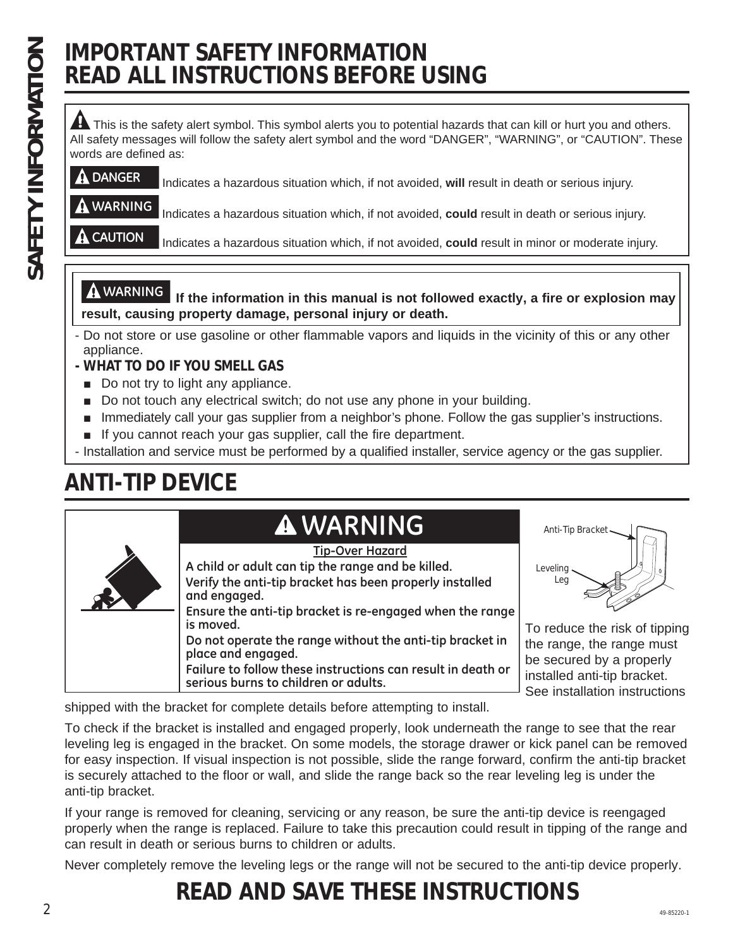# **IMPORTANT SAFETY INFORMATION READ ALL INSTRUCTIONS BEFORE USING**

A This is the safety alert symbol. This symbol alerts you to potential hazards that can kill or hurt you and others. All safety messages will follow the safety alert symbol and the word "DANGER", "WARNING", or "CAUTION". These words are defined as:

## **DANGER** Indicates a hazardous situation which, if not avoided, **will** result in death or serious injury.

**WARNING** Indicates a hazardous situation which, if not avoided, **could** result in death or serious injury.

**CAUTION** Indicates a hazardous situation which, if not avoided, **could** result in minor or moderate injury.

**WARNING If the information in this manual is not followed exactly, a fire or explosion may result, causing property damage, personal injury or death.**

- Do not store or use gasoline or other flammable vapors and liquids in the vicinity of this or any other appliance.
- **WHAT TO DO IF YOU SMELL GAS**
- $\Box$  Do not try to light any appliance.
- Do not touch any electrical switch; do not use any phone in your building.
- **Immediately call your gas supplier from a neighbor's phone. Follow the gas supplier's instructions.**
- $\blacksquare$  If you cannot reach your gas supplier, call the fire department.
- Installation and service must be performed by a qualified installer, service agency or the gas supplier.

# **ANTI-TIP DEVICE**

# **A WARNING** Anti-Tip Bracket

| <b>Tip-Over Hazard</b>                                                                              |                                                              |
|-----------------------------------------------------------------------------------------------------|--------------------------------------------------------------|
| A child or adult can tip the range and be killed.                                                   | Leveling                                                     |
| Verify the anti-tip bracket has been properly installed<br>and engaged.                             | Leg                                                          |
| Ensure the anti-tip bracket is re-engaged when the range<br>is moved.                               | To reduce the risk of tipping                                |
| Do not operate the range without the anti-tip bracket in<br>place and engaged.                      | the range, the range must<br>be secured by a properly        |
| Failure to follow these instructions can result in death or<br>serious burns to children or adults. | installed anti-tip bracket.<br>See installation instructions |
|                                                                                                     |                                                              |

shipped with the bracket for complete details before attempting to install.

To check if the bracket is installed and engaged properly, look underneath the range to see that the rear leveling leg is engaged in the bracket. On some models, the storage drawer or kick panel can be removed for easy inspection. If visual inspection is not possible, slide the range forward, confirm the anti-tip bracket is securely attached to the floor or wall, and slide the range back so the rear leveling leg is under the anti-tip bracket.

If your range is removed for cleaning, servicing or any reason, be sure the anti-tip device is reengaged properly when the range is replaced. Failure to take this precaution could result in tipping of the range and can result in death or serious burns to children or adults.

Never completely remove the leveling legs or the range will not be secured to the anti-tip device properly.

### $2^{49-85220-1}$ **READ AND SAVE THESE INSTRUCTIONS**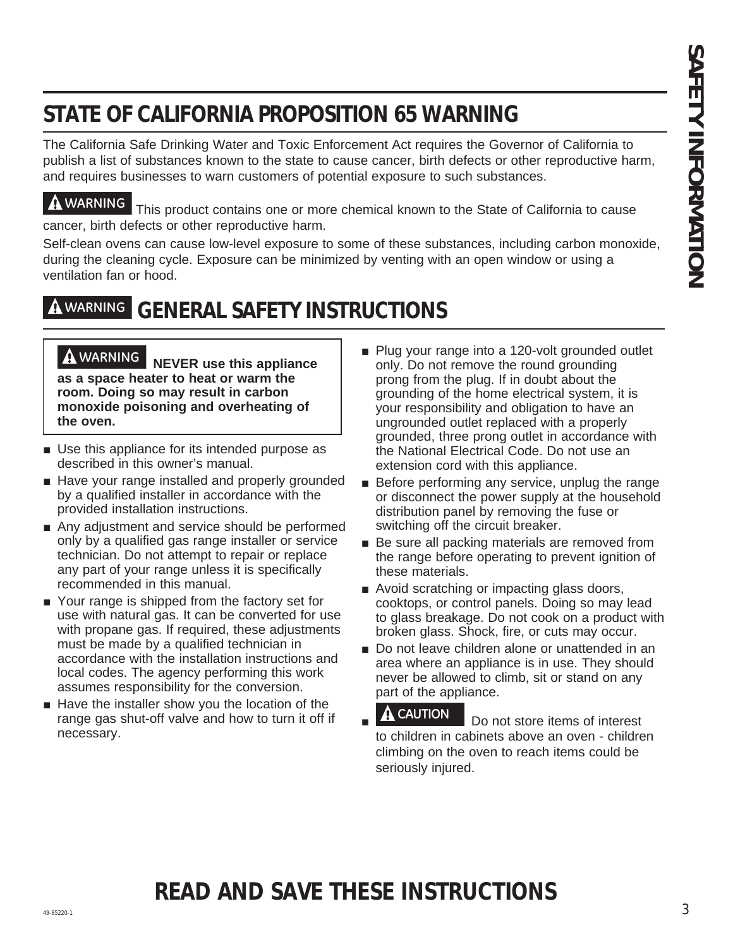# **STATE OF CALIFORNIA PROPOSITION 65 WARNING**

The California Safe Drinking Water and Toxic Enforcement Act requires the Governor of California to publish a list of substances known to the state to cause cancer, birth defects or other reproductive harm, and requires businesses to warn customers of potential exposure to such substances.

**WARNING** This product contains one or more chemical known to the State of California to cause cancer, birth defects or other reproductive harm.

Self-clean ovens can cause low-level exposure to some of these substances, including carbon monoxide, during the cleaning cycle. Exposure can be minimized by venting with an open window or using a ventilation fan or hood.

# **WARNING GENERAL SAFETY INSTRUCTIONS**

 **WARNING NEVER use this appliance as a space heater to heat or warm the room. Doing so may result in carbon monoxide poisoning and overheating of the oven.**

- $\blacksquare$  Use this appliance for its intended purpose as described in this owner's manual.
- Have your range installed and properly grounded by a qualified installer in accordance with the provided installation instructions.
- $\blacksquare$  Any adjustment and service should be performed only by a qualified gas range installer or service technician. Do not attempt to repair or replace any part of your range unless it is specifically recommended in this manual.
- Your range is shipped from the factory set for use with natural gas. It can be converted for use with propane gas. If required, these adjustments must be made by a qualified technician in accordance with the installation instructions and local codes. The agency performing this work assumes responsibility for the conversion.
- $\blacksquare$  Have the installer show you the location of the range gas shut-off valve and how to turn it off if necessary.
- **EXAMINE OF CALIFORNIA PROPOSITION 65 WARNING**<br>
The california sate of prioriteria in the distribution of the second of equation in the Second Valentin B.<br>
The california sate of the california in the second of the second  $\blacksquare$  Plug your range into a 120-volt grounded outlet only. Do not remove the round grounding prong from the plug. If in doubt about the grounding of the home electrical system, it is your responsibility and obligation to have an ungrounded outlet replaced with a properly grounded, three prong outlet in accordance with the National Electrical Code. Do not use an extension cord with this appliance.
	- $\blacksquare$  Before performing any service, unplug the range or disconnect the power supply at the household distribution panel by removing the fuse or switching off the circuit breaker.
	- $\blacksquare$  Be sure all packing materials are removed from the range before operating to prevent ignition of these materials.
	- $\blacksquare$  Avoid scratching or impacting glass doors, cooktops, or control panels. Doing so may lead to glass breakage. Do not cook on a product with broken glass. Shock, fire, or cuts may occur.
	- Do not leave children alone or unattended in an area where an appliance is in use. They should never be allowed to climb, sit or stand on any part of the appliance.
	- Ŷ **A CAUTION** Do not store items of interest to children in cabinets above an oven - children climbing on the oven to reach items could be seriously injured.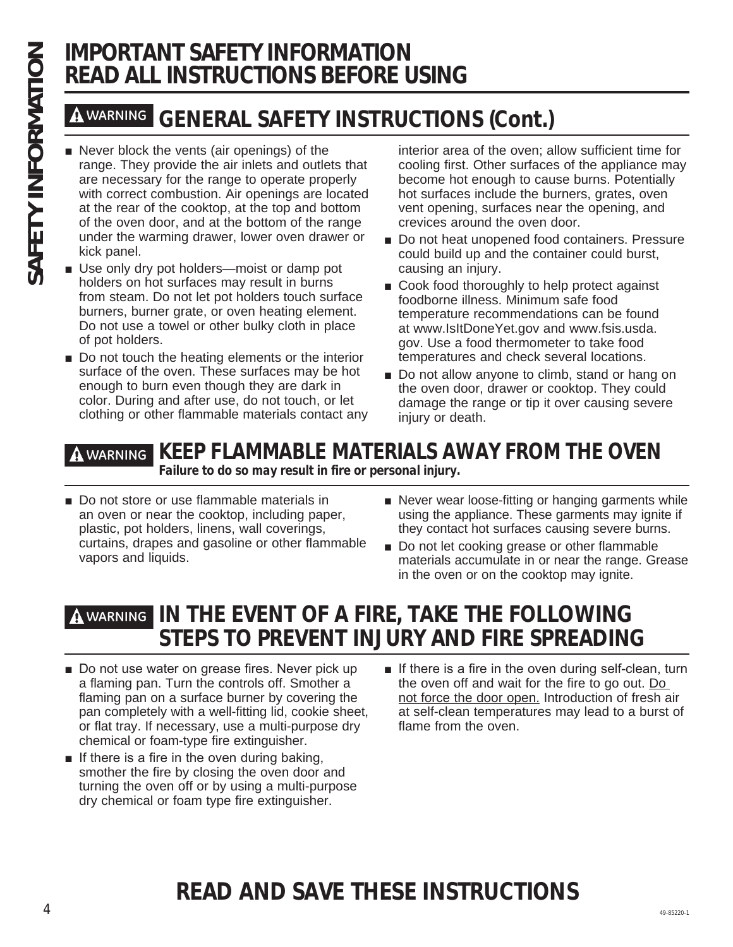# **IMPORTANT SAFETY INFORMATION READ ALL INSTRUCTIONS BEFORE USING**

# **WARNING GENERAL SAFETY INSTRUCTIONS (Cont.)**

- **SAFETY INFORMATIONS B<br>
SAFETY**<br> **SAFETY**<br> **SAFETY**<br> **SAFETY**<br> **SAFETY**<br> **SAFETY**<br> **SAFETY**<br> **SAFETY**<br> **SAFETY**<br> **SAFETY**<br> **SAFETY**<br> **SAFETY**<br> **SAFETY**<br> **SAFETY**<br> **SAFETY**<br> **SAFETY**<br> **SAFETY**<br> **EXAFETY**<br> **EXAFETY**<br> **EXAFET** range. They provide the air inlets and outlets that are necessary for the range to operate properly with correct combustion. Air openings are located at the rear of the cooktop, at the top and bottom of the oven door, and at the bottom of the range under the warming drawer, lower oven drawer or kick panel.
	- Use only dry pot holders—moist or damp pot holders on hot surfaces may result in burns from steam. Do not let pot holders touch surface burners, burner grate, or oven heating element. Do not use a towel or other bulky cloth in place of pot holders.
	- $\blacksquare$  Do not touch the heating elements or the interior surface of the oven. These surfaces may be hot enough to burn even though they are dark in color. During and after use, do not touch, or let clothing or other flammable materials contact any

interior area of the oven; allow sufficient time for cooling first. Other surfaces of the appliance may become hot enough to cause burns. Potentially hot surfaces include the burners, grates, oven vent opening, surfaces near the opening, and crevices around the oven door.

- Do not heat unopened food containers. Pressure could build up and the container could burst, causing an injury.
- $\Box$  Cook food thoroughly to help protect against foodborne illness. Minimum safe food temperature recommendations can be found at www.IsItDoneYet.gov and www.fsis.usda. gov. Use a food thermometer to take food temperatures and check several locations.
- Do not allow anyone to climb, stand or hang on the oven door, drawer or cooktop. They could damage the range or tip it over causing severe injury or death.

# **WARNING KEEP FLAMMABLE MATERIALS AWAY FROM THE OVEN**

**Failure to do so may result in fire or personal injury.**

- Do not store or use flammable materials in an oven or near the cooktop, including paper, plastic, pot holders, linens, wall coverings, curtains, drapes and gasoline or other flammable vapors and liquids.
- $\blacksquare$  Never wear loose-fitting or hanging garments while using the appliance. These garments may ignite if they contact hot surfaces causing severe burns.
- Do not let cooking grease or other flammable materials accumulate in or near the range. Grease in the oven or on the cooktop may ignite.

# **WARNING IN THE EVENT OF A FIRE, TAKE THE FOLLOWING STEPS TO PREVENT INJURY AND FIRE SPREADING**

- Do not use water on grease fires. Never pick up a flaming pan. Turn the controls off. Smother a flaming pan on a surface burner by covering the pan completely with a well-fitting lid, cookie sheet, or flat tray. If necessary, use a multi-purpose dry chemical or foam-type fire extinguisher.
- $\blacksquare$  If there is a fire in the oven during baking, smother the fire by closing the oven door and turning the oven off or by using a multi-purpose dry chemical or foam type fire extinguisher.
- If there is a fire in the oven during self-clean, turn the oven off and wait for the fire to go out. Do not force the door open. Introduction of fresh air at self-clean temperatures may lead to a burst of flame from the oven.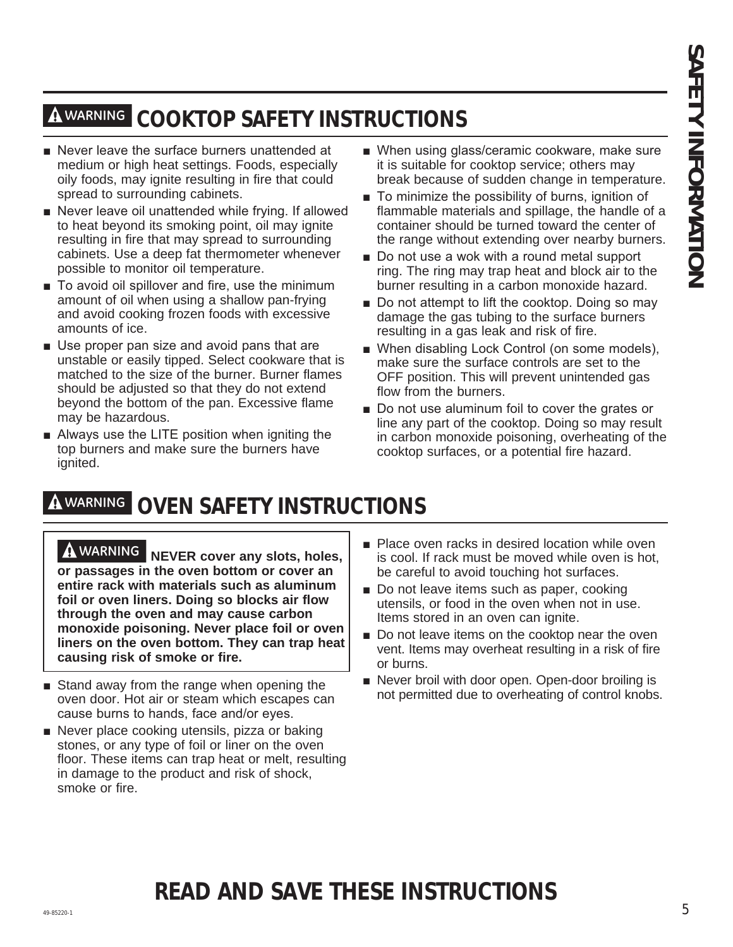# **WARNING COOKTOP SAFETY INSTRUCTIONS**

- Never leave the surface burners unattended at medium or high heat settings. Foods, especially oily foods, may ignite resulting in fire that could spread to surrounding cabinets.
- Never leave oil unattended while frying. If allowed to heat beyond its smoking point, oil may ignite resulting in fire that may spread to surrounding cabinets. Use a deep fat thermometer whenever possible to monitor oil temperature.
- To avoid oil spillover and fire, use the minimum amount of oil when using a shallow pan-frying and avoid cooking frozen foods with excessive amounts of ice.
- Use proper pan size and avoid pans that are unstable or easily tipped. Select cookware that is matched to the size of the burner. Burner flames should be adjusted so that they do not extend beyond the bottom of the pan. Excessive flame may be hazardous.
- $\blacksquare$  Always use the LITE position when igniting the top burners and make sure the burners have ignited.
- When using glass/ceramic cookware, make sure it is suitable for cooktop service; others may break because of sudden change in temperature.
- $\blacksquare$  To minimize the possibility of burns, ignition of flammable materials and spillage, the handle of a container should be turned toward the center of the range without extending over nearby burners.
- Do not use a wok with a round metal support ring. The ring may trap heat and block air to the burner resulting in a carbon monoxide hazard.
- Do not attempt to lift the cooktop. Doing so may damage the gas tubing to the surface burners resulting in a gas leak and risk of fire.
- When disabling Lock Control (on some models), make sure the surface controls are set to the OFF position. This will prevent unintended gas flow from the burners.
- Do not use aluminum foil to cover the grates or line any part of the cooktop. Doing so may result in carbon monoxide poisoning, overheating of the cooktop surfaces, or a potential fire hazard.

# **WARNING OVEN SAFETY INSTRUCTIONS**

**EXAMENDE COOK TOP SAFETY INSTRUCTIONS**<br>
Next learn the state for the state for the state for the state in the state of the state in the state is the state for the state in the state is a state in the state is a state is **WARNING NEVER cover any slots, holes, or passages in the oven bottom or cover an entire rack with materials such as aluminum foil or oven liners. Doing so blocks air flow through the oven and may cause carbon monoxide poisoning. Never place foil or oven liners on the oven bottom. They can trap heat causing risk of smoke or fire.**

- $\blacksquare$  Stand away from the range when opening the oven door. Hot air or steam which escapes can cause burns to hands, face and/or eyes.
- $\blacksquare$  Never place cooking utensils, pizza or baking stones, or any type of foil or liner on the oven floor. These items can trap heat or melt, resulting in damage to the product and risk of shock, smoke or fire.
- $\blacksquare$  Place oven racks in desired location while oven is cool. If rack must be moved while oven is hot, be careful to avoid touching hot surfaces.
- $\blacksquare$  Do not leave items such as paper, cooking utensils, or food in the oven when not in use. Items stored in an oven can ignite.
- $\blacksquare$  Do not leave items on the cooktop near the oven vent. Items may overheat resulting in a risk of fire or burns.
- Never broil with door open. Open-door broiling is not permitted due to overheating of control knobs.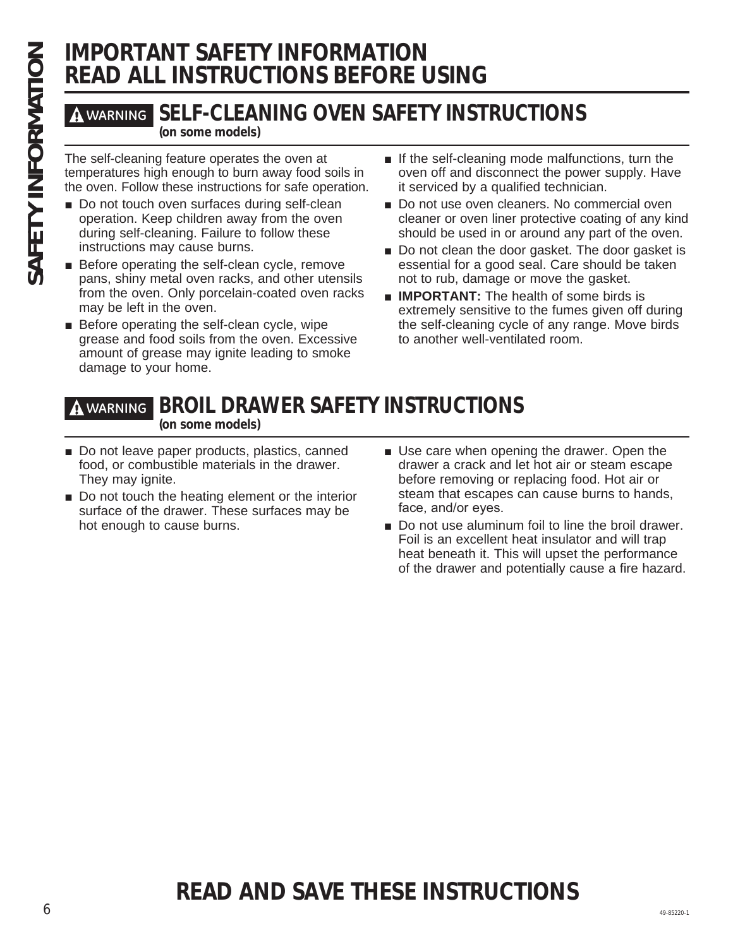# **IMPORTANT SAFETY INFORMATION READ ALL INSTRUCTIONS BEFORE USING**

# **WARNING SELF-CLEANING OVEN SAFETY INSTRUCTIONS**

**(on some models)**

temperatures high enough to burn away food soils in the oven. Follow these instructions for safe operation.

- **SAFETY INFO<br>
SAFETY INFORMATIONS<br>
SELF-CLEANING O'**<br>
(on some models)<br>
The self-cleaning feature operates the oven at<br>
temperatures high enough to burn away food s<br>
the oven. Follow these instructions for safe operation. Do not touch oven surfaces during self-clean operation. Keep children away from the oven during self-cleaning. Failure to follow these instructions may cause burns.
	- $\blacksquare$  Before operating the self-clean cycle, remove pans, shiny metal oven racks, and other utensils from the oven. Only porcelain-coated oven racks may be left in the oven.
	- $\blacksquare$  Before operating the self-clean cycle, wipe grease and food soils from the oven. Excessive amount of grease may ignite leading to smoke damage to your home.
- $\blacksquare$  If the self-cleaning mode malfunctions, turn the oven off and disconnect the power supply. Have it serviced by a qualified technician.
- Do not use oven cleaners. No commercial oven cleaner or oven liner protective coating of any kind should be used in or around any part of the oven.
- Do not clean the door gasket. The door gasket is essential for a good seal. Care should be taken not to rub, damage or move the gasket.
- **IMPORTANT:** The health of some birds is extremely sensitive to the fumes given off during the self-cleaning cycle of any range. Move birds to another well-ventilated room.

### **WARNING BROIL DRAWER SAFETY INSTRUCTIONS (on some models)**

- $\blacksquare$  Do not leave paper products, plastics, canned food, or combustible materials in the drawer. They may ignite.
- $\blacksquare$  Do not touch the heating element or the interior surface of the drawer. These surfaces may be hot enough to cause burns.
- $\blacksquare$  Use care when opening the drawer. Open the drawer a crack and let hot air or steam escape before removing or replacing food. Hot air or steam that escapes can cause burns to hands, face, and/or eyes.
- Do not use aluminum foil to line the broil drawer. Foil is an excellent heat insulator and will trap heat beneath it. This will upset the performance of the drawer and potentially cause a fire hazard.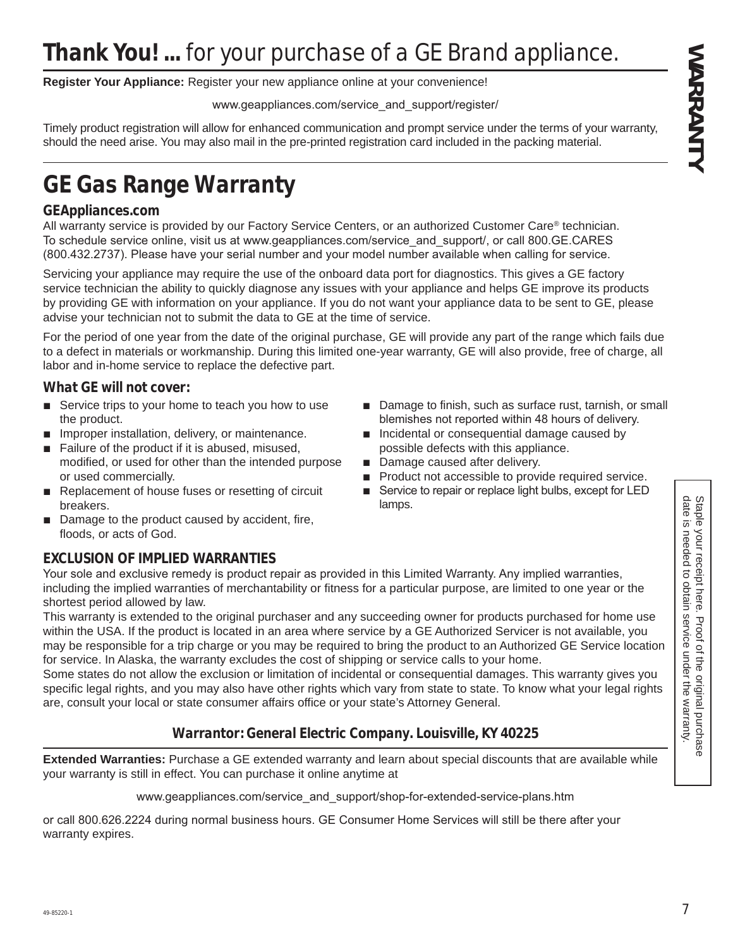**Register Your Appliance:** Register your new appliance online at your convenience!

www.geappliances.com/service\_and\_support/register/

Timely product registration will allow for enhanced communication and prompt service under the terms of your warranty, should the need arise. You may also mail in the pre-printed registration card included in the packing material.

# **GE Gas Range Warranty**

### **GEAppliances.com**

All warranty service is provided by our Factory Service Centers, or an authorized Customer Care® technician. To schedule service online, visit us at www.geappliances.com/service and support/, or call 800.GE.CARES (800.432.2737). Please have your serial number and your model number available when calling for service.

**Thank You!** ... for yout purchase converges for all 6 GE at the method service under the warranty and the original purchase of the original purchase in the warranty. The properties in the warranty of the original purchas Servicing your appliance may require the use of the onboard data port for diagnostics. This gives a GE factory service technician the ability to quickly diagnose any issues with your appliance and helps GE improve its products by providing GE with information on your appliance. If you do not want your appliance data to be sent to GE, please advise your technician not to submit the data to GE at the time of service.

For the period of one year from the date of the original purchase, GE will provide any part of the range which fails due to a defect in materials or workmanship. During this limited one-year warranty, GE will also provide, free of charge, all labor and in-home service to replace the defective part.

### **What GE will not cover:**

- $\blacksquare$  Service trips to your home to teach you how to use the product.
- $\blacksquare$  Improper installation, delivery, or maintenance.
- $\blacksquare$  Failure of the product if it is abused, misused, modified, or used for other than the intended purpose or used commercially.
- Replacement of house fuses or resetting of circuit breakers.
- Damage to the product caused by accident, fire, floods, or acts of God.

### **EXCLUSION OF IMPLIED WARRANTIES**

Your sole and exclusive remedy is product repair as provided in this Limited Warranty. Any implied warranties, including the implied warranties of merchantability or fitness for a particular purpose, are limited to one year or the shortest period allowed by law.

This warranty is extended to the original purchaser and any succeeding owner for products purchased for home use within the USA. If the product is located in an area where service by a GE Authorized Servicer is not available, you may be responsible for a trip charge or you may be required to bring the product to an Authorized GE Service location for service. In Alaska, the warranty excludes the cost of shipping or service calls to your home.

Some states do not allow the exclusion or limitation of incidental or consequential damages. This warranty gives you specific legal rights, and you may also have other rights which vary from state to state. To know what your legal rights are, consult your local or state consumer affairs office or your state's Attorney General.

### **Warrantor: General Electric Company. Louisville, KY 40225**

**Extended Warranties:** Purchase a GE extended warranty and learn about special discounts that are available while your warranty is still in effect. You can purchase it online anytime at

www.geappliances.com/service and support/shop-for-extended-service-plans.htm

or call 800.626.2224 during normal business hours. GE Consumer Home Services will still be there after your warranty expires.

- Damage to finish, such as surface rust, tarnish, or small blemishes not reported within 48 hours of delivery.
- $\blacksquare$  Incidental or consequential damage caused by possible defects with this appliance.
- Damage caused after delivery.
- Product not accessible to provide required service.
- Service to repair or replace light bulbs, except for LED lamps.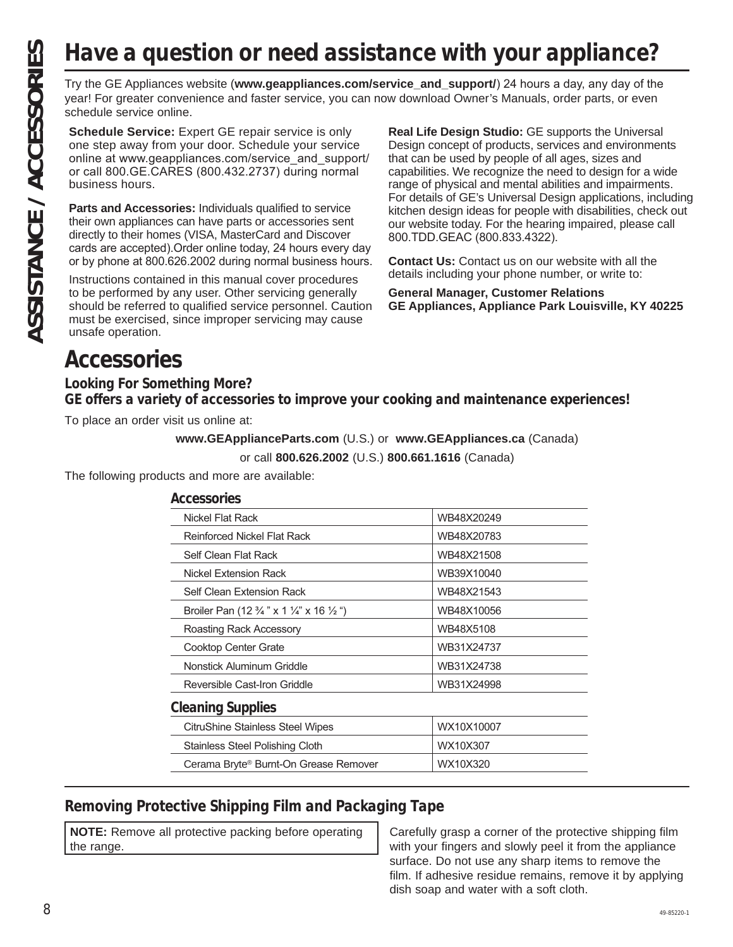# **Have a question or need assistance with your appliance?**

year! For greater convenience and faster service, you can now download Owner's Manuals, order parts, or even schedule service online.

**Schedule Service:** Expert GE repair service is only one step away from your door. Schedule your service online at www.geappliances.com/service\_and\_support/ or call 800.GE.CARES (800.432.2737) during normal business hours.

**Parts and Accessories:** Individuals qualified to service their own appliances can have parts or accessories sent directly to their homes (VISA, MasterCard and Discover cards are accepted). Order online today, 24 hours every day or by phone at 800.626.2002 during normal business hours.

Instructions contained in this manual cover procedures to be performed by any user. Other servicing generally should be referred to qualified service personnel. Caution must be exercised, since improper servicing may cause unsafe operation.

**Real Life Design Studio:** GE supports the Universal Design concept of products, services and environments that can be used by people of all ages, sizes and capabilities. We recognize the need to design for a wide range of physical and mental abilities and impairments. For details of GE's Universal Design applications, including kitchen design ideas for people with disabilities, check out our website today. For the hearing impaired, please call 800.TDD.GEAC (800.833.4322). ASSISTANCE With your appliance?<br>
Try the GE Appliances website (www.geappliances.com/service\_and\_support/) 24 hours a day, any day of the<br>
year! For greater convenience and aster service, you can now download Owner's Manu

**Contact Us:** Contact us on our website with all the details including your phone number, or write to:

**General Manager, Customer Relations GE Appliances, Appliance Park Louisville, KY 40225**

# **Accessories**

**Looking For Something More? GE offers a variety of accessories to improve your cooking and maintenance experiences!**

To place an order visit us online at:

### **www.GEApplianceParts.com** (U.S.) or **www.GEAppliances.ca** (Canada)

or call **800.626.2002** (U.S.) **800.661.1616** (Canada)

The following products and more are available:

| Accessories                                                               |            |
|---------------------------------------------------------------------------|------------|
| Nickel Flat Rack                                                          | WB48X20249 |
| Reinforced Nickel Flat Rack                                               | WB48X20783 |
| Self Clean Flat Rack                                                      | WB48X21508 |
| Nickel Extension Rack                                                     | WB39X10040 |
| Self Clean Extension Rack                                                 | WB48X21543 |
| Broiler Pan (12 $\frac{3}{4}$ " x 1 $\frac{1}{4}$ " x 16 $\frac{1}{2}$ ") | WB48X10056 |
| Roasting Rack Accessory                                                   | WB48X5108  |
| Cooktop Center Grate                                                      | WB31X24737 |
| Nonstick Aluminum Griddle                                                 | WB31X24738 |
| Reversible Cast-Iron Griddle                                              | WB31X24998 |
| <b>Cleaning Supplies</b>                                                  |            |
| <b>CitruShine Stainless Steel Wipes</b>                                   | WX10X10007 |
| Stainless Steel Polishing Cloth                                           | WX10X307   |
| Cerama Bryte® Burnt-On Grease Remover                                     | WX10X320   |

### **Removing Protective Shipping Film and Packaging Tape**

**NOTE:** Remove all protective packing before operating the range.

Carefully grasp a corner of the protective shipping film with your fingers and slowly peel it from the appliance surface. Do not use any sharp items to remove the film. If adhesive residue remains, remove it by applying dish soap and water with a soft cloth.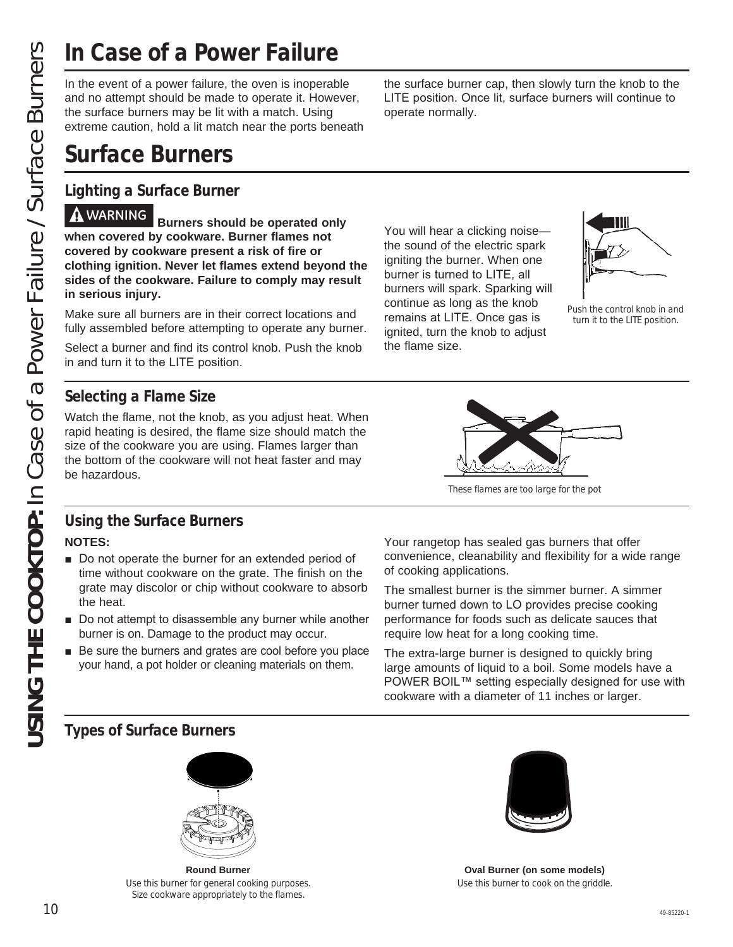and no attempt should be made to operate it. However, the surface burners may be lit with a match. Using extreme caution, hold a lit match near the ports beneath

# **Surface Burners**

### **Lighting a Surface Burner**

<u>USING THE CONSERVICE CONSERVICE CONSERVICE CONSERVICE CONSERVICE CONSERVICE CONSERVICE CONSERVICE CONSERVICE CONSERVICE CONSERVICE CONSERVICE CONSERVICE CONSERVICE CONSERVICE CONSERVICE CONSERVICE CONSERVICE CONSERVICE </u> **WARNING Burners should be operated only when covered by cookware. Burner flames not covered by cookware present a risk of fire or clothing ignition. Never let flames extend beyond the sides of the cookware. Failure to comply may result in serious injury.**

Make sure all burners are in their correct locations and fully assembled before attempting to operate any burner.

Select a burner and find its control knob. Push the knob in and turn it to the LITE position.

### **Selecting a Flame Size**

Watch the flame, not the knob, as you adjust heat. When rapid heating is desired, the flame size should match the size of the cookware you are using. Flames larger than the bottom of the cookware will not heat faster and may be hazardous.

You will hear a clicking noise the sound of the electric spark igniting the burner. When one burner is turned to LITE, all burners will spark. Sparking will continue as long as the knob remains at LITE. Once gas is ignited, turn the knob to adjust

operate normally.

the flame size.



Push the control knob in and turn it to the LITE position.



the surface burner cap, then slowly turn the knob to the LITE position. Once lit, surface burners will continue to

These flames are too large for the pot

### **Using the Surface Burners NOTES:**

- Do not operate the burner for an extended period of time without cookware on the grate. The finish on the grate may discolor or chip without cookware to absorb the heat.
- $\blacksquare$  Do not attempt to disassemble any burner while another burner is on. Damage to the product may occur.
- $\blacksquare$  Be sure the burners and grates are cool before you place your hand, a pot holder or cleaning materials on them.

Your rangetop has sealed gas burners that offer convenience, cleanability and flexibility for a wide range of cooking applications.

The smallest burner is the simmer burner. A simmer burner turned down to LO provides precise cooking performance for foods such as delicate sauces that require low heat for a long cooking time.

The extra-large burner is designed to quickly bring large amounts of liquid to a boil. Some models have a POWER BOIL™ setting especially designed for use with cookware with a diameter of 11 inches or larger.

### **Types of Surface Burners**



**Round Burner** Use this burner for general cooking purposes. Size cookware appropriately to the flames.



**Oval Burner (on some models)** Use this burner to cook on the griddle.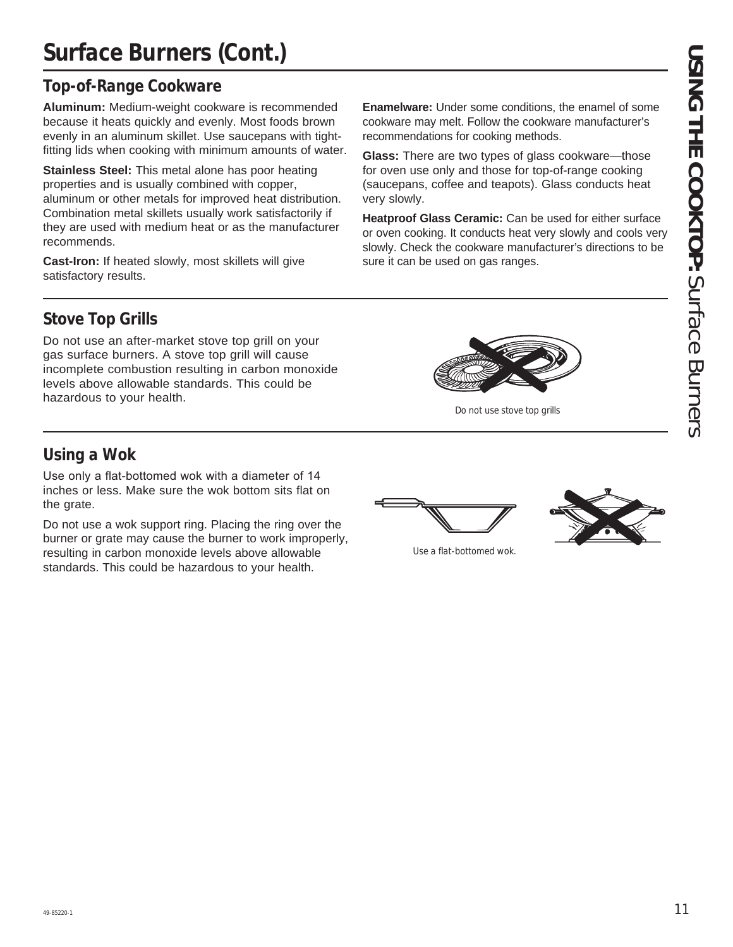# **Surface Burners (Cont.)**

### **Top-of-Range Cookware**

**Aluminum:** Medium-weight cookware is recommended because it heats quickly and evenly. Most foods brown evenly in an aluminum skillet. Use saucepans with tightfitting lids when cooking with minimum amounts of water.

**Stainless Steel:** This metal alone has poor heating properties and is usually combined with copper, aluminum or other metals for improved heat distribution. Combination metal skillets usually work satisfactorily if they are used with medium heat or as the manufacturer recommends.

**Cast-Iron:** If heated slowly, most skillets will give satisfactory results.

**Enamelware:** Under some conditions, the enamel of some cookware may melt. Follow the cookware manufacturer's recommendations for cooking methods.

**Glass:** There are two types of glass cookware—those for oven use only and those for top-of-range cooking (saucepans, coffee and teapots). Glass conducts heat very slowly.

**Heatproof Glass Ceramic:** Can be used for either surface or oven cooking. It conducts heat very slowly and cools very slowly. Check the cookware manufacturer's directions to be sure it can be used on gas ranges.

### **Stove Top Grills**

Do not use an after-market stove top grill on your gas surface burners. A stove top grill will cause incomplete combustion resulting in carbon monoxide levels above allowable standards. This could be hazardous to your health.

### **Using a Wok**

Use only a flat-bottomed wok with a diameter of 14 inches or less. Make sure the wok bottom sits flat on the grate.

Do not use a wok support ring. Placing the ring over the burner or grate may cause the burner to work improperly, resulting in carbon monoxide levels above allowable standards. This could be hazardous to your health.

Use a flat-bottomed wok.



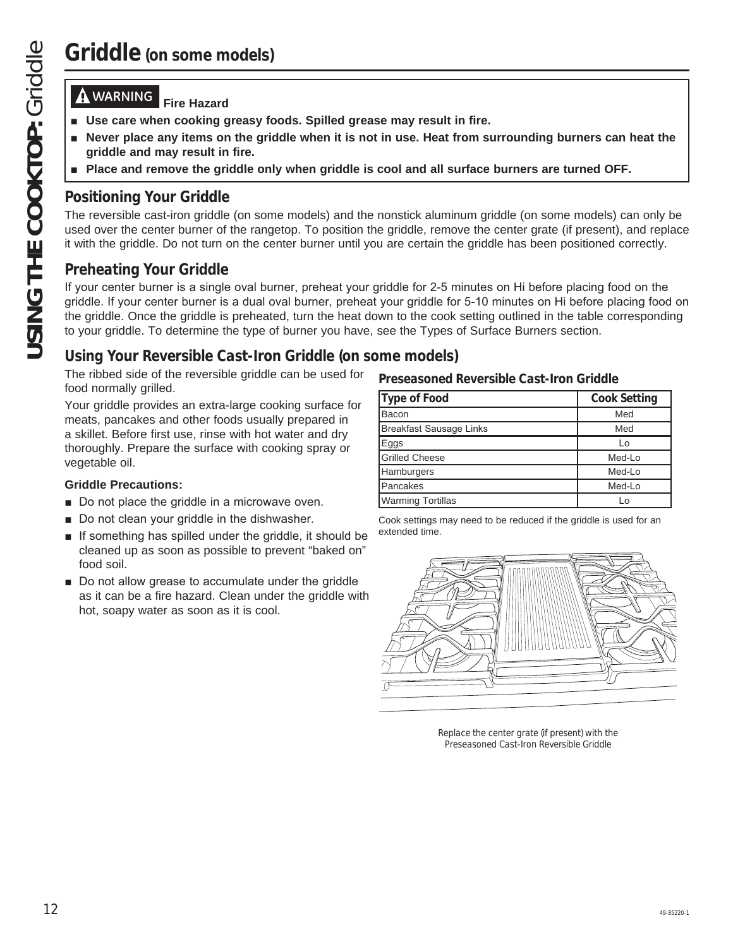### **WARNING Fire Hazard**

- **Example 2 Use care when cooking greasy foods. Spilled grease may result in fire.**
- **Never place any items on the griddle when it is not in use. Heat from surrounding burners can heat the griddle and may result in fire.**
- **Place and remove the griddle only when griddle is cool and all surface burners are turned OFF.**

### **Positioning Your Griddle**

The reversible cast-iron griddle (on some models) and the nonstick aluminum griddle (on some models) can only be used over the center burner of the rangetop. To position the griddle, remove the center grate (if present), and replace it with the griddle. Do not turn on the center burner until you are certain the griddle has been positioned correctly.

### **Preheating Your Griddle**

If your center burner is a single oval burner, preheat your griddle for 2-5 minutes on Hi before placing food on the griddle. If your center burner is a dual oval burner, preheat your griddle for 5-10 minutes on Hi before placing food on the griddle. Once the griddle is preheated, turn the heat down to the cook setting outlined in the table corresponding to your griddle. To determine the type of burner you have, see the Types of Surface Burners section.

### **Using Your Reversible Cast-Iron Griddle (on some models)**

The ribbed side of the reversible griddle can be used for food normally grilled.

Your griddle provides an extra-large cooking surface for meats, pancakes and other foods usually prepared in a skillet. Before first use, rinse with hot water and dry thoroughly. Prepare the surface with cooking spray or vegetable oil.

### **Griddle Precautions:**

- Do not place the griddle in a microwave oven.
- Do not clean your griddle in the dishwasher.
- $\blacksquare$  If something has spilled under the griddle, it should be cleaned up as soon as possible to prevent "baked on" food soil.
- Do not allow grease to accumulate under the griddle as it can be a fire hazard. Clean under the griddle with hot, soapy water as soon as it is cool.

### **Preseasoned Reversible Cast-Iron Griddle**

| Type of Food             | <b>Cook Setting</b> |
|--------------------------|---------------------|
| Bacon                    | Med                 |
| Breakfast Sausage Links  | Med                 |
| Eggs                     | ١o                  |
| <b>Grilled Cheese</b>    | Med-Lo              |
| <b>Hamburgers</b>        | Med-Lo              |
| Pancakes                 | Med-Lo              |
| <b>Warming Tortillas</b> | Iο                  |

Cook settings may need to be reduced if the griddle is used for an extended time.



Replace the center grate (if present) with the Preseasoned Cast-Iron Reversible Griddle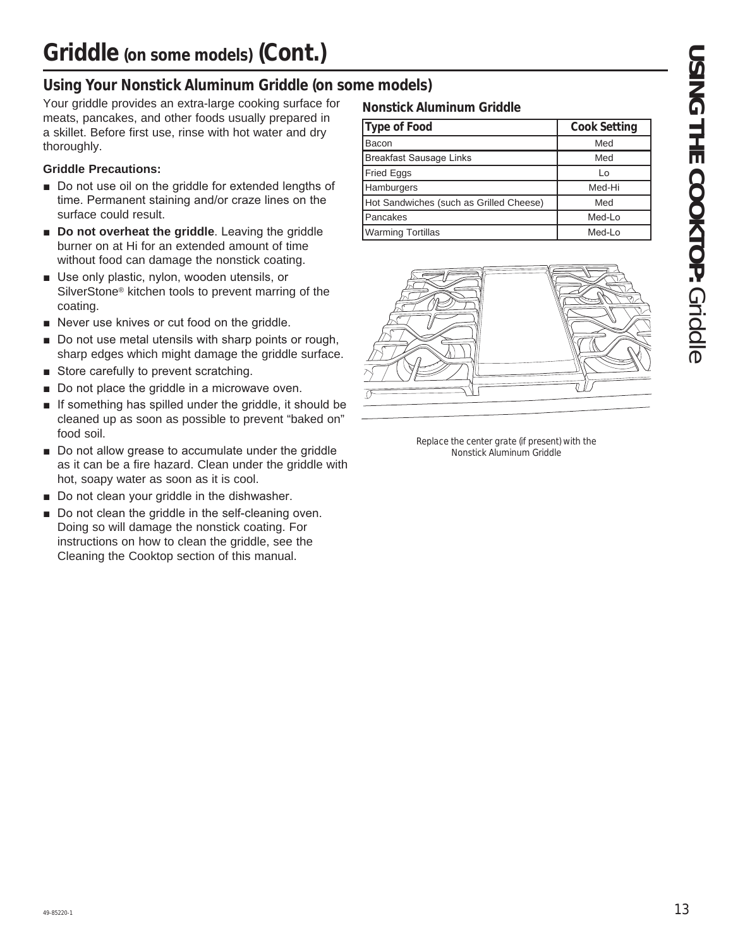### **Using Your Nonstick Aluminum Griddle (on some models)**

Your griddle provides an extra-large cooking surface for meats, pancakes, and other foods usually prepared in a skillet. Before first use, rinse with hot water and dry thoroughly.

### **Griddle Precautions:**

- Do not use oil on the griddle for extended lengths of time. Permanent staining and/or craze lines on the surface could result.
- **Do not overheat the griddle**. Leaving the griddle burner on at Hi for an extended amount of time without food can damage the nonstick coating.
- **B** Use only plastic, nylon, wooden utensils, or SilverStone® kitchen tools to prevent marring of the coating.
- Never use knives or cut food on the griddle.
- Do not use metal utensils with sharp points or rough, sharp edges which might damage the griddle surface.
- Store carefully to prevent scratching.
- Do not place the griddle in a microwave oven.
- $\blacksquare$  If something has spilled under the griddle, it should be cleaned up as soon as possible to prevent "baked on" food soil.
- Do not allow grease to accumulate under the griddle as it can be a fire hazard. Clean under the griddle with hot, soapy water as soon as it is cool.
- Do not clean your griddle in the dishwasher.
- Do not clean the griddle in the self-cleaning oven. Doing so will damage the nonstick coating. For instructions on how to clean the griddle, see the Cleaning the Cooktop section of this manual.

### **Nonstick Aluminum Griddle**

| Type of Food                            | <b>Cook Setting</b> |
|-----------------------------------------|---------------------|
| Bacon                                   | Med                 |
| <b>Breakfast Sausage Links</b>          | Med                 |
| Fried Eggs                              | Lo                  |
| <b>Hamburgers</b>                       | Med-Hi              |
| Hot Sandwiches (such as Grilled Cheese) | Med                 |
| <b>Pancakes</b>                         | Med-Lo              |
| <b>Warming Tortillas</b>                | Med-Lo              |



Replace the center grate (if present) with the Nonstick Aluminum Griddle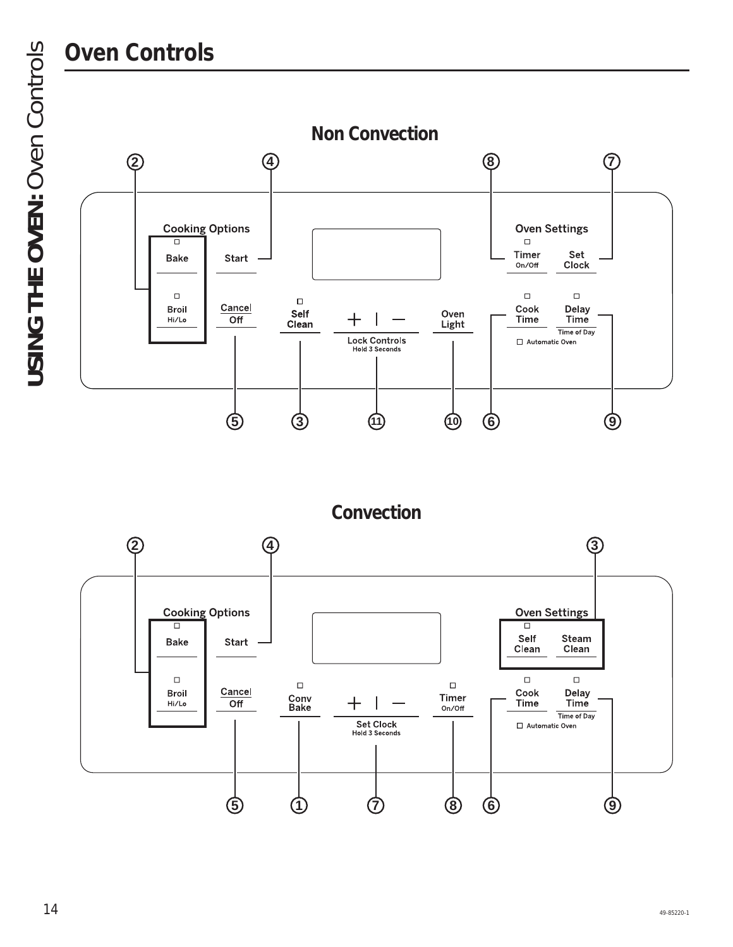# **Oven Controls**

**USING THE OVEN:** Oven Controls **USING THE OVEN: Oven Controls** 



**Convection**

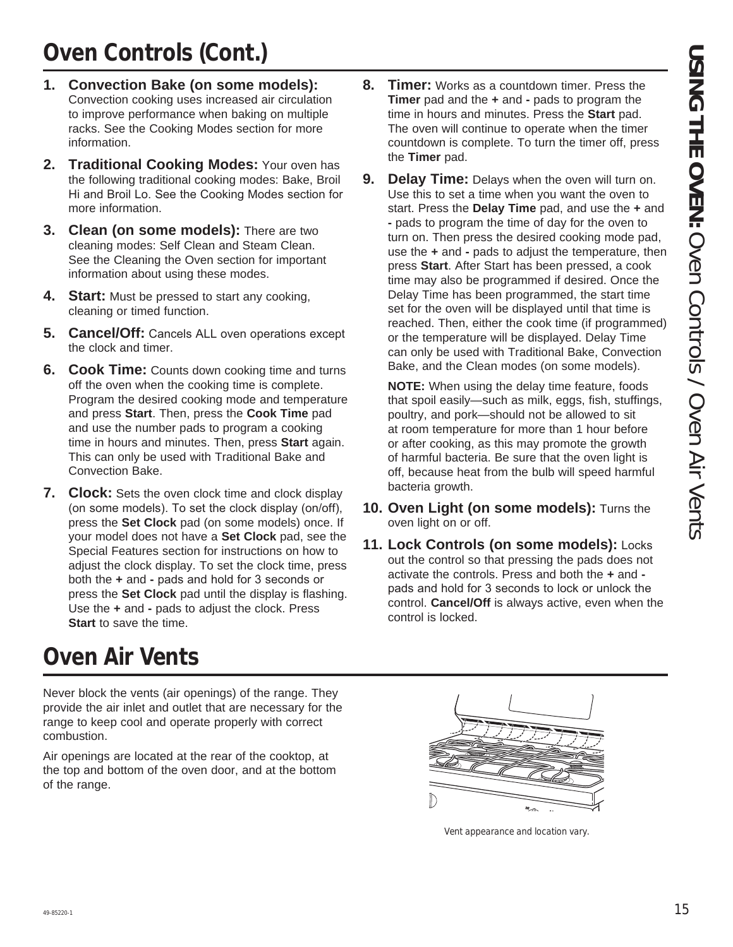# **Oven Controls (Cont.)**

- **1. Convection Bake (on some models):** Convection cooking uses increased air circulation to improve performance when baking on multiple racks. See the Cooking Modes section for more information.
- **2. Traditional Cooking Modes:** Your oven has the following traditional cooking modes: Bake, Broil Hi and Broil Lo. See the Cooking Modes section for more information.
- **3. Clean (on some models):** There are two cleaning modes: Self Clean and Steam Clean. See the Cleaning the Oven section for important information about using these modes.
- **4. Start:** Must be pressed to start any cooking, cleaning or timed function.
- **5. Cancel/Off:** Cancels ALL oven operations except the clock and timer.
- **6. Cook Time:** Counts down cooking time and turns off the oven when the cooking time is complete. Program the desired cooking mode and temperature and press **Start**. Then, press the **Cook Time** pad and use the number pads to program a cooking time in hours and minutes. Then, press **Start** again. This can only be used with Traditional Bake and Convection Bake.
- **7. Clock:** Sets the oven clock time and clock display (on some models). To set the clock display (on/off), press the **Set Clock** pad (on some models) once. If your model does not have a **Set Clock** pad, see the Special Features section for instructions on how to adjust the clock display. To set the clock time, press both the  $+$  and  $-$  pads and hold for 3 seconds or press the **Set Clock** pad until the display is flashing. Use the **+** and **-** pads to adjust the clock. Press **Start** to save the time.

# **Oven Air Vents**

Never block the vents (air openings) of the range. They provide the air inlet and outlet that are necessary for the range to keep cool and operate properly with correct combustion.

Air openings are located at the rear of the cooktop, at the top and bottom of the oven door, and at the bottom of the range.

- **8. Timer:** Works as a countdown timer. Press the **Timer** pad and the **+** and **-** pads to program the time in hours and minutes. Press the **Start** pad. The oven will continue to operate when the timer countdown is complete. To turn the timer off, press the **Timer** pad.
- **9. Delay Time:** Delays when the oven will turn on. Use this to set a time when you want the oven to start. Press the **Delay Time** pad, and use the **+** and **-** pads to program the time of day for the oven to turn on. Then press the desired cooking mode pad, use the **+** and **-** pads to adjust the temperature, then press **Start**. After Start has been pressed, a cook time may also be programmed if desired. Once the Delay Time has been programmed, the start time set for the oven will be displayed until that time is reached. Then, either the cook time (if programmed) or the temperature will be displayed. Delay Time can only be used with Traditional Bake, Convection Bake, and the Clean modes (on some models).

 **NOTE:** When using the delay time feature, foods that spoil easily—such as milk, eggs, fish, stuffings, poultry, and pork—should not be allowed to sit at room temperature for more than 1 hour before or after cooking, as this may promote the growth of harmful bacteria. Be sure that the oven light is off, because heat from the bulb will speed harmful bacteria growth.

- **10. Oven Light (on some models):** Turns the oven light on or off.
- **11. Lock Controls (on some models): Locks** out the control so that pressing the pads does not activate the controls. Press and both the **+** and pads and hold for 3 seconds to lock or unlock the control. **Cancel/Off** is always active, even when the control is locked.



Vent appearance and location vary.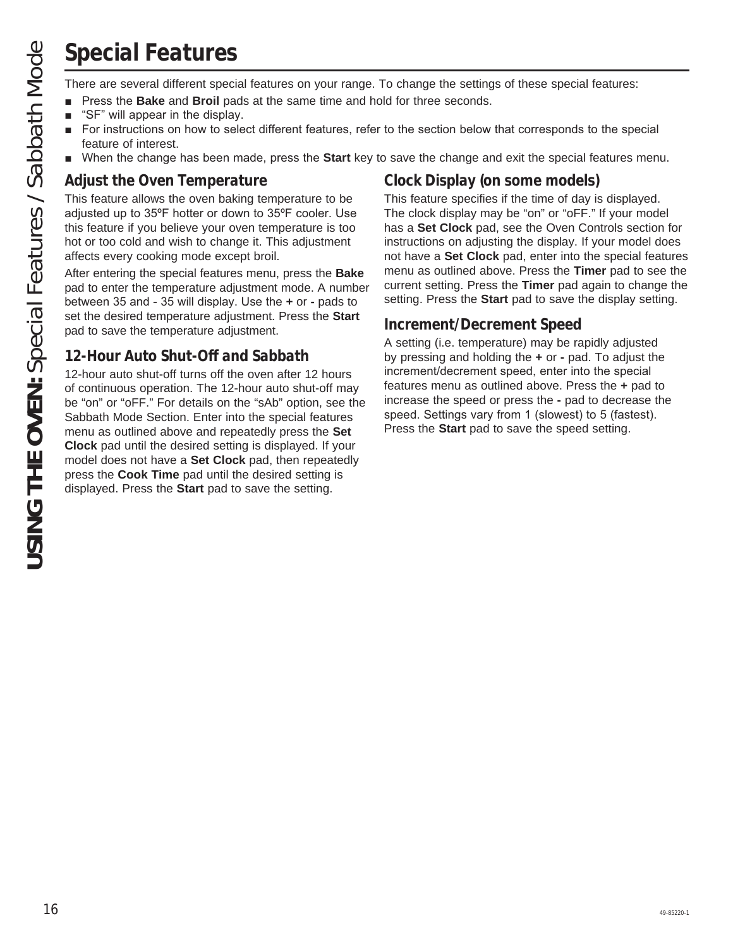# **Special Features**

- Press the **Bake** and **Broil** pads at the same time and hold for three seconds.
- $\blacksquare$  "SF" will appear in the display.
- **F** For instructions on how to select different features, refer to the section below that corresponds to the special feature of interest.
- **N** When the change has been made, press the Start key to save the change and exit the special features menu.

### **Adjust the Oven Temperature**

This feature allows the oven baking temperature to be adjusted up to 35°F hotter or down to 35°F cooler. Use this feature if you believe your oven temperature is too hot or too cold and wish to change it. This adjustment affects every cooking mode except broil.

After entering the special features menu, press the **Bake** pad to enter the temperature adjustment mode. A number between 35 and - 35 will display. Use the  $+$  or - pads to set the desired temperature adjustment. Press the **Start** pad to save the temperature adjustment.

### **12-Hour Auto Shut-Off and Sabbath**

**USING THE ORIGINATION**<br>
There are several different special features on your range. To change the settings of these special features:<br>
The "Prese to Both Ao and Broth Model and there in each dol for three seconds.<br>
The T 12-hour auto shut-off turns off the oven after 12 hours of continuous operation. The 12-hour auto shut-off may be "on" or "oFF." For details on the "sAb" option, see the Sabbath Mode Section. Enter into the special features menu as outlined above and repeatedly press the **Set Clock** pad until the desired setting is displayed. If your model does not have a **Set Clock** pad, then repeatedly press the **Cook Time** pad until the desired setting is displayed. Press the **Start** pad to save the setting.

### **Clock Display (on some models)**

This feature specifies if the time of day is displayed. The clock display may be "on" or "oFF." If your model has a **Set Clock** pad, see the Oven Controls section for instructions on adjusting the display. If your model does not have a **Set Clock** pad, enter into the special features menu as outlined above. Press the **Timer** pad to see the current setting. Press the **Timer** pad again to change the setting. Press the **Start** pad to save the display setting.

### **Increment/Decrement Speed**

A setting (i.e. temperature) may be rapidly adjusted by pressing and holding the **+** or **-** pad. To adjust the increment/decrement speed, enter into the special features menu as outlined above. Press the **+** pad to increase the speed or press the **-** pad to decrease the speed. Settings vary from 1 (slowest) to 5 (fastest). Press the **Start** pad to save the speed setting.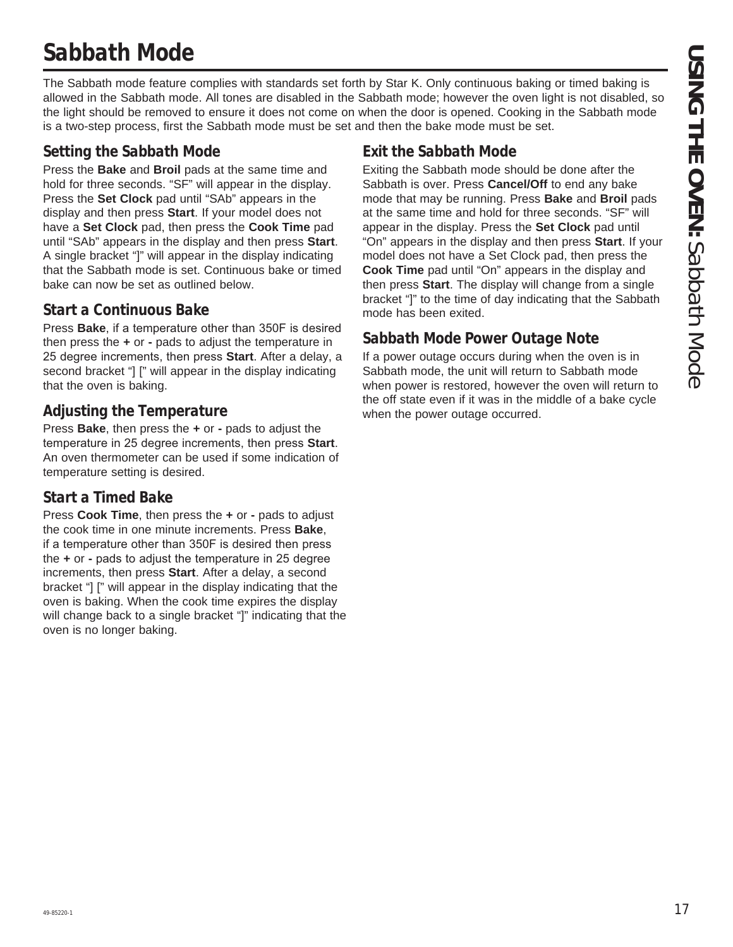# **Sabbath Mode**

The Sabbath mode feature complies with standards set forth by Star K. Only continuous baking or timed baking is allowed in the Sabbath mode. All tones are disabled in the Sabbath mode; however the oven light is not disabled, so the light should be removed to ensure it does not come on when the door is opened. Cooking in the Sabbath mode is a two-step process, first the Sabbath mode must be set and then the bake mode must be set.

### **Setting the Sabbath Mode**

Press the **Bake** and **Broil** pads at the same time and hold for three seconds. "SF" will appear in the display. Press the **Set Clock** pad until "SAb" appears in the display and then press **Start**. If your model does not have a **Set Clock** pad, then press the **Cook Time** pad until "SAb" appears in the display and then press **Start**. A single bracket "]" will appear in the display indicating that the Sabbath mode is set. Continuous bake or timed bake can now be set as outlined below.

### **Start a Continuous Bake**

Press **Bake**, if a temperature other than 350F is desired then press the **+** or **-** pads to adjust the temperature in 25 degree increments, then press **Start**. After a delay, a second bracket "] [" will appear in the display indicating that the oven is baking.

### **Adjusting the Temperature**

Press **Bake**, then press the **+** or **-** pads to adjust the temperature in 25 degree increments, then press Start. An oven thermometer can be used if some indication of temperature setting is desired.

### **Start a Timed Bake**

Press **Cook Time**, then press the **+** or **-** pads to adjust the cook time in one minute increments. Press **Bake**, If a temperature other than 350F is desired then press the **+** or **-** pads to adjust the temperature in 25 degree increments, then press **Start**. After a delay, a second bracket "] [" will appear in the display indicating that the oven is baking. When the cook time expires the display will change back to a single bracket "]" indicating that the oven is no longer baking.

### **Exit the Sabbath Mode**

Exiting the Sabbath mode should be done after the Sabbath is over. Press **Cancel/Off** to end any bake mode that may be running. Press **Bake** and **Broil** pads at the same time and hold for three seconds. "SF" will appear in the display. Press the **Set Clock** pad until "On" appears in the display and then press **Start**. If your model does not have a Set Clock pad, then press the **Cook Time** pad until "On" appears in the display and then press **Start**. The display will change from a single bracket "]" to the time of day indicating that the Sabbath mode has been exited.

### **Sabbath Mode Power Outage Note**

If a power outage occurs during when the oven is in Sabbath mode, the unit will return to Sabbath mode when power is restored, however the oven will return to the off state even if it was in the middle of a bake cycle when the power outage occurred.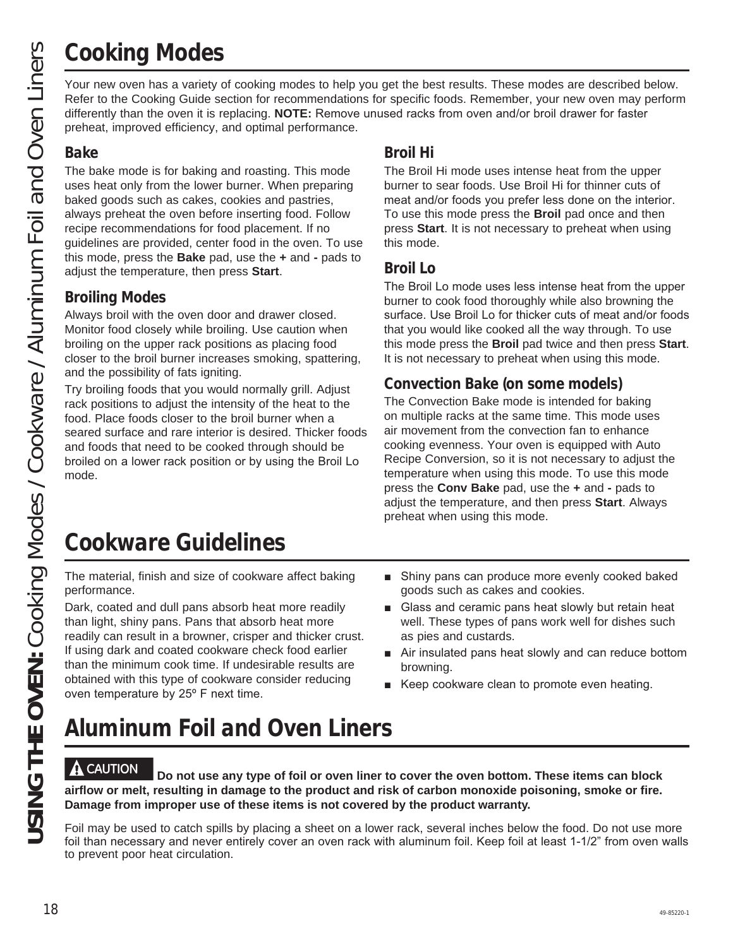# **Cooking Modes**

Your new oven has a variety of cooking modes to help you get the best results. These modes are described below. Refer to the Cooking Guide section for recommendations for specific foods. Remember, your new oven may perform differently than the oven it is replacing. **NOTE:** Remove unused racks from oven and/or broil drawer for faster preheat, improved efficiency, and optimal performance.

### **Bake**

The bake mode is for baking and roasting. This mode uses heat only from the lower burner. When preparing baked goods such as cakes, cookies and pastries, always preheat the oven before inserting food. Follow recipe recommendations for food placement. If no guidelines are provided, center food in the oven. To use this mode, press the **Bake** pad, use the **+** and **-** pads to adjust the temperature, then press **Start**.

### **Broiling Modes**

Always broil with the oven door and drawer closed. Monitor food closely while broiling. Use caution when broiling on the upper rack positions as placing food closer to the broil burner increases smoking, spattering, and the possibility of fats igniting.

Try broiling foods that you would normally grill. Adjust rack positions to adjust the intensity of the heat to the food. Place foods closer to the broil burner when a seared surface and rare interior is desired. Thicker foods and foods that need to be cooked through should be broiled on a lower rack position or by using the Broil Lo mode.

### **Broil Hi**

The Broil Hi mode uses intense heat from the upper burner to sear foods. Use Broil Hi for thinner cuts of meat and/or foods you prefer less done on the interior. To use this mode press the **Broil** pad once and then press **Start**. It is not necessary to preheat when using this mode.

### **Broil Lo**

The Broil Lo mode uses less intense heat from the upper burner to cook food thoroughly while also browning the surface. Use Broil Lo for thicker cuts of meat and/or foods that you would like cooked all the way through. To use this mode press the **Broil** pad twice and then press **Start**. It is not necessary to preheat when using this mode.

### **Convection Bake (on some models)**

The Convection Bake mode is intended for baking on multiple racks at the same time. This mode uses air movement from the convection fan to enhance cooking evenness. Your oven is equipped with Auto Recipe Conversion, so it is not necessary to adjust the temperature when using this mode. To use this mode press the **Conv Bake** pad, use the **+** and **-** pads to adjust the temperature, and then press **Start**. Always preheat when using this mode.

# **Cookware Guidelines**

The material, finish and size of cookware affect baking performance.

Dark, coated and dull pans absorb heat more readily than light, shiny pans. Pans that absorb heat more readily can result in a browner, crisper and thicker crust. If using dark and coated cookware check food earlier than the minimum cook time. If undesirable results are obtained with this type of cookware consider reducing oven temperature by  $25^\circ$  F next time.

- Shiny pans can produce more evenly cooked baked goods such as cakes and cookies.
- Glass and ceramic pans heat slowly but retain heat well. These types of pans work well for dishes such as pies and custards.
- $\blacksquare$  Air insulated pans heat slowly and can reduce bottom browning.
- Keep cookware clean to promote even heating.

# **Aluminum Foil and Oven Liners**

**CAUTION Do not use any type of foil or oven liner to cover the oven bottom. These items can block airflow or melt, resulting in damage to the product and risk of carbon monoxide poisoning, smoke or fire. Damage from improper use of these items is not covered by the product warranty.** 

Foil may be used to catch spills by placing a sheet on a lower rack, several inches below the food. Do not use more foil than necessary and never entirely cover an oven rack with aluminum foil. Keep foil at least 1-1/2" from oven walls to prevent poor heat circulation.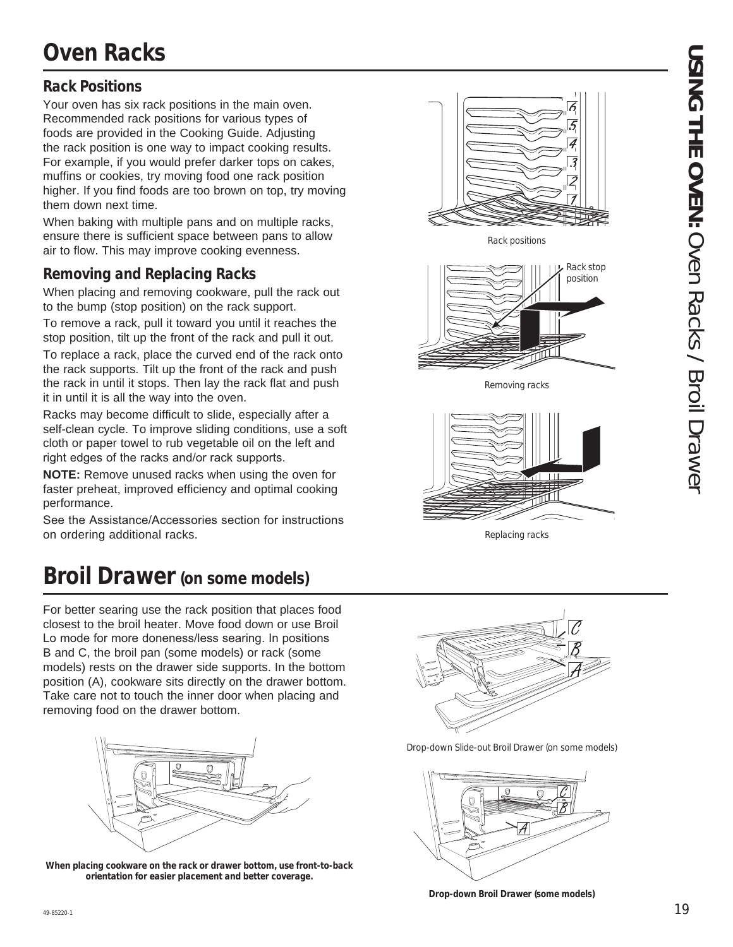### **Rack Positions**

Your oven has six rack positions in the main oven. Recommended rack positions for various types of foods are provided in the Cooking Guide. Adjusting the rack position is one way to impact cooking results. For example, if you would prefer darker tops on cakes, muffins or cookies, try moving food one rack position higher. If you find foods are too brown on top, try moving them down next time.

When baking with multiple pans and on multiple racks, ensure there is sufficient space between pans to allow air to flow. This may improve cooking evenness.

### **Removing and Replacing Racks**

When placing and removing cookware, pull the rack out to the bump (stop position) on the rack support.

To remove a rack, pull it toward you until it reaches the stop position, tilt up the front of the rack and pull it out.

To replace a rack, place the curved end of the rack onto the rack supports. Tilt up the front of the rack and push the rack in until it stops. Then lay the rack flat and push it in until it is all the way into the oven.

Racks may become difficult to slide, especially after a self-clean cycle. To improve sliding conditions, use a soft cloth or paper towel to rub vegetable oil on the left and right edges of the racks and/or rack supports.

**NOTE:** Remove unused racks when using the oven for faster preheat, improved efficiency and optimal cooking performance.

See the Assistance/Accessories section for instructions on ordering additional racks.

# **Broil Drawer (on some models)**

For better searing use the rack position that places food closest to the broil heater. Move food down or use Broil Lo mode for more doneness/less searing. In positions B and C, the broil pan (some models) or rack (some models) rests on the drawer side supports. In the bottom position (A), cookware sits directly on the drawer bottom. Take care not to touch the inner door when placing and removing food on the drawer bottom.



**When placing cookware on the rack or drawer bottom, use front-to-back orientation for easier placement and better coverage.**



Drop-down Slide-out Broil Drawer (on some models)



**Drop-down Broil Drawer (some models)**



Rack positions



Removing racks



Replacing racks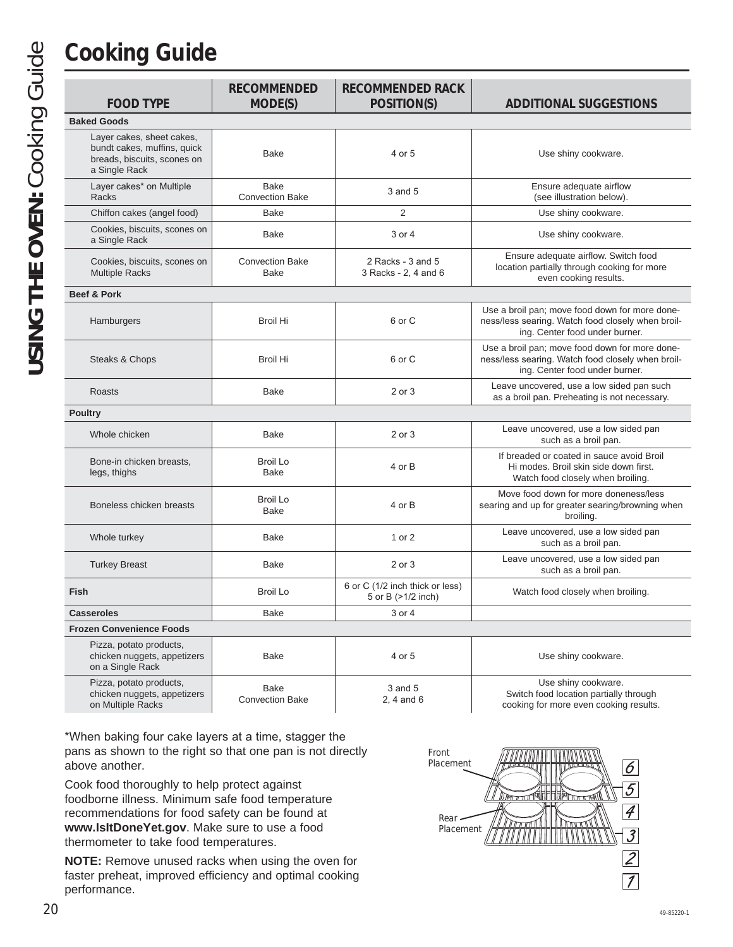# **Cooking Guide**

**USING THE OVEN:** Cooking Guide

USING THE OVEN: Cooking Guide

|                                                                                                          | <b>RECOMMENDED</b>                    | <b>RECOMMENDED RACK</b>                               |                                                                                                                                       |
|----------------------------------------------------------------------------------------------------------|---------------------------------------|-------------------------------------------------------|---------------------------------------------------------------------------------------------------------------------------------------|
| <b>FOOD TYPE</b>                                                                                         | MODE(S)                               | POSITION(S)                                           | <b>ADDITIONAL SUGGESTIONS</b>                                                                                                         |
| <b>Baked Goods</b>                                                                                       |                                       |                                                       |                                                                                                                                       |
| Layer cakes, sheet cakes,<br>bundt cakes, muffins, quick<br>breads, biscuits, scones on<br>a Single Rack | <b>Bake</b>                           | 4 or 5                                                | Use shiny cookware.                                                                                                                   |
| Layer cakes* on Multiple<br><b>Racks</b>                                                                 | <b>Bake</b><br><b>Convection Bake</b> | 3 and 5                                               | Ensure adequate airflow<br>(see illustration below).                                                                                  |
| Chiffon cakes (angel food)                                                                               | Bake                                  | 2                                                     | Use shiny cookware.                                                                                                                   |
| Cookies, biscuits, scones on<br>a Single Rack                                                            | Bake                                  | 3 or 4                                                | Use shiny cookware.                                                                                                                   |
| Cookies, biscuits, scones on<br><b>Multiple Racks</b>                                                    | <b>Convection Bake</b><br><b>Bake</b> | 2 Racks - 3 and 5<br>3 Racks - 2, 4 and 6             | Ensure adequate airflow. Switch food<br>location partially through cooking for more<br>even cooking results.                          |
| <b>Beef &amp; Pork</b>                                                                                   |                                       |                                                       |                                                                                                                                       |
| Hamburgers                                                                                               | <b>Broil Hi</b>                       | 6 or C                                                | Use a broil pan; move food down for more done-<br>ness/less searing. Watch food closely when broil-<br>ing. Center food under burner. |
| Steaks & Chops                                                                                           | <b>Broil Hi</b>                       | 6 or C                                                | Use a broil pan; move food down for more done-<br>ness/less searing. Watch food closely when broil-<br>ing. Center food under burner. |
| <b>Roasts</b>                                                                                            | <b>Bake</b>                           | 2 or 3                                                | Leave uncovered, use a low sided pan such<br>as a broil pan. Preheating is not necessary.                                             |
| <b>Poultry</b>                                                                                           |                                       |                                                       |                                                                                                                                       |
| Whole chicken                                                                                            | <b>Bake</b>                           | 2 or 3                                                | Leave uncovered, use a low sided pan<br>such as a broil pan.                                                                          |
| Bone-in chicken breasts,<br>legs, thighs                                                                 | <b>Broil Lo</b><br><b>Bake</b>        | 4 or B                                                | If breaded or coated in sauce avoid Broil<br>Hi modes. Broil skin side down first.<br>Watch food closely when broiling.               |
| Boneless chicken breasts                                                                                 | <b>Broil Lo</b><br><b>Bake</b>        | 4 or B                                                | Move food down for more doneness/less<br>searing and up for greater searing/browning when<br>broiling.                                |
| Whole turkey                                                                                             | Bake                                  | 1 or 2                                                | Leave uncovered, use a low sided pan<br>such as a broil pan.                                                                          |
| <b>Turkey Breast</b>                                                                                     | <b>Bake</b>                           | 2 or 3                                                | Leave uncovered, use a low sided pan<br>such as a broil pan.                                                                          |
| <b>Fish</b>                                                                                              | <b>Broil Lo</b>                       | 6 or C (1/2 inch thick or less)<br>5 or B (>1/2 inch) | Watch food closely when broiling.                                                                                                     |
| <b>Casseroles</b>                                                                                        | <b>Bake</b>                           | 3 or 4                                                |                                                                                                                                       |
| <b>Frozen Convenience Foods</b>                                                                          |                                       |                                                       |                                                                                                                                       |
| Pizza, potato products,<br>chicken nuggets, appetizers<br>on a Single Rack                               | <b>Bake</b>                           | 4 or 5                                                | Use shiny cookware.                                                                                                                   |
| Pizza, potato products,                                                                                  | <b>Bake</b>                           | $3$ and $5$                                           | Use shiny cookware.                                                                                                                   |

 $2, 4$  and 6

Switch food location partially through cooking for more even cooking results.

\*When baking four cake layers at a time, stagger the pans as shown to the right so that one pan is not directly above another.

Convection Bake

Cook food thoroughly to help protect against foodborne illness. Minimum safe food temperature recommendations for food safety can be found at **www.IsItDoneYet.gov**. Make sure to use a food thermometer to take food temperatures.

chicken nuggets, appetizers on Multiple Racks

**NOTE:** Remove unused racks when using the oven for faster preheat, improved efficiency and optimal cooking performance.

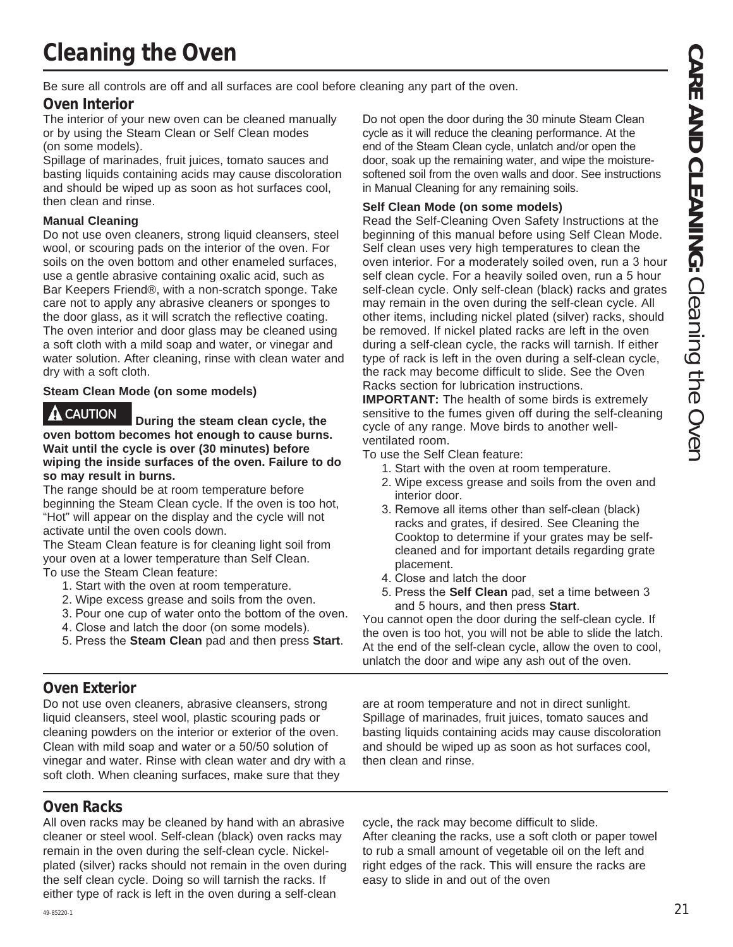# **Cleaning the Oven**

Be sure all controls are off and all surfaces are cool before cleaning any part of the oven.

### **Oven Interior**

The interior of your new oven can be cleaned manually or by using the Steam Clean or Self Clean modes (on some models).

Spillage of marinades, fruit juices, tomato sauces and basting liquids containing acids may cause discoloration and should be wiped up as soon as hot surfaces cool, then clean and rinse.

### **Manual Cleaning**

Do not use oven cleaners, strong liquid cleansers, steel wool, or scouring pads on the interior of the oven. For soils on the oven bottom and other enameled surfaces, use a gentle abrasive containing oxalic acid, such as Bar Keepers Friend®, with a non-scratch sponge. Take care not to apply any abrasive cleaners or sponges to the door glass, as it will scratch the reflective coating. The oven interior and door glass may be cleaned using a soft cloth with a mild soap and water, or vinegar and water solution. After cleaning, rinse with clean water and dry with a soft cloth.

### **Steam Clean Mode (on some models)**

**CAUTION During the steam clean cycle, the oven bottom becomes hot enough to cause burns. Wait until the cycle is over (30 minutes) before wiping the inside surfaces of the oven. Failure to do so may result in burns.**

The range should be at room temperature before beginning the Steam Clean cycle. If the oven is too hot, "Hot" will appear on the display and the cycle will not activate until the oven cools down.

The Steam Clean feature is for cleaning light soil from your oven at a lower temperature than Self Clean. To use the Steam Clean feature:

- 1. Start with the oven at room temperature.
- 2. Wipe excess grease and soils from the oven.
- 3. Pour one cup of water onto the bottom of the oven.
- 4. Close and latch the door (on some models).
- 5. Press the **Steam Clean** pad and then press **Start**.

### **Oven Exterior**

Do not use oven cleaners, abrasive cleansers, strong liquid cleansers, steel wool, plastic scouring pads or cleaning powders on the interior or exterior of the oven. Clean with mild soap and water or a 50/50 solution of vinegar and water. Rinse with clean water and dry with a soft cloth. When cleaning surfaces, make sure that they

### **Oven Racks**

All oven racks may be cleaned by hand with an abrasive cleaner or steel wool. Self-clean (black) oven racks may remain in the oven during the self-clean cycle. Nickelplated (silver) racks should not remain in the oven during the self clean cycle. Doing so will tarnish the racks. If either type of rack is left in the oven during a self-clean

Do not open the door during the 30 minute Steam Clean cycle as it will reduce the cleaning performance. At the end of the Steam Clean cycle, unlatch and/or open the door, soak up the remaining water, and wipe the moisturesoftened soil from the oven walls and door. See instructions in Manual Cleaning for any remaining soils.

### **Self Clean Mode (on some models)**

Read the Self-Cleaning Oven Safety Instructions at the beginning of this manual before using Self Clean Mode. Self clean uses very high temperatures to clean the oven interior. For a moderately soiled oven, run a 3 hour self clean cycle. For a heavily soiled oven, run a 5 hour self-clean cycle. Only self-clean (black) racks and grates may remain in the oven during the self-clean cycle. All other items, including nickel plated (silver) racks, should be removed. If nickel plated racks are left in the oven during a self-clean cycle, the racks will tarnish. If either type of rack is left in the oven during a self-clean cycle, the rack may become difficult to slide. See the Oven Racks section for lubrication instructions.

**IMPORTANT:** The health of some birds is extremely sensitive to the fumes given off during the self-cleaning cycle of any range. Move birds to another wellventilated room.

To use the Self Clean feature:

- 1. Start with the oven at room temperature.
- 2. Wipe excess grease and soils from the oven and interior door.
- 3. Remove all items other than self-clean (black) racks and grates, if desired. See Cleaning the Cooktop to determine if your grates may be selfcleaned and for important details regarding grate placement.
- 4. Close and latch the door
- 5. Press the **Self Clean** pad, set a time between 3 and 5 hours, and then press **Start**.

You cannot open the door during the self-clean cycle. If the oven is too hot, you will not be able to slide the latch. At the end of the self-clean cycle, allow the oven to cool, unlatch the door and wipe any ash out of the oven.

are at room temperature and not in direct sunlight. Spillage of marinades, fruit juices, tomato sauces and basting liquids containing acids may cause discoloration and should be wiped up as soon as hot surfaces cool, then clean and rinse.

cycle, the rack may become difficult to slide. After cleaning the racks, use a soft cloth or paper towel to rub a small amount of vegetable oil on the left and right edges of the rack. This will ensure the racks are easy to slide in and out of the oven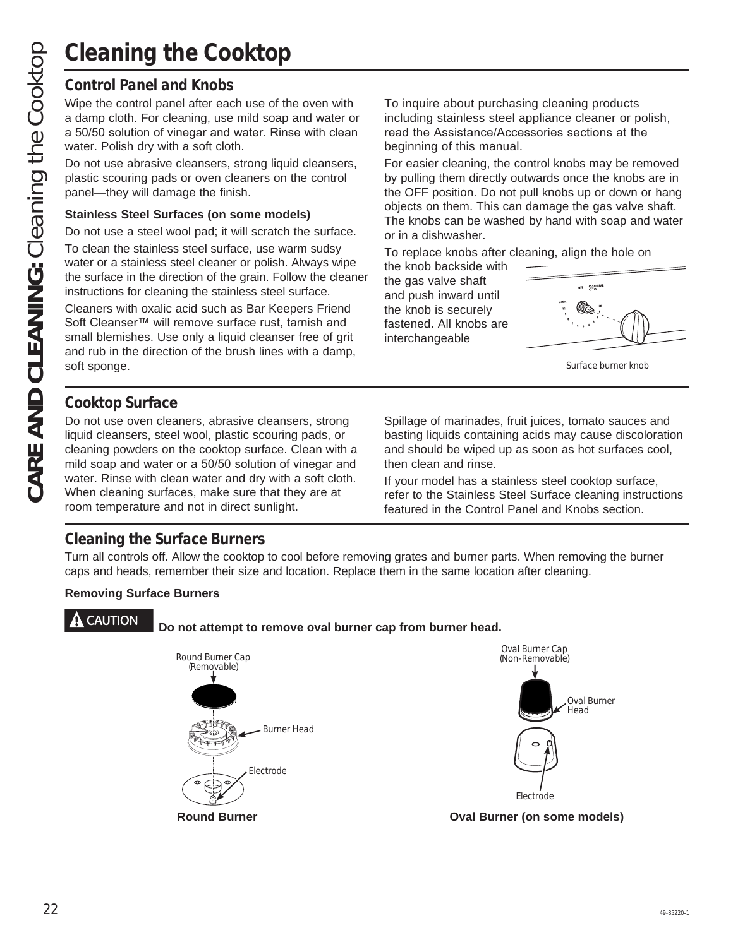### **Control Panel and Knobs**

Wipe the control panel after each use of the oven with a damp cloth. For cleaning, use mild soap and water or a 50/50 solution of vinegar and water. Rinse with clean water. Polish dry with a soft cloth.

Do not use abrasive cleansers, strong liquid cleansers, plastic scouring pads or oven cleaners on the control panel—they will damage the finish.

### **Stainless Steel Surfaces (on some models)**

Do not use a steel wool pad; it will scratch the surface.

To clean the stainless steel surface, use warm sudsy water or a stainless steel cleaner or polish. Always wipe the surface in the direction of the grain. Follow the cleaner instructions for cleaning the stainless steel surface.

Cleaners with oxalic acid such as Bar Keepers Friend Soft Cleanser™ will remove surface rust, tarnish and small blemishes. Use only a liquid cleanser free of grit and rub in the direction of the brush lines with a damp, soft sponge.

To inquire about purchasing cleaning products including stainless steel appliance cleaner or polish, read the Assistance/Accessories sections at the beginning of this manual.

For easier cleaning, the control knobs may be removed by pulling them directly outwards once the knobs are in the OFF position. Do not pull knobs up or down or hang objects on them. This can damage the gas valve shaft. The knobs can be washed by hand with soap and water or in a dishwasher.

To replace knobs after cleaning, align the hole on

the knob backside with the gas valve shaft and push inward until the knob is securely fastened. All knobs are interchangeable



Surface burner knob

### **Cooktop Surface**

Do not use oven cleaners, abrasive cleansers, strong liquid cleansers, steel wool, plastic scouring pads, or cleaning powders on the cooktop surface. Clean with a mild soap and water or a 50/50 solution of vinegar and water. Rinse with clean water and dry with a soft cloth. When cleaning surfaces, make sure that they are at room temperature and not in direct sunlight.

Spillage of marinades, fruit juices, tomato sauces and basting liquids containing acids may cause discoloration and should be wiped up as soon as hot surfaces cool, then clean and rinse.

If your model has a stainless steel cooktop surface, refer to the Stainless Steel Surface cleaning instructions featured in the Control Panel and Knobs section.

### **Cleaning the Surface Burners**

Turn all controls off. Allow the cooktop to cool before removing grates and burner parts. When removing the burner caps and heads, remember their size and location. Replace them in the same location after cleaning.

### **Removing Surface Burners**

### **CAUTION Do not attempt to remove oval burner cap from burner head.**





**Round Burner Oval Burner (on some models)**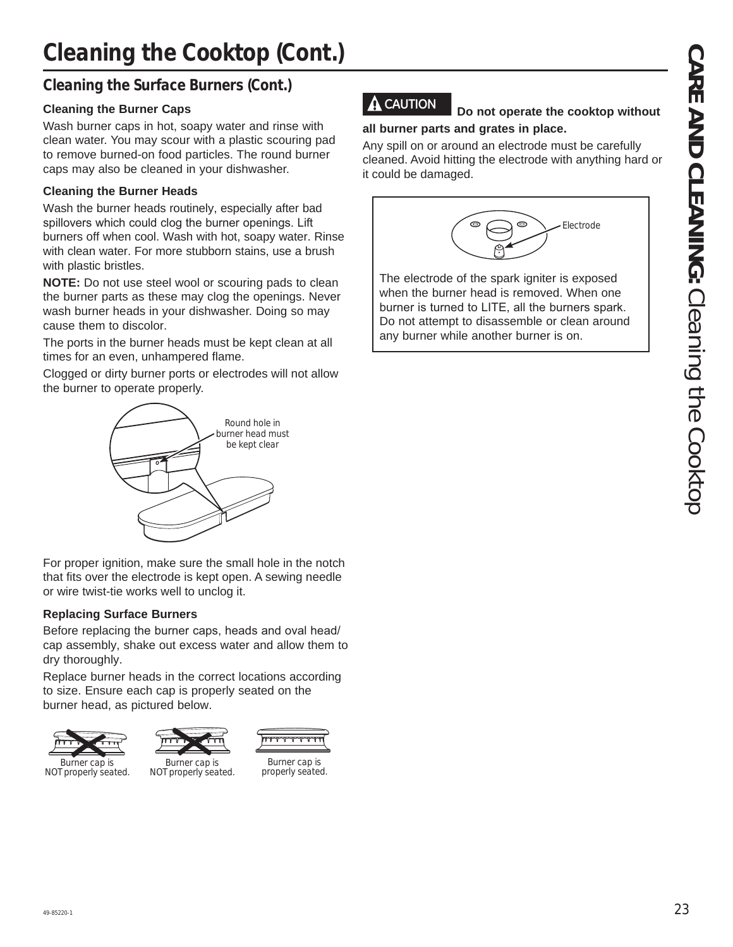# **Cleaning the Cooktop (Cont.)**

### **Cleaning the Surface Burners (Cont.)**

### **Cleaning the Burner Caps**

Wash burner caps in hot, soapy water and rinse with clean water. You may scour with a plastic scouring pad to remove burned-on food particles. The round burner caps may also be cleaned in your dishwasher.

### **Cleaning the Burner Heads**

Wash the burner heads routinely, especially after bad spillovers which could clog the burner openings. Lift burners off when cool. Wash with hot, soapy water. Rinse with clean water. For more stubborn stains, use a brush with plastic bristles.

**NOTE:** Do not use steel wool or scouring pads to clean the burner parts as these may clog the openings. Never wash burner heads in your dishwasher. Doing so may cause them to discolor.

The ports in the burner heads must be kept clean at all times for an even, unhampered flame.

Clogged or dirty burner ports or electrodes will not allow the burner to operate properly.



For proper ignition, make sure the small hole in the notch that fits over the electrode is kept open. A sewing needle or wire twist-tie works well to unclog it.

### **Replacing Surface Burners**

Before replacing the burner caps, heads and oval head/ cap assembly, shake out excess water and allow them to dry thoroughly.

Replace burner heads in the correct locations according to size. Ensure each cap is properly seated on the burner head, as pictured below.



NOT properly seated.



Burner cap is NOT properly seated.



Burner cap is properly seated.

# **CAUTION Do not operate the cooktop without**

### **all burner parts and grates in place.**

Any spill on or around an electrode must be carefully cleaned. Avoid hitting the electrode with anything hard or it could be damaged.



The electrode of the spark igniter is exposed when the burner head is removed. When one burner is turned to LITE, all the burners spark. Do not attempt to disassemble or clean around any burner while another burner is on.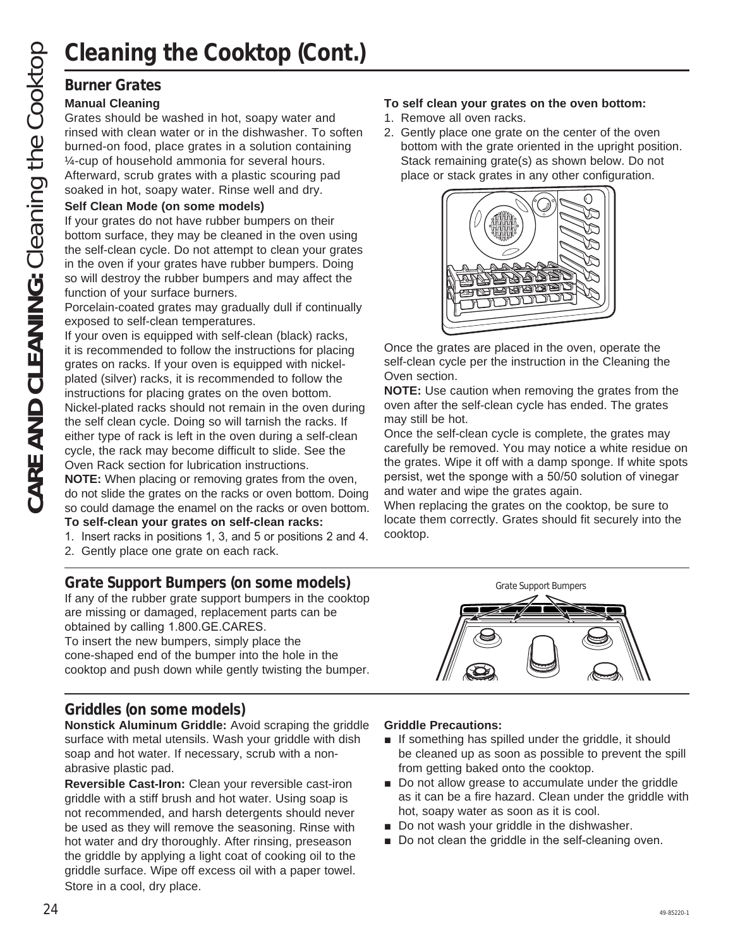Grates should be washed in hot, soapy water and rinsed with clean water or in the dishwasher. To soften burned-on food, place grates in a solution containing ¼-cup of household ammonia for several hours. Afterward, scrub grates with a plastic scouring pad soaked in hot, soapy water. Rinse well and dry.

### **Self Clean Mode (on some models)**

If your grates do not have rubber bumpers on their bottom surface, they may be cleaned in the oven using the self-clean cycle. Do not attempt to clean your grates in the oven if your grates have rubber bumpers. Doing so will destroy the rubber bumpers and may affect the function of your surface burners.

Porcelain-coated grates may gradually dull if continually exposed to self-clean temperatures.

If your oven is equipped with self-clean (black) racks, it is recommended to follow the instructions for placing grates on racks. If your oven is equipped with nickelplated (silver) racks, it is recommended to follow the instructions for placing grates on the oven bottom. Nickel-plated racks should not remain in the oven during the self clean cycle. Doing so will tarnish the racks. If either type of rack is left in the oven during a self-clean cycle, the rack may become difficult to slide. See the Oven Rack section for lubrication instructions.

**NOTE:** When placing or removing grates from the oven, do not slide the grates on the racks or oven bottom. Doing so could damage the enamel on the racks or oven bottom. **To self-clean your grates on self-clean racks:**

- 1. Insert racks in positions 1, 3, and 5 or positions 2 and 4.
- 
- 2. Gently place one grate on each rack.

### **Grate Support Bumpers (on some models)**

If any of the rubber grate support bumpers in the cooktop are missing or damaged, replacement parts can be obtained by calling 1.800.GE.CARES.

To insert the new bumpers, simply place the cone-shaped end of the bumper into the hole in the cooktop and push down while gently twisting the bumper.

### **Griddles (on some models)**

**Nonstick Aluminum Griddle:** Avoid scraping the griddle surface with metal utensils. Wash your griddle with dish soap and hot water. If necessary, scrub with a nonabrasive plastic pad.

**Reversible Cast-Iron:** Clean your reversible cast-iron griddle with a stiff brush and hot water. Using soap is not recommended, and harsh detergents should never be used as they will remove the seasoning. Rinse with hot water and dry thoroughly. After rinsing, preseason the griddle by applying a light coat of cooking oil to the griddle surface. Wipe off excess oil with a paper towel. Store in a cool, dry place.

### **To self clean your grates on the oven bottom:**

- 1. Remove all oven racks.
- 2. Gently place one grate on the center of the oven bottom with the grate oriented in the upright position. Stack remaining grate(s) as shown below. Do not place or stack grates in any other configuration.



Once the grates are placed in the oven, operate the self-clean cycle per the instruction in the Cleaning the Oven section.

**NOTE:** Use caution when removing the grates from the oven after the self-clean cycle has ended. The grates may still be hot.

Once the self-clean cycle is complete, the grates may carefully be removed. You may notice a white residue on the grates. Wipe it off with a damp sponge. If white spots persist, wet the sponge with a 50/50 solution of vinegar and water and wipe the grates again.

When replacing the grates on the cooktop, be sure to locate them correctly. Grates should fit securely into the cooktop.



### **Griddle Precautions:**

- $\blacksquare$  If something has spilled under the griddle, it should be cleaned up as soon as possible to prevent the spill from getting baked onto the cooktop.
- Do not allow grease to accumulate under the griddle as it can be a fire hazard. Clean under the griddle with hot, soapy water as soon as it is cool.
- $\blacksquare$  Do not wash your griddle in the dishwasher.
- Do not clean the griddle in the self-cleaning oven.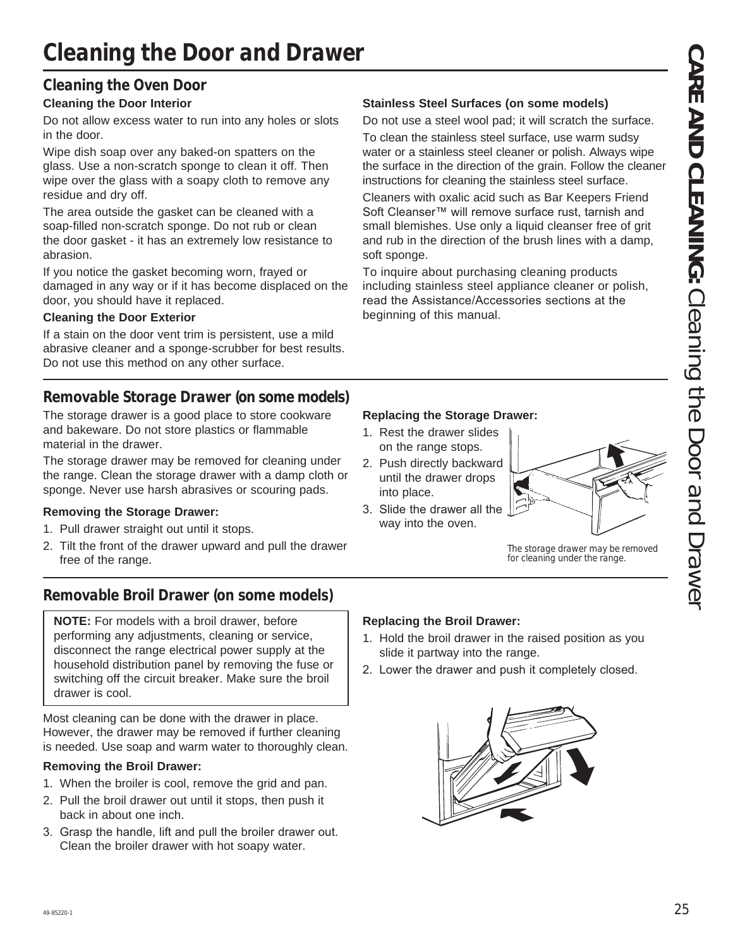# **Cleaning the Door and Drawer**

### **Cleaning the Oven Door**

### **Cleaning the Door Interior**

Do not allow excess water to run into any holes or slots in the door.

Wipe dish soap over any baked-on spatters on the glass. Use a non-scratch sponge to clean it off. Then wipe over the glass with a soapy cloth to remove any residue and dry off.

The area outside the gasket can be cleaned with a soap-filled non-scratch sponge. Do not rub or clean the door gasket - it has an extremely low resistance to abrasion.

If you notice the gasket becoming worn, frayed or damaged in any way or if it has become displaced on the door, you should have it replaced.

### **Cleaning the Door Exterior**

If a stain on the door vent trim is persistent, use a mild abrasive cleaner and a sponge-scrubber for best results. Do not use this method on any other surface.

### **Removable Storage Drawer (on some models)**

The storage drawer is a good place to store cookware and bakeware. Do not store plastics or flammable material in the drawer.

The storage drawer may be removed for cleaning under the range. Clean the storage drawer with a damp cloth or sponge. Never use harsh abrasives or scouring pads.

### **Removing the Storage Drawer:**

- 1. Pull drawer straight out until it stops.
- 2. Tilt the front of the drawer upward and pull the drawer free of the range.

### **Removable Broil Drawer (on some models)**

**NOTE:** For models with a broil drawer, before performing any adjustments, cleaning or service, disconnect the range electrical power supply at the household distribution panel by removing the fuse or switching off the circuit breaker. Make sure the broil drawer is cool.

Most cleaning can be done with the drawer in place. However, the drawer may be removed if further cleaning is needed. Use soap and warm water to thoroughly clean.

### **Removing the Broil Drawer:**

- 1. When the broiler is cool, remove the grid and pan.
- 2. Pull the broil drawer out until it stops, then push it back in about one inch.
- 3. Grasp the handle, lift and pull the broiler drawer out. Clean the broiler drawer with hot soapy water.

### **Stainless Steel Surfaces (on some models)**

Do not use a steel wool pad; it will scratch the surface.

To clean the stainless steel surface, use warm sudsy water or a stainless steel cleaner or polish. Always wipe the surface in the direction of the grain. Follow the cleaner instructions for cleaning the stainless steel surface.

Cleaners with oxalic acid such as Bar Keepers Friend Soft Cleanser™ will remove surface rust, tarnish and small blemishes. Use only a liquid cleanser free of grit and rub in the direction of the brush lines with a damp, soft sponge.

To inquire about purchasing cleaning products including stainless steel appliance cleaner or polish, read the Assistance/Accessories sections at the beginning of this manual.

### **Replacing the Storage Drawer:**

- 1. Rest the drawer slides on the range stops.
- 2. Push directly backward until the drawer drops into place.
- 3. Slide the drawer all the way into the oven.



The storage drawer may be removed for cleaning under the range.

### **Replacing the Broil Drawer:**

- 1. Hold the broil drawer in the raised position as you slide it partway into the range.
- 2. Lower the drawer and push it completely closed.

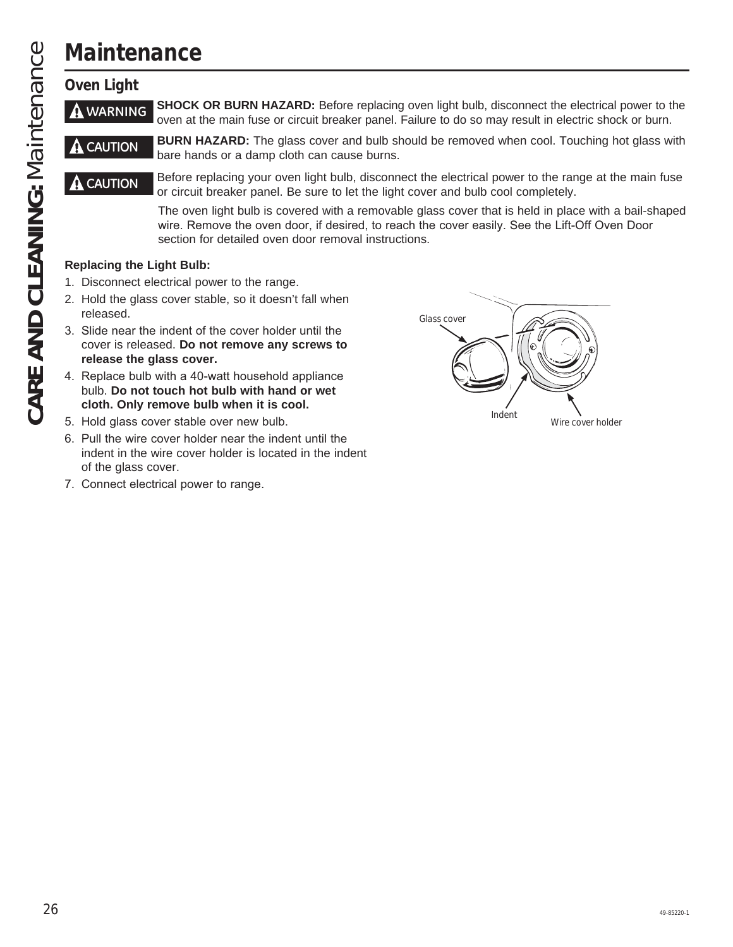# **Maintenance**

### **Oven Light**

**A WARNING** SHOCK OR BURN HAZARD: Before replacing oven light bulb, disconnect the electrical power to the oven at the main fuse or circuit breaker panel. Failure to do so may result in electric shock or burn.

**CAUTION BURN HAZARD:** The glass cover and bulb should be removed when cool. Touching hot glass with bare hands or a damp cloth can cause burns.

**CAUTION** Before replacing your oven light bulb, disconnect the electrical power to the range at the main fuse or circuit breaker panel. Be sure to let the light cover and bulb cool completely.

> The oven light bulb is covered with a removable glass cover that is held in place with a bail-shaped wire. Remove the oven door, if desired, to reach the cover easily. See the Lift-Off Oven Door section for detailed oven door removal instructions.

### **Replacing the Light Bulb:**

- 1. Disconnect electrical power to the range.
- 2. Hold the glass cover stable, so it doesn't fall when released.
- 3. Slide near the indent of the cover holder until the cover is released. **Do not remove any screws to release the glass cover.**
- 4. Replace bulb with a 40-watt household appliance bulb. **Do not touch hot bulb with hand or wet cloth. Only remove bulb when it is cool.**
- 5. Hold glass cover stable over new bulb.
- 6. Pull the wire cover holder near the indent until the indent in the wire cover holder is located in the indent of the glass cover.
- 7. Connect electrical power to range.

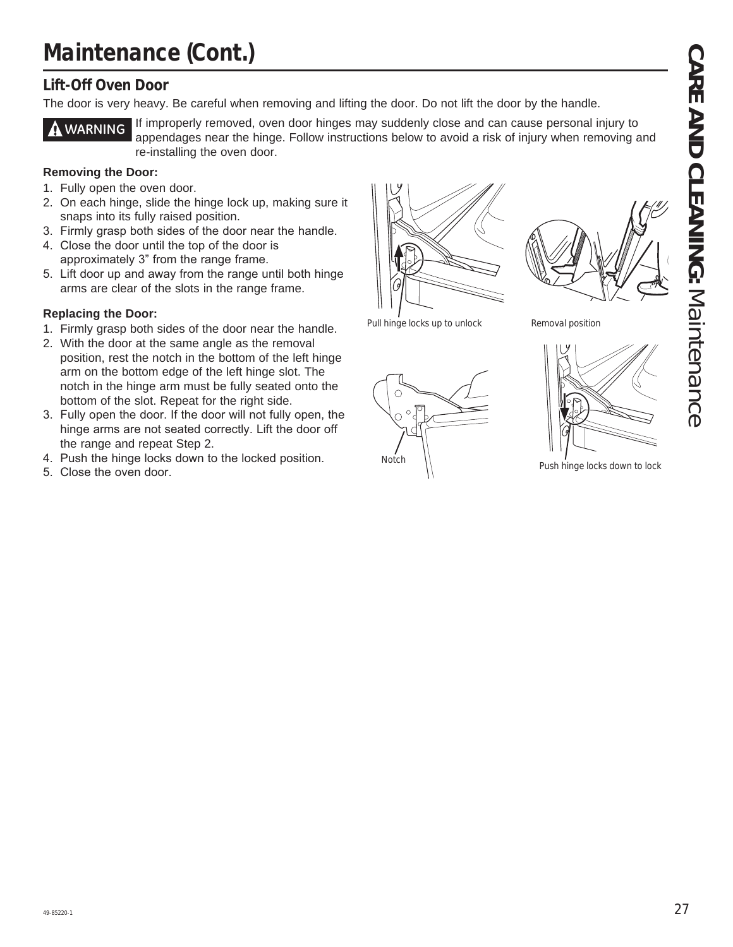# **Maintenance (Cont.)**

### **Lift-Off Oven Door**

The door is very heavy. Be careful when removing and lifting the door. Do not lift the door by the handle.



**WARNING** If improperly removed, oven door hinges may suddenly close and can cause personal injury to appendages near the hinge. Follow instructions below to avoid a risk of injury when removing and re-installing the oven door.

### **Removing the Door:**

- 1. Fully open the oven door.
- 2. On each hinge, slide the hinge lock up, making sure it snaps into its fully raised position.
- 3. Firmly grasp both sides of the door near the handle.
- 4. Close the door until the top of the door is approximately 3" from the range frame.
- 5. Lift door up and away from the range until both hinge arms are clear of the slots in the range frame.

### **Replacing the Door:**

- 1. Firmly grasp both sides of the door near the handle.
- 2. With the door at the same angle as the removal position, rest the notch in the bottom of the left hinge arm on the bottom edge of the left hinge slot. The notch in the hinge arm must be fully seated onto the bottom of the slot. Repeat for the right side.
- 3. Fully open the door. If the door will not fully open, the hinge arms are not seated correctly. Lift the door off the range and repeat Step 2.
- 4. Push the hinge locks down to the locked position.
- 5. Close the oven door.



Pull hinge locks up to unlock



Removal position



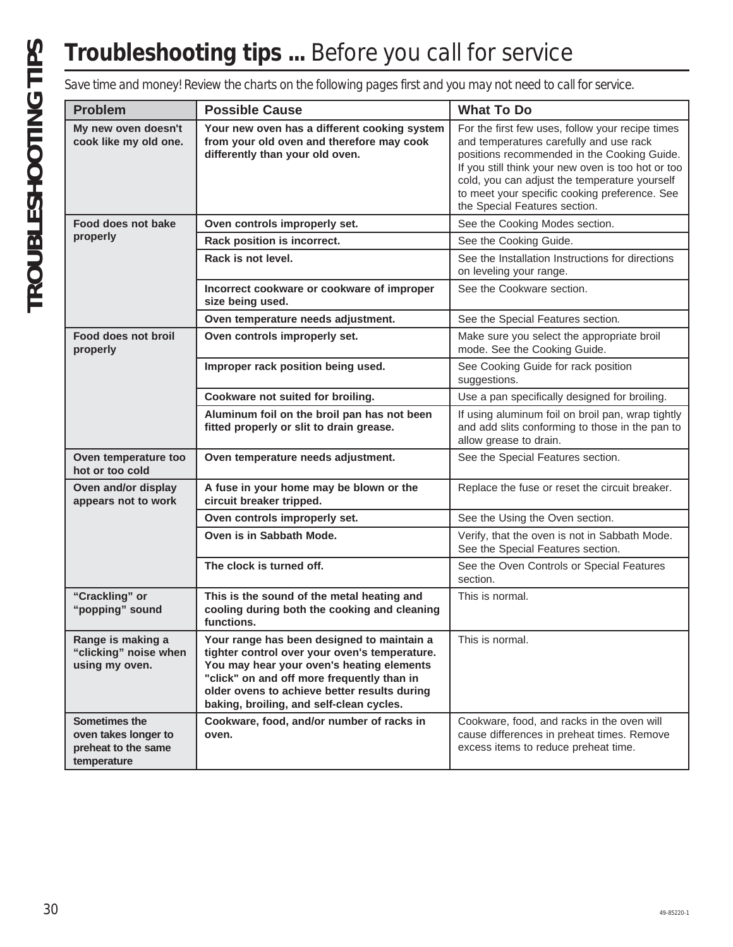# **Troubleshooting tips ...** Before you call for service

|                                                                             | Save time and money! Review the charts on the following pages first and you may not need to call for service.                                                                                                                                                                      |                                                                                                                                                                                                                                                                                                                                     |
|-----------------------------------------------------------------------------|------------------------------------------------------------------------------------------------------------------------------------------------------------------------------------------------------------------------------------------------------------------------------------|-------------------------------------------------------------------------------------------------------------------------------------------------------------------------------------------------------------------------------------------------------------------------------------------------------------------------------------|
| <b>Problem</b>                                                              | <b>Possible Cause</b>                                                                                                                                                                                                                                                              | <b>What To Do</b>                                                                                                                                                                                                                                                                                                                   |
| My new oven doesn't<br>cook like my old one.                                | Your new oven has a different cooking system<br>from your old oven and therefore may cook<br>differently than your old oven.                                                                                                                                                       | For the first few uses, follow your recipe times<br>and temperatures carefully and use rack<br>positions recommended in the Cooking Guide.<br>If you still think your new oven is too hot or too<br>cold, you can adjust the temperature yourself<br>to meet your specific cooking preference. See<br>the Special Features section. |
| Food does not bake                                                          | Oven controls improperly set.                                                                                                                                                                                                                                                      | See the Cooking Modes section.                                                                                                                                                                                                                                                                                                      |
| properly                                                                    | Rack position is incorrect.                                                                                                                                                                                                                                                        | See the Cooking Guide.                                                                                                                                                                                                                                                                                                              |
|                                                                             | Rack is not level.                                                                                                                                                                                                                                                                 | See the Installation Instructions for directions<br>on leveling your range.                                                                                                                                                                                                                                                         |
|                                                                             | Incorrect cookware or cookware of improper<br>size being used.                                                                                                                                                                                                                     | See the Cookware section.                                                                                                                                                                                                                                                                                                           |
|                                                                             | Oven temperature needs adjustment.                                                                                                                                                                                                                                                 | See the Special Features section.                                                                                                                                                                                                                                                                                                   |
| Food does not broil<br>properly                                             | Oven controls improperly set.                                                                                                                                                                                                                                                      | Make sure you select the appropriate broil<br>mode. See the Cooking Guide.                                                                                                                                                                                                                                                          |
|                                                                             | Improper rack position being used.                                                                                                                                                                                                                                                 | See Cooking Guide for rack position<br>suggestions.                                                                                                                                                                                                                                                                                 |
|                                                                             | Cookware not suited for broiling.                                                                                                                                                                                                                                                  | Use a pan specifically designed for broiling.                                                                                                                                                                                                                                                                                       |
|                                                                             | Aluminum foil on the broil pan has not been<br>fitted properly or slit to drain grease.                                                                                                                                                                                            | If using aluminum foil on broil pan, wrap tightly<br>and add slits conforming to those in the pan to<br>allow grease to drain.                                                                                                                                                                                                      |
| Oven temperature too<br>hot or too cold                                     | Oven temperature needs adjustment.                                                                                                                                                                                                                                                 | See the Special Features section.                                                                                                                                                                                                                                                                                                   |
| Oven and/or display<br>appears not to work                                  | A fuse in your home may be blown or the<br>circuit breaker tripped.                                                                                                                                                                                                                | Replace the fuse or reset the circuit breaker.                                                                                                                                                                                                                                                                                      |
|                                                                             | Oven controls improperly set.                                                                                                                                                                                                                                                      | See the Using the Oven section.                                                                                                                                                                                                                                                                                                     |
|                                                                             | Oven is in Sabbath Mode.                                                                                                                                                                                                                                                           | Verify, that the oven is not in Sabbath Mode.<br>See the Special Features section.                                                                                                                                                                                                                                                  |
|                                                                             | The clock is turned off.                                                                                                                                                                                                                                                           | See the Oven Controls or Special Features<br>section.                                                                                                                                                                                                                                                                               |
| "Crackling" or<br>"popping" sound                                           | This is the sound of the metal heating and<br>cooling during both the cooking and cleaning<br>functions.                                                                                                                                                                           | This is normal.                                                                                                                                                                                                                                                                                                                     |
| Range is making a<br>"clicking" noise when<br>using my oven.                | Your range has been designed to maintain a<br>tighter control over your oven's temperature.<br>You may hear your oven's heating elements<br>"click" on and off more frequently than in<br>older ovens to achieve better results during<br>baking, broiling, and self-clean cycles. | This is normal.                                                                                                                                                                                                                                                                                                                     |
| Sometimes the<br>oven takes longer to<br>preheat to the same<br>temperature | Cookware, food, and/or number of racks in<br>oven.                                                                                                                                                                                                                                 | Cookware, food, and racks in the oven will<br>cause differences in preheat times. Remove<br>excess items to reduce preheat time.                                                                                                                                                                                                    |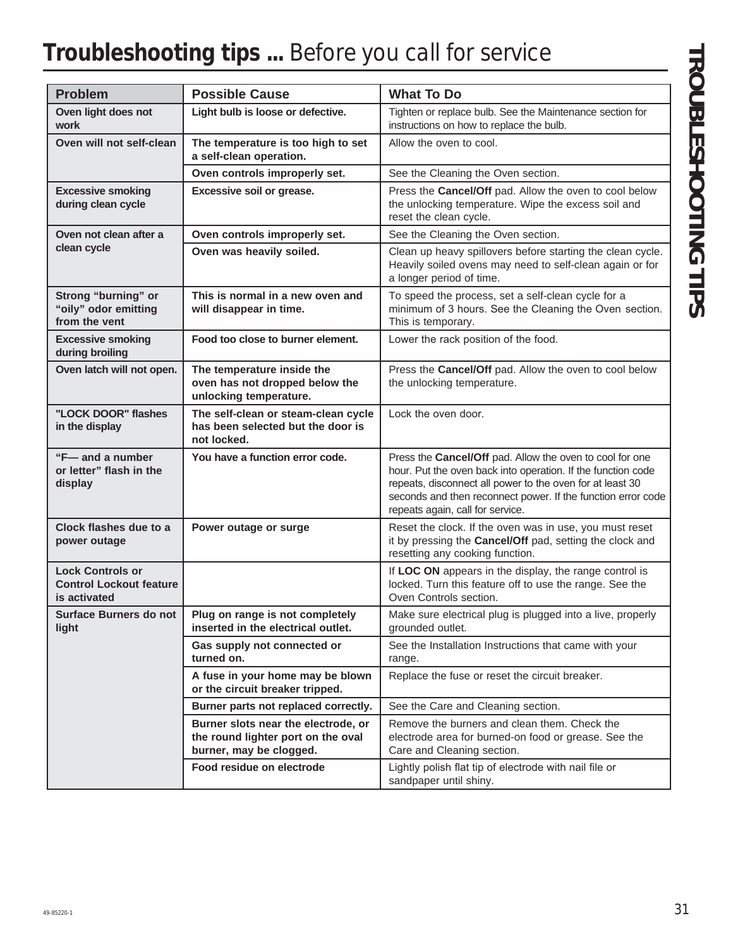# **Troubleshooting tips ...** Before you call for service

| <b>Problem</b>                                                            | <b>Possible Cause</b>                                                                                | <b>What To Do</b>                                                                                                                                                                                                                                                                         |
|---------------------------------------------------------------------------|------------------------------------------------------------------------------------------------------|-------------------------------------------------------------------------------------------------------------------------------------------------------------------------------------------------------------------------------------------------------------------------------------------|
| Oven light does not<br>work                                               | Light bulb is loose or defective.                                                                    | Tighten or replace bulb. See the Maintenance section for<br>instructions on how to replace the bulb.                                                                                                                                                                                      |
| Oven will not self-clean                                                  | The temperature is too high to set<br>a self-clean operation.                                        | Allow the oven to cool.                                                                                                                                                                                                                                                                   |
|                                                                           | Oven controls improperly set.                                                                        | See the Cleaning the Oven section.                                                                                                                                                                                                                                                        |
| <b>Excessive smoking</b><br>during clean cycle                            | Excessive soil or grease.                                                                            | Press the Cancel/Off pad. Allow the oven to cool below<br>the unlocking temperature. Wipe the excess soil and<br>reset the clean cycle.                                                                                                                                                   |
| Oven not clean after a                                                    | Oven controls improperly set.                                                                        | See the Cleaning the Oven section.                                                                                                                                                                                                                                                        |
| clean cycle                                                               | Oven was heavily soiled.                                                                             | Clean up heavy spillovers before starting the clean cycle.<br>Heavily soiled ovens may need to self-clean again or for<br>a longer period of time.                                                                                                                                        |
| Strong "burning" or<br>"oily" odor emitting<br>from the vent              | This is normal in a new oven and<br>will disappear in time.                                          | To speed the process, set a self-clean cycle for a<br>minimum of 3 hours. See the Cleaning the Oven section.<br>This is temporary.                                                                                                                                                        |
| <b>Excessive smoking</b><br>during broiling                               | Food too close to burner element.                                                                    | Lower the rack position of the food.                                                                                                                                                                                                                                                      |
| Oven latch will not open.                                                 | The temperature inside the<br>oven has not dropped below the<br>unlocking temperature.               | Press the Cancel/Off pad. Allow the oven to cool below<br>the unlocking temperature.                                                                                                                                                                                                      |
| "LOCK DOOR" flashes<br>in the display                                     | The self-clean or steam-clean cycle<br>has been selected but the door is<br>not locked.              | Lock the oven door.                                                                                                                                                                                                                                                                       |
| "F-and a number<br>or letter" flash in the<br>display                     | You have a function error code.                                                                      | Press the Cancel/Off pad. Allow the oven to cool for one<br>hour. Put the oven back into operation. If the function code<br>repeats, disconnect all power to the oven for at least 30<br>seconds and then reconnect power. If the function error code<br>repeats again, call for service. |
| Clock flashes due to a<br>power outage                                    | Power outage or surge                                                                                | Reset the clock. If the oven was in use, you must reset<br>it by pressing the Cancel/Off pad, setting the clock and<br>resetting any cooking function.                                                                                                                                    |
| <b>Lock Controls or</b><br><b>Control Lockout feature</b><br>is activated |                                                                                                      | If LOC ON appears in the display, the range control is<br>locked. Turn this feature off to use the range. See the<br>Oven Controls section.                                                                                                                                               |
| Surface Burners do not<br>light                                           | Plug on range is not completely<br>inserted in the electrical outlet.                                | Make sure electrical plug is plugged into a live, properly<br>grounded outlet.                                                                                                                                                                                                            |
|                                                                           | Gas supply not connected or<br>turned on.                                                            | See the Installation Instructions that came with your<br>range.                                                                                                                                                                                                                           |
|                                                                           | A fuse in your home may be blown<br>or the circuit breaker tripped.                                  | Replace the fuse or reset the circuit breaker.                                                                                                                                                                                                                                            |
|                                                                           | Burner parts not replaced correctly.                                                                 | See the Care and Cleaning section.                                                                                                                                                                                                                                                        |
|                                                                           | Burner slots near the electrode, or<br>the round lighter port on the oval<br>burner, may be clogged. | Remove the burners and clean them. Check the<br>electrode area for burned-on food or grease. See the<br>Care and Cleaning section.                                                                                                                                                        |
|                                                                           | Food residue on electrode                                                                            | Lightly polish flat tip of electrode with nail file or<br>sandpaper until shiny.                                                                                                                                                                                                          |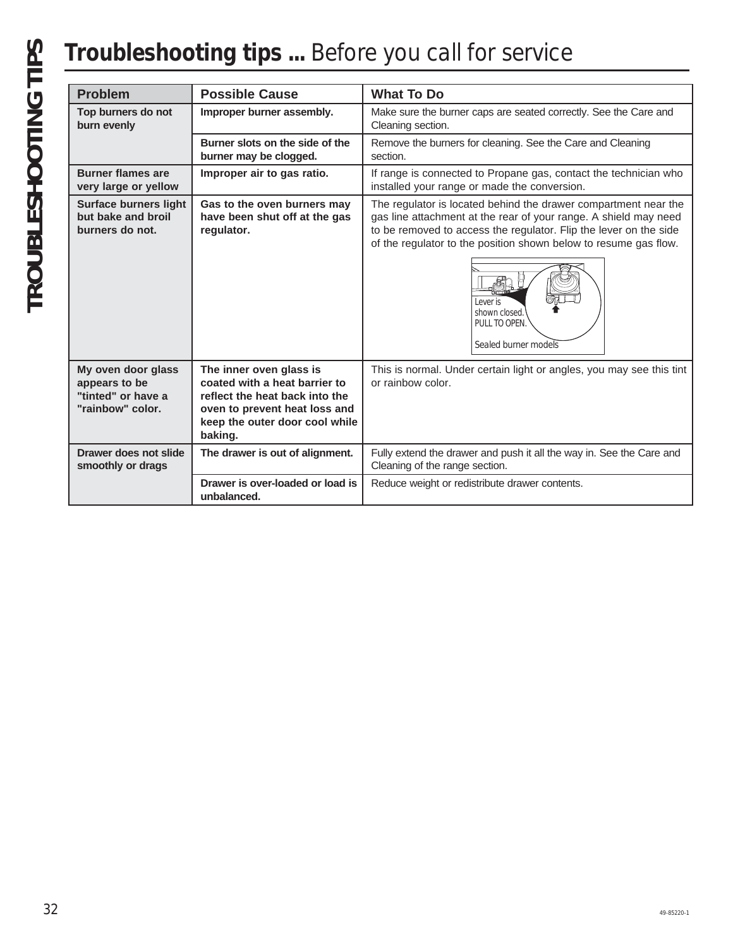# **Troubleshooting tips ...** Before you call for service

| <b>Problem</b>                                                                | <b>Possible Cause</b>                                                                                                                                                    | <b>What To Do</b>                                                                                                                                                                                                                                                                                                                                   |  |  |
|-------------------------------------------------------------------------------|--------------------------------------------------------------------------------------------------------------------------------------------------------------------------|-----------------------------------------------------------------------------------------------------------------------------------------------------------------------------------------------------------------------------------------------------------------------------------------------------------------------------------------------------|--|--|
| Top burners do not<br>burn evenly                                             | Improper burner assembly.                                                                                                                                                | Make sure the burner caps are seated correctly. See the Care and<br>Cleaning section.                                                                                                                                                                                                                                                               |  |  |
|                                                                               | Burner slots on the side of the<br>burner may be clogged.                                                                                                                | Remove the burners for cleaning. See the Care and Cleaning<br>section.                                                                                                                                                                                                                                                                              |  |  |
| <b>Burner flames are</b><br>very large or yellow                              | Improper air to gas ratio.                                                                                                                                               | If range is connected to Propane gas, contact the technician who<br>installed your range or made the conversion.                                                                                                                                                                                                                                    |  |  |
| <b>Surface burners light</b><br>but bake and broil<br>burners do not.         | Gas to the oven burners may<br>have been shut off at the gas<br>regulator.                                                                                               | The regulator is located behind the drawer compartment near the<br>gas line attachment at the rear of your range. A shield may need<br>to be removed to access the regulator. Flip the lever on the side<br>of the regulator to the position shown below to resume gas flow.<br>I ever is<br>shown closed.<br>PULL TO OPEN.<br>Sealed burner models |  |  |
| My oven door glass<br>appears to be<br>"tinted" or have a<br>"rainbow" color. | The inner oven glass is<br>coated with a heat barrier to<br>reflect the heat back into the<br>oven to prevent heat loss and<br>keep the outer door cool while<br>baking. | This is normal. Under certain light or angles, you may see this tint<br>or rainbow color.                                                                                                                                                                                                                                                           |  |  |
| Drawer does not slide<br>smoothly or drags                                    | The drawer is out of alignment.                                                                                                                                          | Fully extend the drawer and push it all the way in. See the Care and<br>Cleaning of the range section.                                                                                                                                                                                                                                              |  |  |
|                                                                               | Drawer is over-loaded or load is<br>unbalanced.                                                                                                                          | Reduce weight or redistribute drawer contents.                                                                                                                                                                                                                                                                                                      |  |  |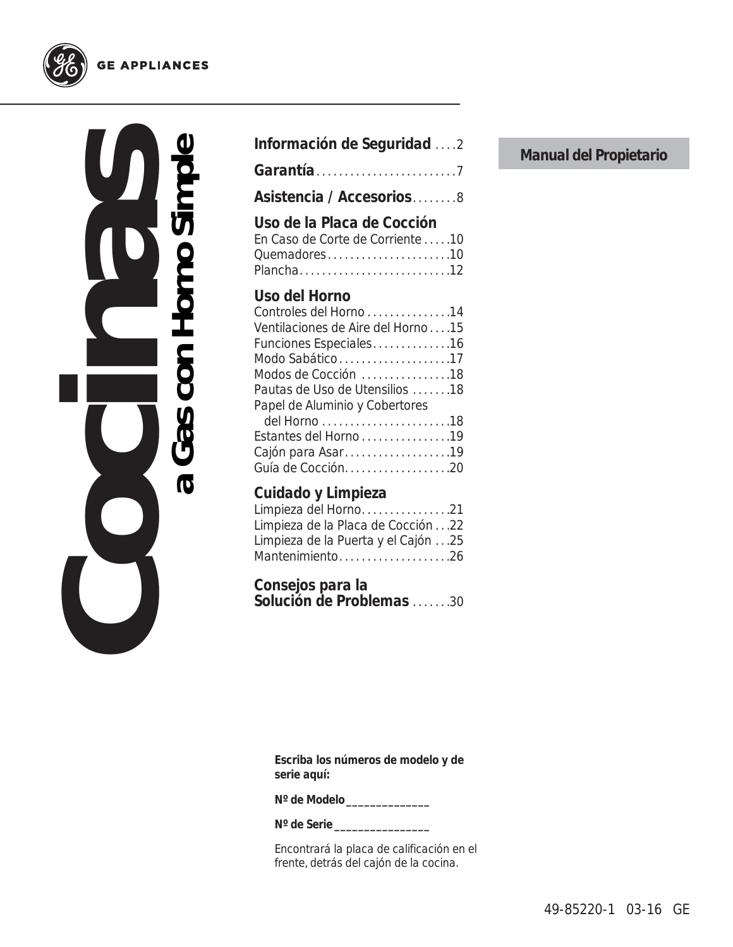**Cocinas a Gas con Horno Simple**  $\boldsymbol{\sigma}$ 

| Información de Seguridad 2                                                                                                                                                                                                                                                              |  |
|-----------------------------------------------------------------------------------------------------------------------------------------------------------------------------------------------------------------------------------------------------------------------------------------|--|
|                                                                                                                                                                                                                                                                                         |  |
| Asistencia / Accesorios8                                                                                                                                                                                                                                                                |  |
| Uso de la Placa de Cocción<br>En Caso de Corte de Corriente10<br>Quemadores10<br>Plancha12                                                                                                                                                                                              |  |
| Uso del Horno<br>Controles del Horno 14<br>Ventilaciones de Aire del Horno15<br>Funciones Especiales16<br>Modo Sabático17<br>Modos de Cocción 18<br>Pautas de Uso de Utensilios 18<br>Papel de Aluminio y Cobertores<br>Estantes del Horno 19<br>Cajón para Asar19<br>Guía de Cocción20 |  |
| Cuidado y Limpieza<br>Limpieza del Horno21<br>Limpieza de la Placa de Cocción22<br>Limpieza de la Puerta y el Cajón 25<br>Mantenimiento26                                                                                                                                               |  |
| Consejos para la<br>Solución de Problemas 30                                                                                                                                                                                                                                            |  |

**Manual del Propietario**

**Escriba los números de modelo y de serie aquí:**

**Nº de Modelo \_\_\_\_\_\_\_\_\_\_\_\_\_\_**

**Nº de Serie \_\_\_\_\_\_\_\_\_\_\_\_\_\_\_\_**

Encontrará la placa de calificación en el frente, detrás del cajón de la cocina.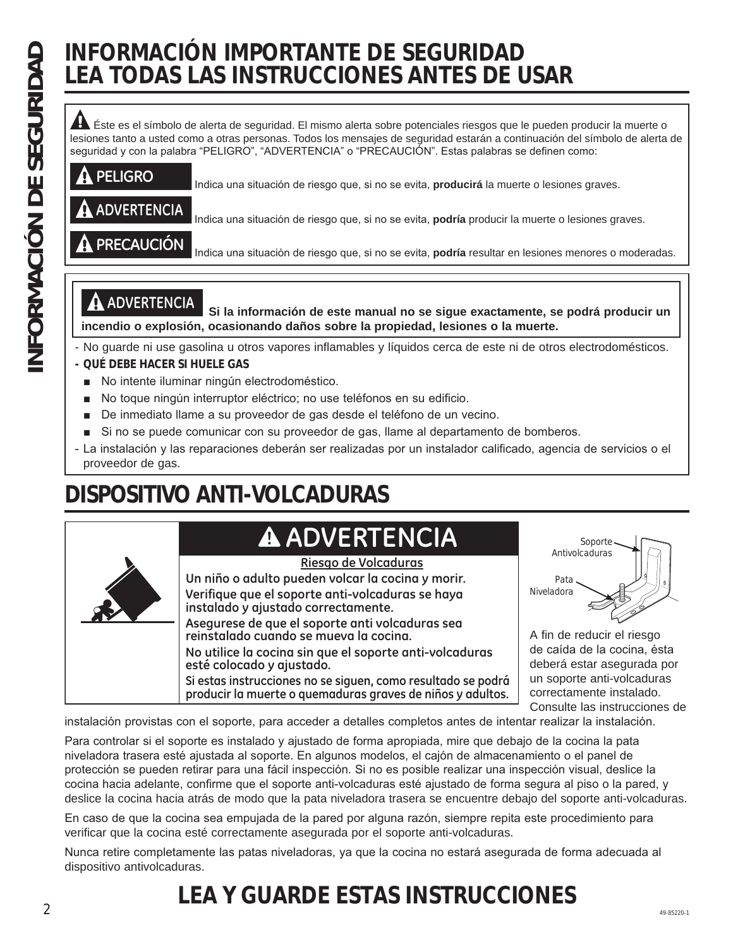# **INFORMACIÓN IMPORTANTE DE SEGURIDAD LEA TODAS LAS INSTRUCCIONES ANTES DE USAR**

Éste es el símbolo de alerta de seguridad. El mismo alerta sobre potenciales riesgos que le pueden producir la muerte o lesiones tanto a usted como a otras personas. Todos los mensajes de seguridad estarán a continuación del símbolo de alerta de seguridad y con la palabra "PELIGRO", "ADVERTENCIA" o "PRECAUCIÓN". Estas palabras se definen como:

| <b>A PELIGRO</b> | Indica una situación de riesgo que, si no se evita, <b>producirá</b> la muerte o lesiones graves.    |
|------------------|------------------------------------------------------------------------------------------------------|
| A ADVERTENCIA    | Indica una situación de riesgo que, si no se evita, podría producir la muerte o lesiones graves.     |
| A PRECAUCIÓN     | Indica una situación de riesgo que, si no se evita, podría resultar en lesiones menores o moderadas. |

**ADVERTENCIA Si la información de este manual no se sigue exactamente, se podrá producir un incendio o explosión, ocasionando daños sobre la propiedad, lesiones o la muerte.**

- No guarde ni use gasolina u otros vapores inflamables y líquidos cerca de este ni de otros electrodomésticos. **- QUÉ DEBE HACER SI HUELE GAS**
	- No intente iluminar ningún electrodoméstico.
	- No toque ningún interruptor eléctrico; no use teléfonos en su edificio.
	- De inmediato llame a su proveedor de gas desde el teléfono de un vecino.
	- Si no se puede comunicar con su proveedor de gas, llame al departamento de bomberos.
- La instalación y las reparaciones deberán ser realizadas por un instalador calificado, agencia de servicios o el proveedor de gas.

# **DISPOSITIVO ANTI-VOLCADURAS**

# **ADVERTENCIA**

| ◢ |  |
|---|--|
|   |  |

**Un niño o adulto pueden volcar la cocina y morir. Verifique que el soporte anti-volcaduras se haya Riesgo de Volcaduras**

**instalado y ajustado correctamente.**

**Asegurese de que el soporte anti volcaduras sea reinstalado cuando se mueva la cocina. No utilice la cocina sin que el soporte anti-volcaduras** 

**esté colocado y ajustado. Si estas instrucciones no se siguen, como resultado se podrá**

**producir la muerte o quemaduras graves de niños y adultos.**

Soporte Antivolcaduras Pata Niveladora

A fin de reducir el riesgo de caída de la cocina, ésta deberá estar asegurada por un soporte anti-volcaduras correctamente instalado. Consulte las instrucciones de

instalación provistas con el soporte, para acceder a detalles completos antes de intentar realizar la instalación.

Para controlar si el soporte es instalado y ajustado de forma apropiada, mire que debajo de la cocina la pata niveladora trasera esté ajustada al soporte. En algunos modelos, el cajón de almacenamiento o el panel de protección se pueden retirar para una fácil inspección. Si no es posible realizar una inspección visual, deslice la cocina hacia adelante, confirme que el soporte anti-volcaduras esté ajustado de forma segura al piso o la pared, y deslice la cocina hacia atrás de modo que la pata niveladora trasera se encuentre debajo del soporte anti-volcaduras.

En caso de que la cocina sea empujada de la pared por alguna razón, siempre repita este procedimiento para verificar que la cocina esté correctamente asegurada por el soporte anti-volcaduras.

Nunca retire completamente las patas niveladoras, ya que la cocina no estará asegurada de forma adecuada al dispositivo antivolcaduras.

### 2 49-85220-1 **LEA Y GUARDE ESTAS INSTRUCCIONES**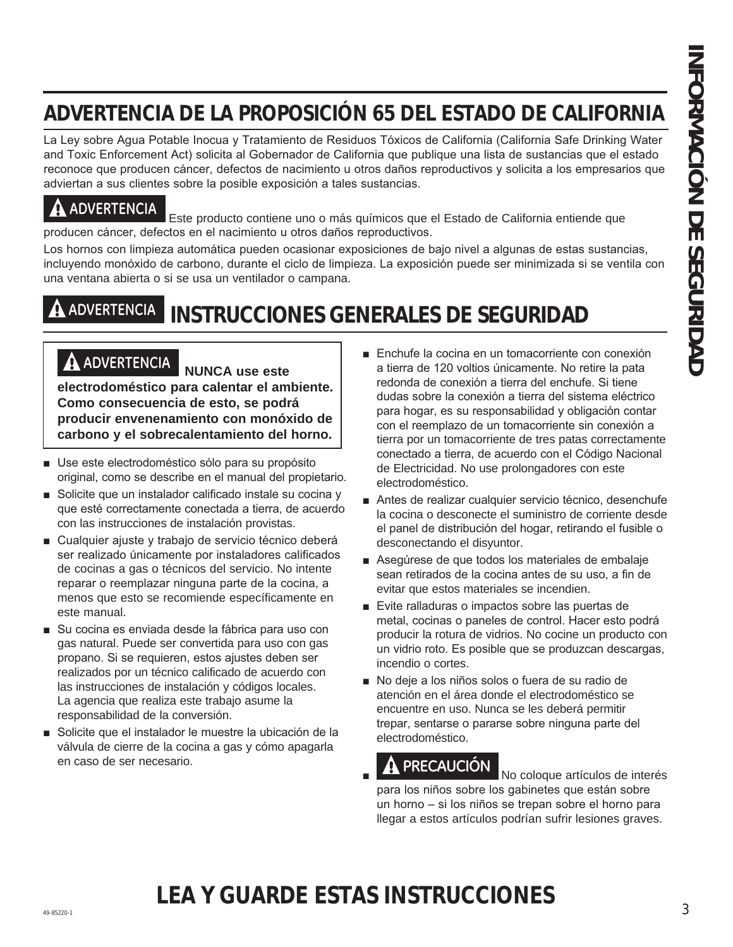# **ADVERTENCIA DE LA PROPOSICIÓN 65 DEL ESTADO DE CALIFORNIA**

La Ley sobre Agua Potable Inocua y Tratamiento de Residuos Tóxicos de California (California Safe Drinking Water and Toxic Enforcement Act) solicita al Gobernador de California que publique una lista de sustancias que el estado reconoce que producen cáncer, defectos de nacimiento u otros daños reproductivos y solicita a los empresarios que adviertan a sus clientes sobre la posible exposición a tales sustancias.

**ADVERTENCIA** Este producto contiene uno o más químicos que el Estado de California entiende que producen cáncer, defectos en el nacimiento u otros daños reproductivos.

Los hornos con limpieza automática pueden ocasionar exposiciones de bajo nivel a algunas de estas sustancias, incluyendo monóxido de carbono, durante el ciclo de limpieza. La exposición puede ser minimizada si se ventila con una ventana abierta o si se usa un ventilador o campana.

# **ADVERTENCIA INSTRUCCIONES GENERALES DE SEGURIDAD**

# **ADVERTENCIA NUNCA use este**

**electrodoméstico para calentar el ambiente. Como consecuencia de esto, se podrá producir envenenamiento con monóxido de carbono y el sobrecalentamiento del horno.**

- Use este electrodoméstico sólo para su propósito original, como se describe en el manual del propietario.
- Solicite que un instalador calificado instale su cocina y que esté correctamente conectada a tierra, de acuerdo con las instrucciones de instalación provistas.
- Cualquier ajuste y trabajo de servicio técnico deberá ser realizado únicamente por instaladores calificados de cocinas a gas o técnicos del servicio. No intente reparar o reemplazar ninguna parte de la cocina, a menos que esto se recomiende específicamente en este manual.
- Su cocina es enviada desde la fábrica para uso con gas natural. Puede ser convertida para uso con gas propano. Si se requieren, estos ajustes deben ser realizados por un técnico calificado de acuerdo con las instrucciones de instalación y códigos locales. La agencia que realiza este trabajo asume la responsabilidad de la conversión.
- Solicite que el instalador le muestre la ubicación de la válvula de cierre de la cocina a gas y cómo apagarla en caso de ser necesario.
- ADVERTENCIA DE LA PROPOSICIÓN 65 DEL ESTADO DE CALIFORNIA<br>
al ayseto para victo e anomena de para victo e anomena de la consegue de la consegue de la consegue de la consegue de la consegue de la consegue de la consegue de Enchufe la cocina en un tomacorriente con conexión a tierra de 120 voltios únicamente. No retire la pata redonda de conexión a tierra del enchufe. Si tiene dudas sobre la conexión a tierra del sistema eléctrico para hogar, es su responsabilidad y obligación contar con el reemplazo de un tomacorriente sin conexión a tierra por un tomacorriente de tres patas correctamente conectado a tierra, de acuerdo con el Código Nacional de Electricidad. No use prolongadores con este electrodoméstico.
	- Antes de realizar cualquier servicio técnico, desenchufe la cocina o desconecte el suministro de corriente desde el panel de distribución del hogar, retirando el fusible o desconectando el disyuntor.
	- Asegúrese de que todos los materiales de embalaje sean retirados de la cocina antes de su uso, a fin de evitar que estos materiales se incendien.
	- Evite ralladuras o impactos sobre las puertas de metal, cocinas o paneles de control. Hacer esto podrá producir la rotura de vidrios. No cocine un producto con un vidrio roto. Es posible que se produzcan descargas, incendio o cortes.
	- No deje a los niños solos o fuera de su radio de atención en el área donde el electrodoméstico se encuentre en uso. Nunca se les deberá permitir trepar, sentarse o pararse sobre ninguna parte del electrodoméstico.

**PRECAUCIÓN** No coloque artículos de interés para los niños sobre los gabinetes que están sobre un horno – si los niños se trepan sobre el horno para llegar a estos artículos podrían sufrir lesiones graves.

# **LEA Y GUARDE ESTAS INSTRUCCIONES**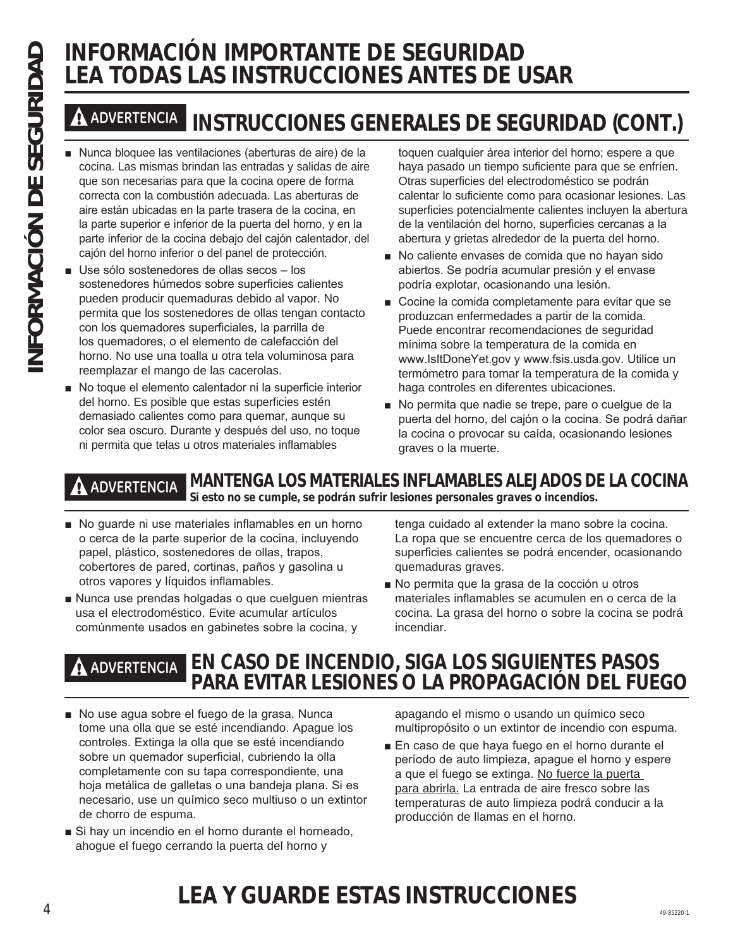# **LEA TODAS LAS INSTRUCCIONES ANTES DE USAR**

# **ADVERTENCIA INSTRUCCIONES GENERALES DE SEGURIDAD (CONT.)**

- Nunca bloquee las ventilaciones (aberturas de aire) de la cocina. Las mismas brindan las entradas y salidas de aire que son necesarias para que la cocina opere de forma correcta con la combustión adecuada. Las aberturas de aire están ubicadas en la parte trasera de la cocina, en la parte superior e inferior de la puerta del horno, y en la parte inferior de la cocina debajo del cajón calentador, del cajón del horno inferior o del panel de protección. INFORMACIÓN IMPORTANTE DE SEGURIDAD<br> **INFORMACIÓN IMSTRUCCIONES ANTES DE L<br>
A ADVERTENCIAL INSTRUCCIONES GENERALES DE SEC<br>
INTERNACIÓN INSTRUCCIONES GENERALES DE SEC<br>
INTERNACIÓN INSTRUCCIONES GENERALES DE SEC<br>
INTERNACIÓN** 
	- Use sólo sostenedores de ollas secos los sostenedores húmedos sobre superficies calientes pueden producir quemaduras debido al vapor. No permita que los sostenedores de ollas tengan contacto con los quemadores superficiales, la parrilla de los quemadores, o el elemento de calefacción del horno. No use una toalla u otra tela voluminosa para reemplazar el mango de las cacerolas.
	- No toque el elemento calentador ni la superficie interior del horno. Es posible que estas superficies estén demasiado calientes como para quemar, aunque su color sea oscuro. Durante y después del uso, no toque ni permita que telas u otros materiales inflamables

toquen cualquier área interior del horno; espere a que haya pasado un tiempo suficiente para que se enfríen. Otras superficies del electrodoméstico se podrán calentar lo suficiente como para ocasionar lesiones. Las superficies potencialmente calientes incluyen la abertura de la ventilación del horno, superficies cercanas a la abertura y grietas alrededor de la puerta del horno.

- No caliente envases de comida que no hayan sido abiertos. Se podría acumular presión y el envase podría explotar, ocasionando una lesión.
- Cocine la comida completamente para evitar que se produzcan enfermedades a partir de la comida. Puede encontrar recomendaciones de seguridad mínima sobre la temperatura de la comida en www.IsItDoneYet.gov y www.fsis.usda.gov. Utilice un termómetro para tomar la temperatura de la comida y haga controles en diferentes ubicaciones.
- No permita que nadie se trepe, pare o cuelque de la puerta del horno, del cajón o la cocina. Se podrá dañar la cocina o provocar su caída, ocasionando lesiones graves o la muerte.

**ADVERTENCIA MANTENGA LOS MATERIALES INFLAMABLES ALEJADOS DE LA COCINA Si esto no se cumple, se podrán sufrir lesiones personales graves o incendios.**

- No guarde ni use materiales inflamables en un horno o cerca de la parte superior de la cocina, incluyendo papel, plástico, sostenedores de ollas, trapos, cobertores de pared, cortinas, paños y gasolina u otros vapores y líquidos inflamables.
- Nunca use prendas holgadas o que cuelguen mientras usa el electrodoméstico. Evite acumular artículos comúnmente usados en gabinetes sobre la cocina, y

tenga cuidado al extender la mano sobre la cocina. La ropa que se encuentre cerca de los quemadores o superficies calientes se podrá encender, ocasionando quemaduras graves.

No permita que la grasa de la cocción u otros materiales inflamables se acumulen en o cerca de la cocina. La grasa del horno o sobre la cocina se podrá incendiar.

### **ADVERTENCIA EN CASO DE INCENDIO, SIGA LOS SIGUIENTES PASOS PARA EVITAR LESIONES O LA PROPAGACIÓN DEL FUEGO**

- No use agua sobre el fuego de la grasa. Nunca tome una olla que se esté incendiando. Apague los controles. Extinga la olla que se esté incendiando sobre un quemador superficial, cubriendo la olla completamente con su tapa correspondiente, una hoja metálica de galletas o una bandeja plana. Si es necesario, use un químico seco multiuso o un extintor de chorro de espuma.
- Si hay un incendio en el horno durante el horneado, ahogue el fuego cerrando la puerta del horno y

apagando el mismo o usando un químico seco multipropósito o un extintor de incendio con espuma.

En caso de que haya fuego en el horno durante el período de auto limpieza, apague el horno y espere a que el fuego se extinga. No fuerce la puerta para abrirla. La entrada de aire fresco sobre las temperaturas de auto limpieza podrá conducir a la producción de llamas en el horno.

### $\frac{4}{4}$ **LEA Y GUARDE ESTAS INSTRUCCIONES**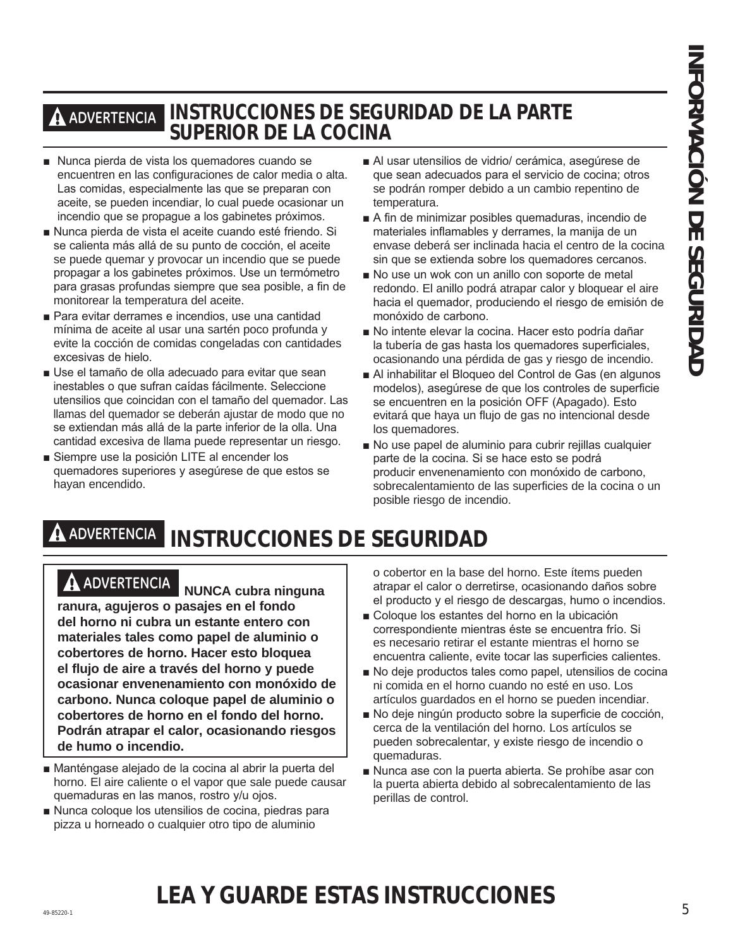# **ADVERTENCIA INSTRUCCIONES DE SEGURIDAD DE LA PARTE SUPERIOR DE LA COCINA**

- Nunca pierda de vista los quemadores cuando se encuentren en las configuraciones de calor media o alta. Las comidas, especialmente las que se preparan con aceite, se pueden incendiar, lo cual puede ocasionar un incendio que se propague a los gabinetes próximos.
- Nunca pierda de vista el aceite cuando esté friendo. Si se calienta más allá de su punto de cocción, el aceite se puede quemar y provocar un incendio que se puede propagar a los gabinetes próximos. Use un termómetro para grasas profundas siempre que sea posible, a fin de monitorear la temperatura del aceite.
- Para evitar derrames e incendios, use una cantidad mínima de aceite al usar una sartén poco profunda y evite la cocción de comidas congeladas con cantidades excesivas de hielo.
- Use el tamaño de olla adecuado para evitar que sean inestables o que sufran caídas fácilmente. Seleccione utensilios que coincidan con el tamaño del quemador. Las llamas del quemador se deberán ajustar de modo que no se extiendan más allá de la parte inferior de la olla. Una cantidad excesiva de llama puede representar un riesgo.
- Siempre use la posición LITE al encender los quemadores superiores y asegúrese de que estos se hayan encendido.
- Al usar utensilios de vidrio/ cerámica, asegúrese de que sean adecuados para el servicio de cocina; otros se podrán romper debido a un cambio repentino de temperatura.
- A fin de minimizar posibles quemaduras, incendio de materiales inflamables y derrames, la manija de un envase deberá ser inclinada hacia el centro de la cocina sin que se extienda sobre los quemadores cercanos.
- No use un wok con un anillo con soporte de metal redondo. El anillo podrá atrapar calor y bloquear el aire hacia el quemador, produciendo el riesgo de emisión de monóxido de carbono.
- No intente elevar la cocina. Hacer esto podría dañar la tubería de gas hasta los quemadores superficiales, ocasionando una pérdida de gas y riesgo de incendio.
- Al inhabilitar el Bloqueo del Control de Gas (en algunos modelos), aseqúrese de que los controles de superficie se encuentren en la posición OFF (Apagado). Esto evitará que haya un flujo de gas no intencional desde los quemadores.
- No use papel de aluminio para cubrir rejillas cualquier parte de la cocina. Si se hace esto se podrá producir envenenamiento con monóxido de carbono, sobrecalentamiento de las superficies de la cocina o un posible riesgo de incendio.

# **ADVERTENCIA INSTRUCCIONES DE SEGURIDAD**

# **ADVERTENCIA NUNCA cubra ninguna**

**ranura, agujeros o pasajes en el fondo del horno ni cubra un estante entero con materiales tales como papel de aluminio o cobertores de horno. Hacer esto bloquea el flujo de aire a través del horno y puede ocasionar envenenamiento con monóxido de carbono. Nunca coloque papel de aluminio o cobertores de horno en el fondo del horno. Podrán atrapar el calor, ocasionando riesgos de humo o incendio.**

- Manténgase alejado de la cocina al abrir la puerta del horno. El aire caliente o el vapor que sale puede causar quemaduras en las manos, rostro y/u ojos.
- Nunca coloque los utensilios de cocina, piedras para pizza u horneado o cualquier otro tipo de aluminio

o cobertor en la base del horno. Este ítems pueden atrapar el calor o derretirse, ocasionando daños sobre el producto y el riesgo de descargas, humo o incendios.

- Coloque los estantes del horno en la ubicación correspondiente mientras éste se encuentra frío. Si es necesario retirar el estante mientras el horno se encuentra caliente, evite tocar las superficies calientes.
- No deje productos tales como papel, utensilios de cocina ni comida en el horno cuando no esté en uso. Los artículos guardados en el horno se pueden incendiar.
- No deje ningún producto sobre la superficie de cocción, cerca de la ventilación del horno. Los artículos se pueden sobrecalentar, y existe riesgo de incendio o quemaduras.
- Nunca ase con la puerta abierta. Se prohíbe asar con la puerta abierta debido al sobrecalentamiento de las perillas de control.

### 49-85220-1 5 **LEA Y GUARDE ESTAS INSTRUCCIONES**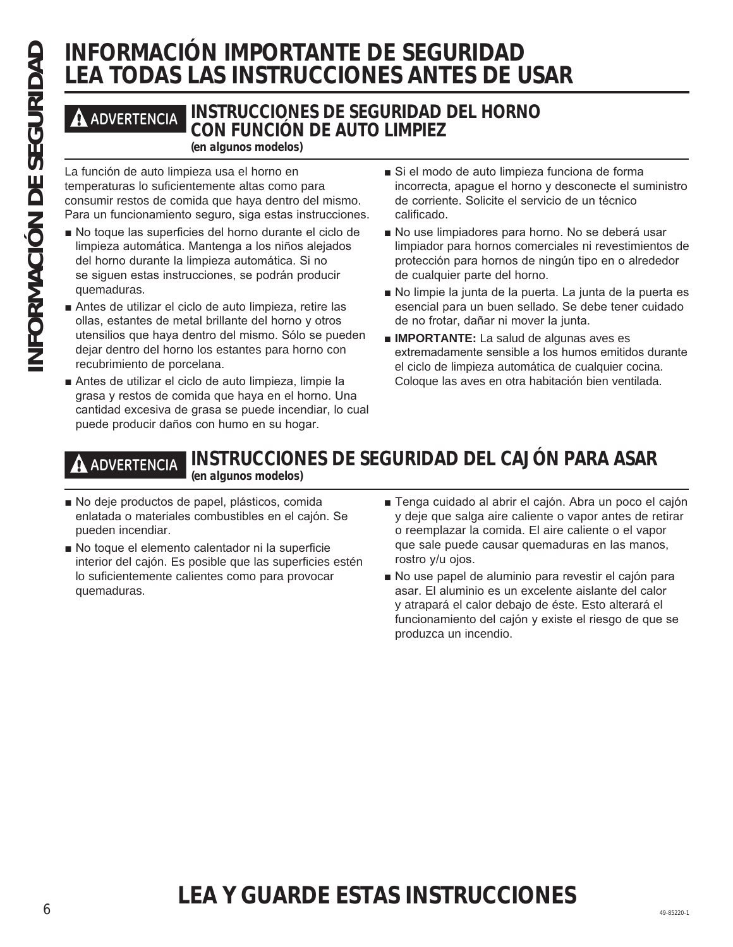# **INFORMACIÓN IMPORTANTE DE SEGURIDAD LEA TODAS LAS INSTRUCCIONES ANTES DE USAR**

### **ADVERTENCIA INSTRUCCIONES DE SEGURIDAD DEL HORNO CON FUNCIÓN DE AUTO LIMPIEZ**

**(en algunos modelos)**

La función de auto limpieza usa el horno en temperaturas lo suficientemente altas como para consumir restos de comida que haya dentro del mismo. Para un funcionamiento seguro, siga estas instrucciones.

- No toque las superficies del horno durante el ciclo de limpieza automática. Mantenga a los niños alejados del horno durante la limpieza automática. Si no se siguen estas instrucciones, se podrán producir quemaduras.
- Antes de utilizar el ciclo de auto limpieza, retire las ollas, estantes de metal brillante del horno y otros utensilios que haya dentro del mismo. Sólo se pueden dejar dentro del horno los estantes para horno con recubrimiento de porcelana.
- Antes de utilizar el ciclo de auto limpieza, limpie la grasa y restos de comida que haya en el horno. Una cantidad excesiva de grasa se puede incendiar, lo cual puede producir daños con humo en su hogar.
- Si el modo de auto limpieza funciona de forma incorrecta, apaque el horno y desconecte el suministro de corriente. Solicite el servicio de un técnico calificado.
- No use limpiadores para horno. No se deberá usar limpiador para hornos comerciales ni revestimientos de protección para hornos de ningún tipo en o alrededor de cualquier parte del horno.
- No limpie la junta de la puerta. La junta de la puerta es esencial para un buen sellado. Se debe tener cuidado de no frotar, dañar ni mover la junta.
- **IMPORTANTE:** La salud de algunas aves es extremadamente sensible a los humos emitidos durante el ciclo de limpieza automática de cualquier cocina. Coloque las aves en otra habitación bien ventilada.

**ADVERTENCIA INSTRUCCIONES DE SEGURIDAD DEL CAJÓN PARA ASAR (en algunos modelos)**

- No deje productos de papel, plásticos, comida enlatada o materiales combustibles en el cajón. Se pueden incendiar.
- No toque el elemento calentador ni la superficie interior del cajón. Es posible que las superficies estén lo suficientemente calientes como para provocar quemaduras.
- Tenga cuidado al abrir el cajón. Abra un poco el cajón y deje que salga aire caliente o vapor antes de retirar o reemplazar la comida. El aire caliente o el vapor que sale puede causar quemaduras en las manos, rostro y/u ojos.
- No use papel de aluminio para revestir el cajón para asar. El aluminio es un excelente aislante del calor y atrapará el calor debajo de éste. Esto alterará el funcionamiento del cajón y existe el riesgo de que se produzca un incendio.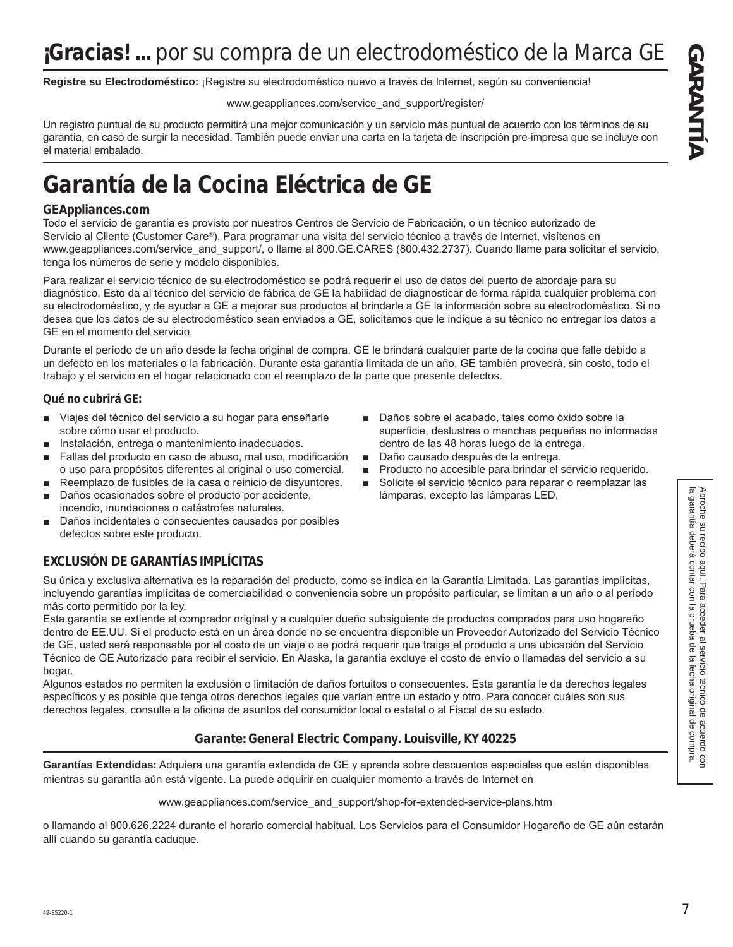Registre su Electrodoméstico: ¡Registre su electrodoméstico nuevo a través de Internet, según su conveniencia!

www.geappliances.com/service and support/register/

Un registro puntual de su producto permitirá una mejor comunicación y un servicio más puntual de acuerdo con los términos de su garantía, en caso de surgir la necesidad. También puede enviar una carta en la tarjeta de inscripción pre-impresa que se incluye con el material embalado.

# **Garantía de la Cocina Eléctrica de GE**

### **GEAppliances.com**

Todo el servicio de garantía es provisto por nuestros Centros de Servicio de Fabricación, o un técnico autorizado de Servicio al Cliente (Customer Care®). Para programar una visita del servicio técnico a través de Internet, visítenos en www.geappliances.com/service and support/, o llame al 800.GE.CARES (800.432.2737). Cuando llame para solicitar el servicio, tenga los números de serie y modelo disponibles.

Para realizar el servicio técnico de su electrodoméstico se podrá requerir el uso de datos del puerto de abordaje para su diagnóstico. Esto da al técnico del servicio de fábrica de GE la habilidad de diagnosticar de forma rápida cualquier problema con su electrodoméstico, y de ayudar a GE a mejorar sus productos al brindarle a GE la información sobre su electrodoméstico. Si no desea que los datos de su electrodoméstico sean enviados a GE, solicitamos que le indique a su técnico no entregar los datos a GE en el momento del servicio.

Durante el período de un año desde la fecha original de compra. GE le brindará cualquier parte de la cocina que falle debido a un defecto en los materiales o la fabricación. Durante esta garantía limitada de un año, GE también proveerá, sin costo, todo el trabajo y el servicio en el hogar relacionado con el reemplazo de la parte que presente defectos.

### **Qué no cubrirá GE:**

- Viajes del técnico del servicio a su hogar para enseñarle sobre cómo usar el producto.
- **Instalación, entrega o mantenimiento inadecuados.**
- Fallas del producto en caso de abuso, mal uso, modificación o uso para propósitos diferentes al original o uso comercial.
- Reemplazo de fusibles de la casa o reinicio de disyuntores.
- Daños ocasionados sobre el producto por accidente, incendio, inundaciones o catástrofes naturales.
- Daños incidentales o consecuentes causados por posibles defectos sobre este producto.

### **EXCLUSIÓN DE GARANTÍAS IMPLÍCITAS**

Su única y exclusiva alternativa es la reparación del producto, como se indica en la Garantía Limitada. Las garantías implícitas, incluyendo garantías implícitas de comerciabilidad o conveniencia sobre un propósito particular, se limitan a un año o al período más corto permitido por la ley.

Esta garantía se extiende al comprador original y a cualquier dueño subsiguiente de productos comprados para uso hogareño dentro de EE.UU. Si el producto está en un área donde no se encuentra disponible un Proveedor Autorizado del Servicio Técnico de GE, usted será responsable por el costo de un viaje o se podrá requerir que traiga el producto a una ubicación del Servicio Técnico de GE Autorizado para recibir el servicio. En Alaska, la garantía excluye el costo de envío o llamadas del servicio a su hogar.

Algunos estados no permiten la exclusión o limitación de daños fortuitos o consecuentes. Esta garantía le da derechos legales específicos y es posible que tenga otros derechos legales que varían entre un estado y otro. Para conocer cuáles son sus derechos legales, consulte a la oficina de asuntos del consumidor local o estatal o al Fiscal de su estado.

### **Garante: General Electric Company. Louisville, KY 40225**

Garantías Extendidas: Adquiera una garantía extendida de GE y aprenda sobre descuentos especiales que están disponibles mientras su garantía aún está vigente. La puede adquirir en cualquier momento a través de Internet en

www.geappliances.com/service\_and\_support/shop-for-extended-service-plans.htm

o llamando al 800.626.2224 durante el horario comercial habitual. Los Servicios para el Consumidor Hogareño de GE aún estarán allí cuando su garantía caduque.

- Daños sobre el acabado, tales como óxido sobre la superficie, deslustres o manchas pequeñas no informadas dentro de las 48 horas luego de la entrega.
- Daño causado después de la entrega.
- Producto no accesible para brindar el servicio requerido.
- Solicite el servicio técnico para reparar o reemplazar las lámparas, excepto las lámparas LED.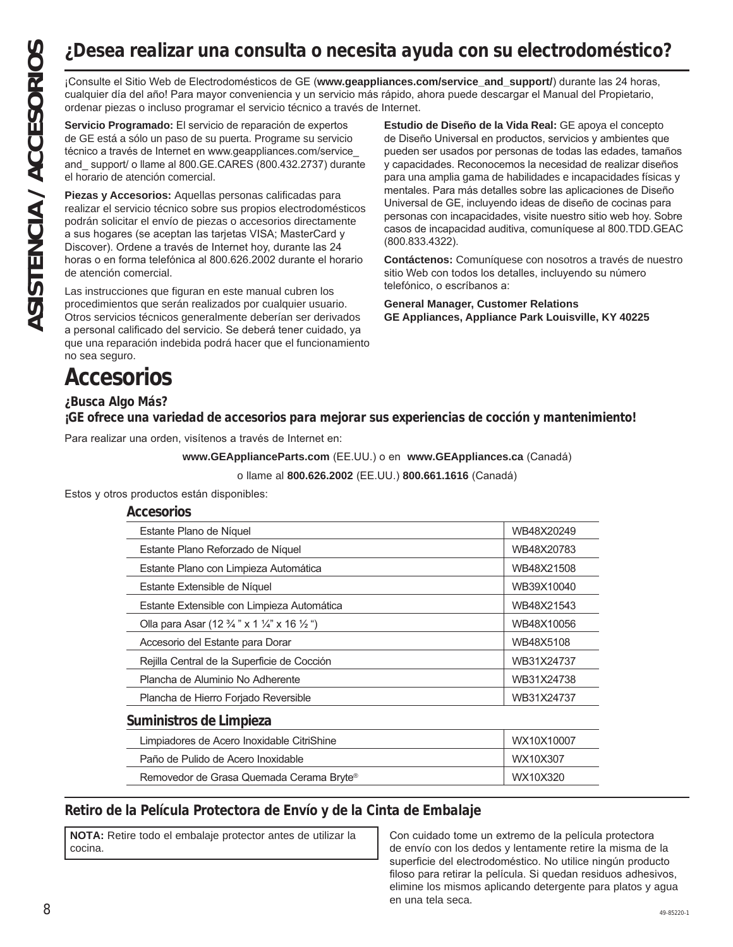# **¿Desea realizar una consulta o necesita ayuda con su electrodoméstico?**

cualquier día del año! Para mayor conveniencia y un servicio más rápido, ahora puede descargar el Manual del Propietario, ordenar piezas o incluso programar el servicio técnico a través de Internet.

Servicio Programado: El servicio de reparación de expertos de GE está a sólo un paso de su puerta. Programe su servicio técnico a través de Internet en www.geappliances.com/service and support/ o llame al 800.GE.CARES (800.432.2737) durante el horario de atención comercial.

**Piezas y Accesorios:** Aquellas personas calificadas para realizar el servicio técnico sobre sus propios electrodomésticos podrán solicitar el envío de piezas o accesorios directamente a sus hogares (se aceptan las tarjetas VISA; MasterCard y Discover). Ordene a través de Internet hoy, durante las 24 horas o en forma telefónica al 800.626.2002 durante el horario de atención comercial.

Las instrucciones que figuran en este manual cubren los procedimientos que serán realizados por cualquier usuario. Otros servicios técnicos generalmente deberían ser derivados a personal calificado del servicio. Se deberá tener cuidado, ya que una reparación indebida podrá hacer que el funcionamiento no sea seguro.

**Estudio de Diseño de la Vida Real:** GE apoya el concepto de Diseño Universal en productos, servicios y ambientes que pueden ser usados por personas de todas las edades, tamaños y capacidades. Reconocemos la necesidad de realizar diseños para una amplia gama de habilidades e incapacidades físicas y mentales. Para más detalles sobre las aplicaciones de Diseño Universal de GE, incluyendo ideas de diseño de cocinas para personas con incapacidades, visite nuestro sitio web hoy. Sobre casos de incapacidad auditiva, comuníquese al 800.TDD.GEAC  $(800.833.4322)$ . ASISTENCIA **ACCES**<br> **ASSEM ACCESS EXECUT CONSULTER CONSULTER CONSULTER CONSULTER CONSULTER CONSULTER CONSULTER CONSULTER CONSULTER CONSULTER CONSULTER CONSULTER CONSULTER CONSULTER CONSULTER CONSULTER SO CONSULTER CONS** 

**Contáctenos:** Comuníquese con nosotros a través de nuestro sitio Web con todos los detalles, incluyendo su número telefónico, o escríbanos a:

**General Manager, Customer Relations GE Appliances, Appliance Park Louisville, KY 40225**

# **Accesorios**

### **¿Busca Algo Más?**

**¡GE ofrece una variedad de accesorios para mejorar sus experiencias de cocción y mantenimiento!**

Para realizar una orden, visítenos a través de Internet en:

**www.GEApplianceParts.com** (EE.UU.) o en www.GEAppliances.ca (Canadá)

o llame al 800.626.2002 (EE.UU.) 800.661.1616 (Canadá)

Estos y otros productos están disponibles:

### **Accesorios**

| Estante Plano de Níquel                                                      | WB48X20249 |
|------------------------------------------------------------------------------|------------|
| Estante Plano Reforzado de Níquel                                            | WB48X20783 |
| Estante Plano con Limpieza Automática                                        | WB48X21508 |
| Estante Extensible de Níquel                                                 | WB39X10040 |
| Estante Extensible con Limpieza Automática                                   | WB48X21543 |
| Olla para Asar (12 $\frac{3}{4}$ " x 1 $\frac{1}{4}$ " x 16 $\frac{1}{2}$ ") | WB48X10056 |
| Accesorio del Estante para Dorar                                             | WB48X5108  |
| Rejilla Central de la Superficie de Cocción                                  | WB31X24737 |
| Plancha de Aluminio No Adherente                                             | WB31X24738 |
| Plancha de Hierro Forjado Reversible                                         | WB31X24737 |
| Suministros de Limpieza                                                      |            |
| WX10X10007<br>Limpiadores de Acero Inoxidable CitriShine                     |            |
| Paño de Pulido de Acero Inoxidable                                           | WX10X307   |
| Removedor de Grasa Quemada Cerama Bryte®                                     | WX10X320   |

### **Retiro de la Película Protectora de Envío y de la Cinta de Embalaje**

**NOTA:** Retire todo el embalaje protector antes de utilizar la cocina.

8 and the second second second second second second second second second second second second second second second second second second second second second second second second second second second second second second se Con cuidado tome un extremo de la película protectora de envío con los dedos y lentamente retire la misma de la superficie del electrodoméstico. No utilice ningún producto filoso para retirar la película. Si quedan residuos adhesivos, elimine los mismos aplicando detergente para platos y agua en una tela seca.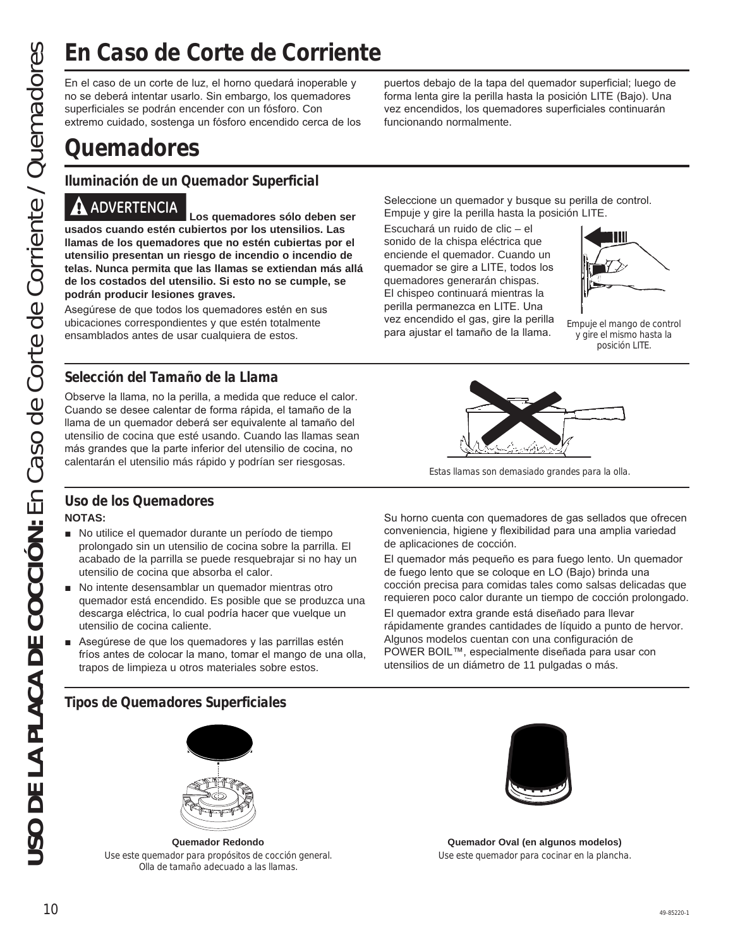no se deberá intentar usarlo. Sin embargo, los quemadores superficiales se podrán encender con un fósforo. Con extremo cuidado, sostenga un fósforo encendido cerca de los

# **Quemadores**

**Iluminación de un Quemador Superficial**

**USO DE LA CORTÉ DE CONTECTE CONTECTE CONTECTE CONTECTE CONTECTE COMPRESSENT (CORTE CORRECTENTE CORRECTE CONTECTE CONTECTE CONTECTE CONTECTE CONTECTE CONTECTE CONTECTE CONTECTE CONTECTE CONTECTE CONTECTE CONTECTE CONTECTE ADVERTENCIA Los quemadores sólo deben ser usados cuando estén cubiertos por los utensilios. Las llamas de los quemadores que no estén cubiertas por el utensilio presentan un riesgo de incendio o incendio de telas. Nunca permita que las llamas se extiendan más allá de los costados del utensilio. Si esto no se cumple, se podrán producir lesiones graves.**

Asegúrese de que todos los quemadores estén en sus ubicaciones correspondientes y que estén totalmente ensamblados antes de usar cualquiera de estos.

### **Selección del Tamaño de la Llama**

Observe la llama, no la perilla, a medida que reduce el calor. Cuando se desee calentar de forma rápida, el tamaño de la llama de un quemador deberá ser equivalente al tamaño del utensilio de cocina que esté usando. Cuando las llamas sean más grandes que la parte inferior del utensilio de cocina, no calentarán el utensilio más rápido y podrían ser riesgosas.

### **Uso de los Quemadores NOTAS:**

- No utilice el quemador durante un período de tiempo prolongado sin un utensilio de cocina sobre la parrilla. El acabado de la parrilla se puede resquebrajar si no hay un utensilio de cocina que absorba el calor.
- No intente desensamblar un quemador mientras otro quemador está encendido. Es posible que se produzca una descarga eléctrica, lo cual podría hacer que vuelque un utensilio de cocina caliente.
- Asegúrese de que los quemadores y las parrillas estén fríos antes de colocar la mano, tomar el mango de una olla, trapos de limpieza u otros materiales sobre estos.

### **Tipos de Quemadores Superficiales**



**Quemador Redondo** Use este quemador para propósitos de cocción general. Olla de tamaño adecuado a las llamas.

puertos debajo de la tapa del quemador superficial; luego de forma lenta gire la perilla hasta la posición LITE (Bajo). Una vez encendidos, los quemadores superficiales continuarán funcionando normalmente.

Seleccione un quemador y busque su perilla de control. Empuje y gire la perilla hasta la posición LITE.

Escuchará un ruido de clic – el sonido de la chispa eléctrica que enciende el quemador. Cuando un quemador se gire a LITE, todos los quemadores generarán chispas. El chispeo continuará mientras la perilla permanezca en LITE. Una vez encendido el gas, gire la perilla para ajustar el tamaño de la llama.



Empuje el mango de control y gire el mismo hasta la posición LITE.



Estas llamas son demasiado grandes para la olla.

Su horno cuenta con quemadores de gas sellados que ofrecen conveniencia, higiene y flexibilidad para una amplia variedad de aplicaciones de cocción.

El quemador más pequeño es para fuego lento. Un quemador de fuego lento que se coloque en LO (Bajo) brinda una cocción precisa para comidas tales como salsas delicadas que requieren poco calor durante un tiempo de cocción prolongado.

El quemador extra grande está diseñado para llevar rápidamente grandes cantidades de líquido a punto de hervor. Algunos modelos cuentan con una configuración de POWER BOIL™, especialmente diseñada para usar con utensilios de un diámetro de 11 pulgadas o más.



**Quemador Oval (en algunos modelos)** Use este quemador para cocinar en la plancha.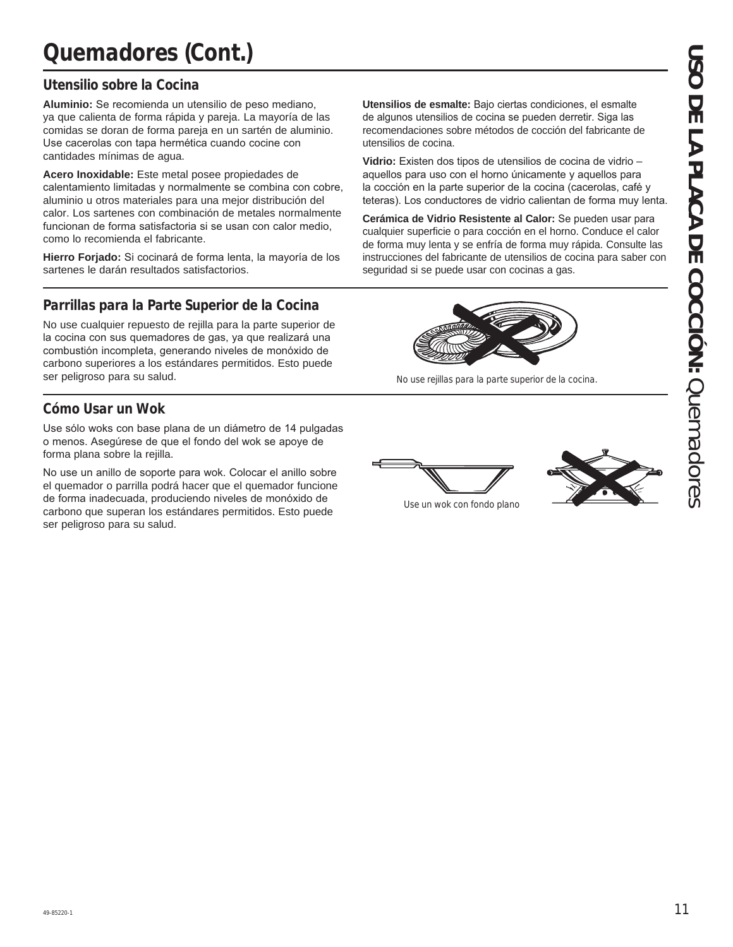### **Utensilio sobre la Cocina**

Aluminio: Se recomienda un utensilio de peso mediano, ya que calienta de forma rápida y pareja. La mayoría de las comidas se doran de forma pareja en un sartén de aluminio. Use cacerolas con tapa hermética cuando cocine con cantidades mínimas de agua.

**Acero Inoxidable:** Este metal posee propiedades de calentamiento limitadas y normalmente se combina con cobre, aluminio u otros materiales para una mejor distribución del calor. Los sartenes con combinación de metales normalmente funcionan de forma satisfactoria si se usan con calor medio. como lo recomienda el fabricante.

Hierro Forjado: Si cocinará de forma lenta, la mayoría de los sartenes le darán resultados satisfactorios.

### **Parrillas para la Parte Superior de la Cocina**

No use cualquier repuesto de rejilla para la parte superior de la cocina con sus quemadores de gas, va que realizará una combustión incompleta, generando niveles de monóxido de carbono superiores a los estándares permitidos. Esto puede ser peligroso para su salud.

### **Cómo Usar un Wok**

Use sólo woks con base plana de un diámetro de 14 pulgadas o menos. Asegúrese de que el fondo del wok se apoye de forma plana sobre la rejilla.

No use un anillo de soporte para wok. Colocar el anillo sobre el quemador o parrilla podrá hacer que el quemador funcione de forma inadecuada, produciendo niveles de monóxido de carbono que superan los estándares permitidos. Esto puede ser peligroso para su salud.

Utensilios de esmalte: Bajo ciertas condiciones, el esmalte de algunos utensilios de cocina se pueden derretir. Siga las recomendaciones sobre métodos de cocción del fabricante de utensilios de cocina.

**Vidrio:** Existen dos tipos de utensilios de cocina de vidrio aquellos para uso con el horno únicamente y aquellos para la cocción en la parte superior de la cocina (cacerolas, café y teteras). Los conductores de vidrio calientan de forma muy lenta.

**Cerámica de Vidrio Resistente al Calor:** Se pueden usar para cualquier superficie o para cocción en el horno. Conduce el calor de forma muy lenta y se enfría de forma muy rápida. Consulte las instrucciones del fabricante de utensilios de cocina para saber con seguridad si se puede usar con cocinas a gas.



No use rejillas para la parte superior de la cocina.





Use un wok con fondo plano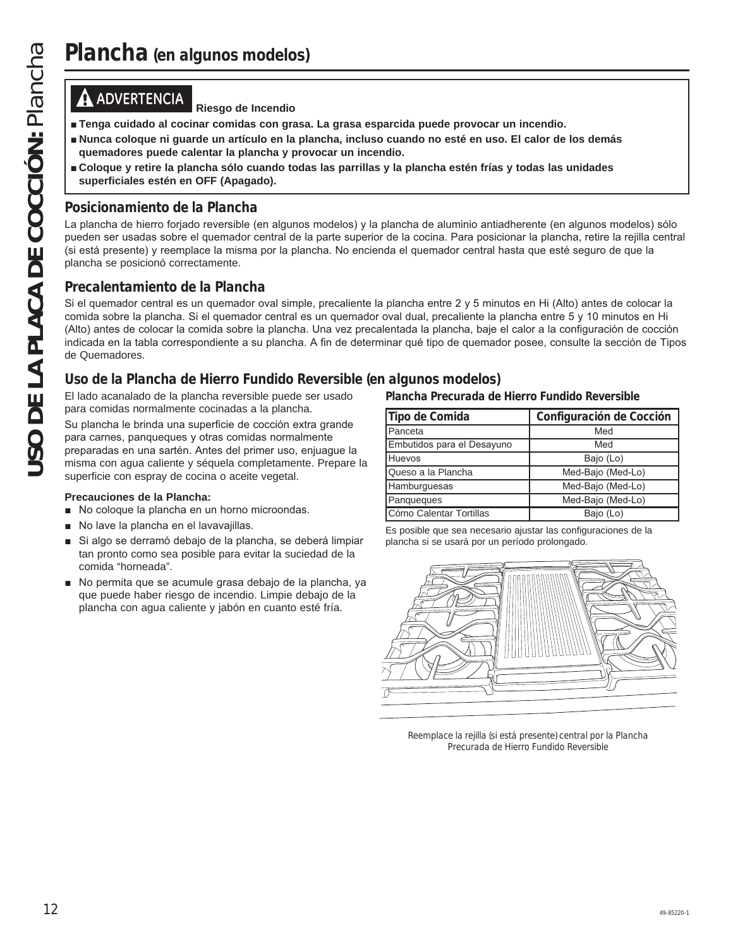**ADVERTENCIA Riesgo de Incendio**

- **E** Tenga cuidado al cocinar comidas con grasa. La grasa esparcida puede provocar un incendio.
- **Nunca coloque ni guarde un artículo en la plancha, incluso cuando no esté en uso. El calor de los demás quemadores puede calentar la plancha y provocar un incendio.**
- **E** Coloque y retire la plancha sólo cuando todas las parrillas y la plancha estén frías y todas las unidades **superficiales estén en OFF (Apagado).**

### **Posicionamiento de la Plancha**

La plancha de hierro forjado reversible (en algunos modelos) y la plancha de aluminio antiadherente (en algunos modelos) sólo pueden ser usadas sobre el quemador central de la parte superior de la cocina. Para posicionar la plancha, retire la rejilla central (si está presente) y reemplace la misma por la plancha. No encienda el quemador central hasta que esté seguro de que la plancha se posicionó correctamente.

### **Precalentamiento de la Plancha**

**Plancha (en algunos modelos)**<br> **Transa cuidade al cocinar comidas con grass**<br> **Transa cuidade al cocinar comidas con grass**<br> **Exerce Cocoque a** plancha plancha proposition is a plancha pueden transa piede calentra la plan Si el quemador central es un quemador oval simple, precaliente la plancha entre 2 y 5 minutos en Hi (Alto) antes de colocar la comida sobre la plancha. Si el quemador central es un quemador oval dual, precaliente la plancha entre 5 y 10 minutos en Hi (Alto) antes de colocar la comida sobre la plancha. Una vez precalentada la plancha, baje el calor a la configuración de cocción indicada en la tabla correspondiente a su plancha. A fin de determinar qué tipo de quemador posee, consulte la sección de Tipos de Quemadores.

### **Uso de la Plancha de Hierro Fundido Reversible (en algunos modelos)**

El lado acanalado de la plancha reversible puede ser usado para comidas normalmente cocinadas a la plancha.

Su plancha le brinda una superficie de cocción extra grande para carnes, panqueques y otras comidas normalmente preparadas en una sartén. Antes del primer uso, enjuaque la misma con agua caliente y séquela completamente. Prepare la superficie con espray de cocina o aceite vegetal.

### **Precauciones de la Plancha:**

- No coloque la plancha en un horno microondas.
- No lave la plancha en el lavavajillas.
- Si algo se derramó debajo de la plancha, se deberá limpiar tan pronto como sea posible para evitar la suciedad de la comida "horneada".
- No permita que se acumule grasa debajo de la plancha, ya que puede haber riesgo de incendio. Limpie debajo de la plancha con agua caliente y jabón en cuanto esté fría.

**Plancha Precurada de Hierro Fundido Reversible**

| Tipo de Comida             | Configuración de Cocción |
|----------------------------|--------------------------|
| Panceta                    | Med                      |
| Embutidos para el Desayuno | Med                      |
| <b>Huevos</b>              | Bajo (Lo)                |
| Queso a la Plancha         | Med-Bajo (Med-Lo)        |
| Hamburguesas               | Med-Bajo (Med-Lo)        |
| Panqueques                 | Med-Bajo (Med-Lo)        |
| Cómo Calentar Tortillas    | Bajo (Lo)                |

Es posible que sea necesario ajustar las configuraciones de la plancha si se usará por un período prolongado.



Reemplace la rejilla (si está presente) central por la Plancha Precurada de Hierro Fundido Reversible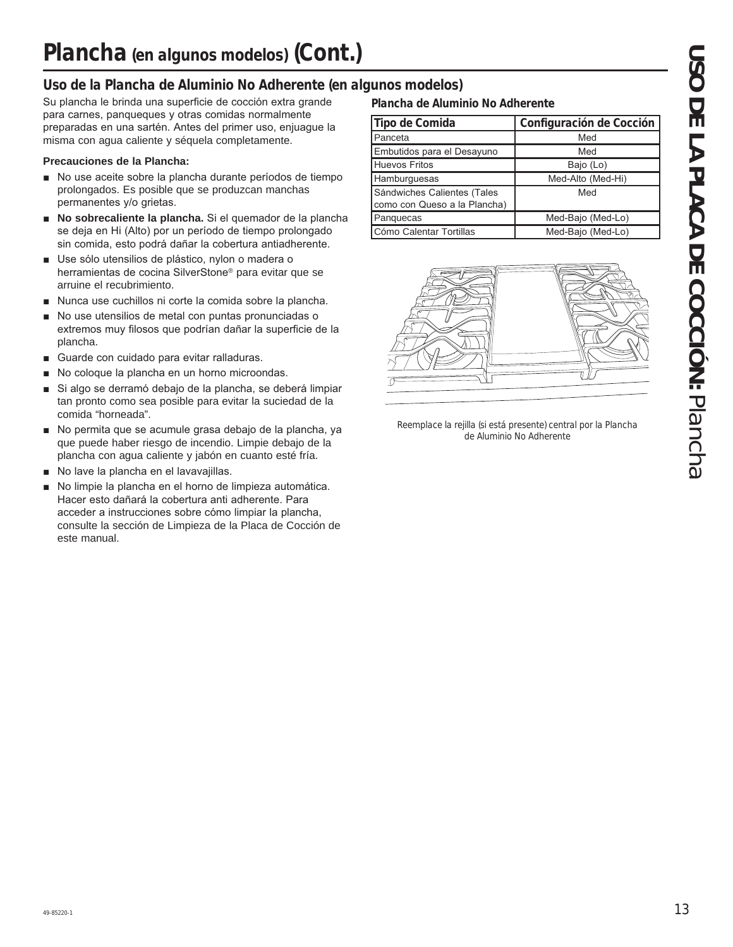### **Uso de la Plancha de Aluminio No Adherente (en algunos modelos)**

Su plancha le brinda una superficie de cocción extra grande para carnes, panqueques y otras comidas normalmente preparadas en una sartén. Antes del primer uso, enjuague la misma con agua caliente y séquela completamente.

### **Precauciones de la Plancha:**

- No use aceite sobre la plancha durante períodos de tiempo prolongados. Es posible que se produzcan manchas permanentes y/o grietas.
- No sobrecaliente la plancha. Si el quemador de la plancha se deja en Hi (Alto) por un período de tiempo prolongado sin comida, esto podrá dañar la cobertura antiadherente.
- Use sólo utensilios de plástico, nylon o madera o herramientas de cocina SilverStone® para evitar que se arruine el recubrimiento.
- Nunca use cuchillos ni corte la comida sobre la plancha.
- $\blacksquare$  No use utensilios de metal con puntas pronunciadas o extremos muy filosos que podrían dañar la superficie de la plancha.
- **E** Guarde con cuidado para evitar ralladuras.
- No coloque la plancha en un horno microondas.
- Si algo se derramó debajo de la plancha, se deberá limpiar tan pronto como sea posible para evitar la suciedad de la comida "horneada".
- No permita que se acumule grasa debajo de la plancha, ya que puede haber riesgo de incendio. Limpie debajo de la plancha con agua caliente y jabón en cuanto esté fría.
- No lave la plancha en el lavavajillas.
- No limpie la plancha en el horno de limpieza automática. Hacer esto dañará la cobertura anti adherente. Para acceder a instrucciones sobre cómo limpiar la plancha, consulte la sección de Limpieza de la Placa de Cocción de este manual.

### **Plancha de Aluminio No Adherente**

| Tipo de Comida                                              | Configuración de Cocción |
|-------------------------------------------------------------|--------------------------|
| Panceta                                                     | Med                      |
| Embutidos para el Desayuno                                  | Med                      |
| <b>Huevos Fritos</b>                                        | Bajo (Lo)                |
| Hamburguesas                                                | Med-Alto (Med-Hi)        |
| Sándwiches Calientes (Tales<br>como con Queso a la Plancha) | Med                      |
| Panquecas                                                   | Med-Bajo (Med-Lo)        |
| Cómo Calentar Tortillas                                     | Med-Bajo (Med-Lo)        |



Reemplace la rejilla (si está presente) central por la Plancha de Aluminio No Adherente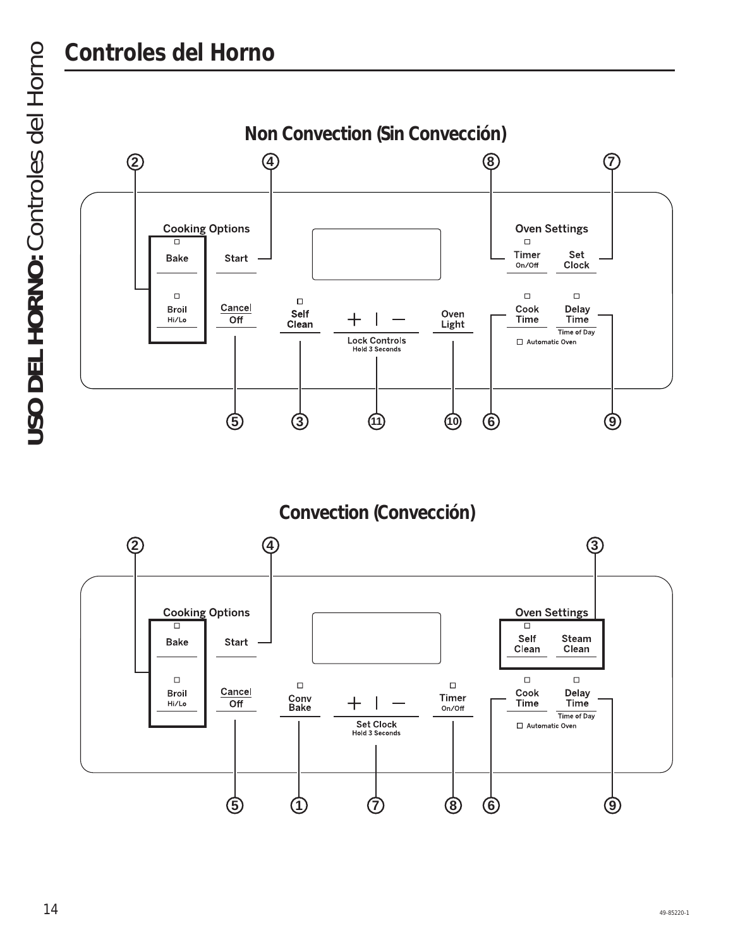

**Convection (Convección)**

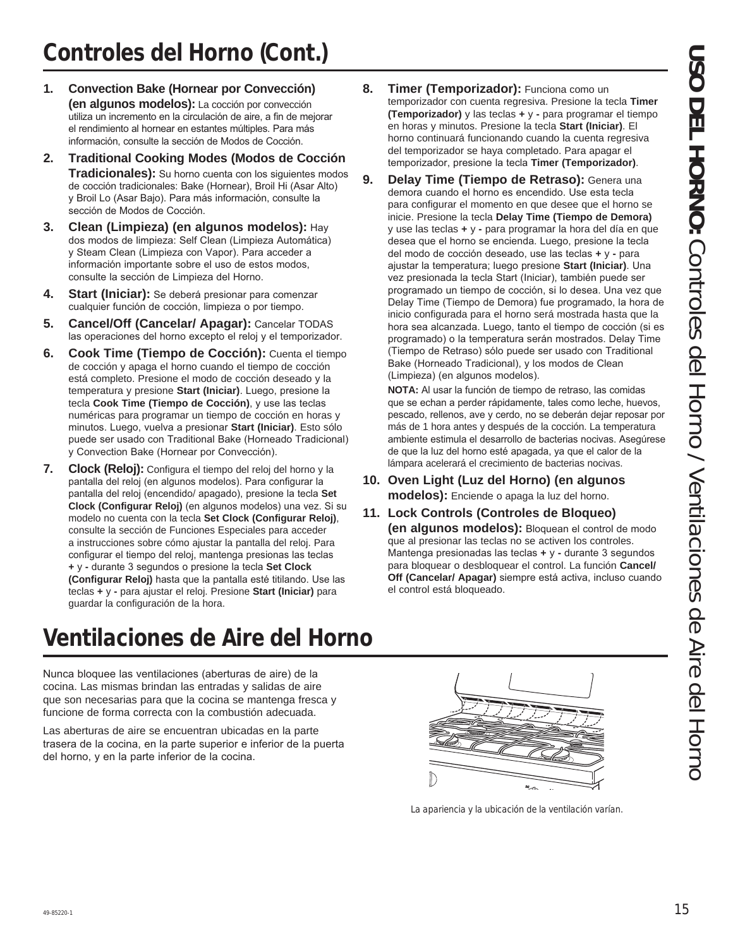- **1. Convection Bake (Hornear por Convección) (en algunos modelos):** La cocción por convección utiliza un incremento en la circulación de aire, a fin de mejorar el rendimiento al hornear en estantes múltiples. Para más información, consulte la sección de Modos de Cocción.
- **2. Traditional Cooking Modes (Modos de Cocción Tradicionales):** Su horno cuenta con los siguientes modos de cocción tradicionales: Bake (Hornear), Broil Hi (Asar Alto) y Broil Lo (Asar Bajo). Para más información, consulte la sección de Modos de Cocción.
- **3. Clean (Limpieza) (en algunos modelos):** Hay dos modos de limpieza: Self Clean (Limpieza Automática) y Steam Clean (Limpieza con Vapor). Para acceder a información importante sobre el uso de estos modos, consulte la sección de Limpieza del Horno.
- **4. Start (Iniciar):** Se deberá presionar para comenzar cualquier función de cocción, limpieza o por tiempo.
- **5. Cancel/Off (Cancelar/ Apagar):** Cancelar TODAS las operaciones del horno excepto el reloj y el temporizador.
- **6. Cook Time (Tiempo de Cocción):** Cuenta el tiempo de cocción y apaga el horno cuando el tiempo de cocción está completo. Presione el modo de cocción deseado y la temperatura y presione **Start (Iniciar)**. Luego, presione la tecla **Cook Time (Tiempo de Cocción)**, y use las teclas numéricas para programar un tiempo de cocción en horas y minutos. Luego, vuelva a presionar Start (Iniciar). Esto sólo puede ser usado con Traditional Bake (Horneado Tradicional) y Convection Bake (Hornear por Convección).
- **7. Clock (Reloj):** Configura el tiempo del reloj del horno y la pantalla del reloj (en algunos modelos). Para configurar la pantalla del reloj (encendido/ apagado), presione la tecla Set **Clock (Configurar Reloj)** (en algunos modelos) una vez. Si su modelo no cuenta con la tecla **Set Clock (Configurar Reloj)** consulte la sección de Funciones Especiales para acceder a instrucciones sobre cómo ajustar la pantalla del reloj. Para configurar el tiempo del reloj, mantenga presionas las teclas **+** y - durante 3 segundos o presione la tecla Set Clock (Configurar Reloj) hasta que la pantalla esté titilando. Use las teclas **+** y **-** para ajustar el reloj. Presione **Start (Iniciar)** para guardar la configuración de la hora.
- **8. Timer (Temporizador):** Funciona como un temporizador con cuenta regresiva. Presione la tecla **Timer (Temporizador)** y las teclas **+** y **-** para programar el tiempo en horas y minutos. Presione la tecla **Start (Iniciar)**. El horno continuará funcionando cuando la cuenta regresiva del temporizador se haya completado. Para apagar el temporizador, presione la tecla Timer (Temporizador).
- **9. Delay Time (Tiempo de Retraso):** Genera una demora cuando el horno es encendido. Use esta tecla para configurar el momento en que desee que el horno se inicie. Presione la tecla **Delay Time (Tiempo de Demora)** y use las teclas **+** y **-** para programar la hora del día en que desea que el horno se encienda. Luego, presione la tecla del modo de cocción deseado, use las teclas + y - para ajustar la temperatura; luego presione Start (Iniciar). Una vez presionada la tecla Start (Iniciar), también puede ser programado un tiempo de cocción, si lo desea. Una vez que Delay Time (Tiempo de Demora) fue programado, la hora de inicio configurada para el horno será mostrada hasta que la hora sea alcanzada. Luego, tanto el tiempo de cocción (si es programado) o la temperatura serán mostrados. Delay Time (Tiempo de Retraso) sólo puede ser usado con Traditional Bake (Horneado Tradicional), y los modos de Clean (Limpieza) (en algunos modelos).

**NOTA:** Al usar la función de tiempo de retraso, las comidas que se echan a perder rápidamente, tales como leche, huevos, pescado, rellenos, ave y cerdo, no se deberán dejar reposar por más de 1 hora antes y después de la cocción. La temperatura ambiente estimula el desarrollo de bacterias nocivas. Aseqúrese de que la luz del horno esté apagada, ya que el calor de la lámpara acelerará el crecimiento de bacterias nocivas.

- **10. Oven Light (Luz del Horno) (en algunos modelos):** Enciende o apaga la luz del horno.
- **11. Lock Controls (Controles de Bloqueo) (en algunos modelos):** Bloquean el control de modo que al presionar las teclas no se activen los controles. Mantenga presionadas las teclas + y - durante 3 segundos para bloquear o desbloquear el control. La función **Cancel/ Off (Cancelar/ Apagar)** siempre está activa, incluso cuando el control está bloqueado.

# **Ventilaciones de Aire del Horno**

Nunca bloquee las ventilaciones (aberturas de aire) de la cocina. Las mismas brindan las entradas y salidas de aire que son necesarias para que la cocina se mantenga fresca y funcione de forma correcta con la combustión adecuada.

Las aberturas de aire se encuentran ubicadas en la parte trasera de la cocina, en la parte superior e inferior de la puerta del horno, y en la parte inferior de la cocina.



La apariencia y la ubicación de la ventilación varían.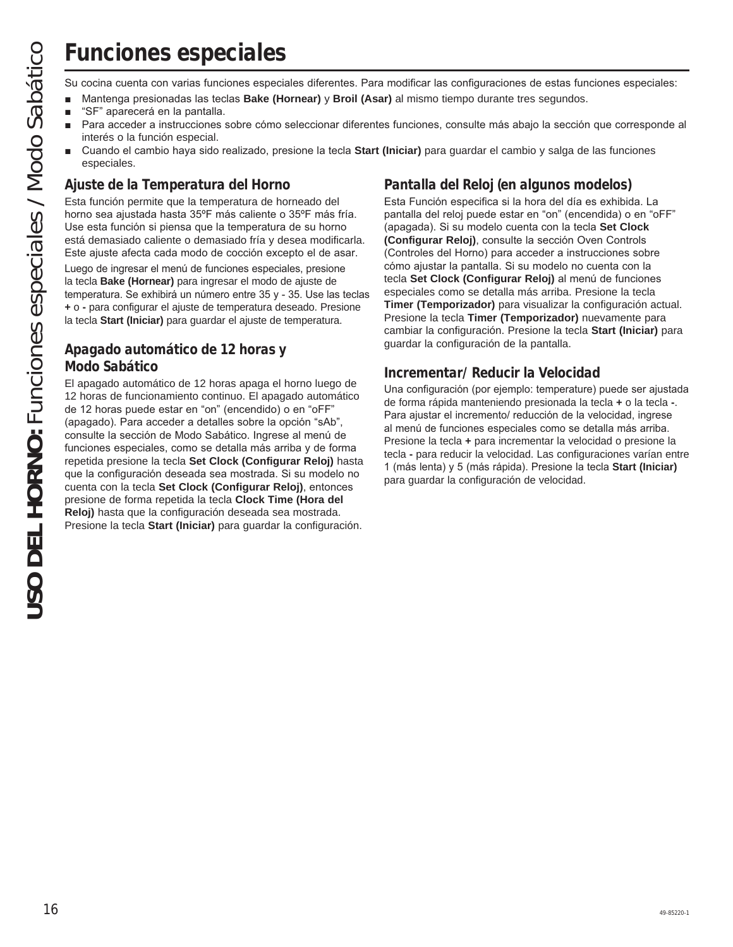Su cocina cuenta con varias funciones especiales diferentes. Para modificar las configuraciones de estas funciones especiales:

- **n** Mantenga presionadas las teclas **Bake (Hornear)** y **Broil (Asar)** al mismo tiempo durante tres segundos.
- "SF" aparecerá en la pantalla.
- Para acceder a instrucciones sobre cómo seleccionar diferentes funciones, consulte más abajo la sección que corresponde al interés o la función especial.
- Cuando el cambio haya sido realizado, presione la tecla Start (Iniciar) para guardar el cambio y salga de las funciones especiales.

### **Ajuste de la Temperatura del Horno**

Esta función permite que la temperatura de horneado del horno sea ajustada hasta 35°F más caliente o 35°F más fría. Use esta función si piensa que la temperatura de su horno está demasiado caliente o demasiado fría y desea modificarla. Este ajuste afecta cada modo de cocción excepto el de asar.

Luego de ingresar el menú de funciones especiales, presione la tecla **Bake (Hornear)** para ingresar el modo de ajuste de temperatura. Se exhibirá un número entre 35 y - 35. Use las teclas **+** o **-** para configurar el ajuste de temperatura deseado. Presione la tecla **Start (Iniciar)** para guardar el ajuste de temperatura.

### **Apagado automático de 12 horas y Modo Sabático**

El apagado automático de 12 horas apaga el horno luego de 12 horas de funcionamiento continuo. El apagado automático de 12 horas puede estar en "on" (encendido) o en "oFF" (apagado). Para acceder a detalles sobre la opción "sAb", consulte la sección de Modo Sabático. Ingrese al menú de funciones especiales, como se detalla más arriba y de forma repetida presione la tecla **Set Clock (Configurar Reloj)** hasta que la configuración deseada sea mostrada. Si su modelo no cuenta con la tecla Set Clock (Configurar Reloj), entonces presione de forma repetida la tecla **Clock Time (Hora del Reloj)** hasta que la configuración deseada sea mostrada. Presione la tecla **Start (Iniciar)** para guardar la configuración.

### **Pantalla del Reloj (en algunos modelos)**

Esta Función especifica si la hora del día es exhibida. La pantalla del reloj puede estar en "on" (encendida) o en "oFF" (apagada). Si su modelo cuenta con la tecla **Set Clock (Configurar Reloj)**, consulte la sección Oven Controls (Controles del Horno) para acceder a instrucciones sobre cómo ajustar la pantalla. Si su modelo no cuenta con la tecla Set Clock (Configurar Reloj) al menú de funciones especiales como se detalla más arriba. Presione la tecla **Timer (Temporizador)** para visualizar la configuración actual. Presione la tecla **Timer (Temporizador)** nuevamente para cambiar la configuración. Presione la tecla **Start (Iniciar)** para guardar la configuración de la pantalla.

### **Incrementar/ Reducir la Velocidad**

Una configuración (por ejemplo: temperature) puede ser ajustada de forma rápida manteniendo presionada la tecla **+** o la tecla **-**. Para ajustar el incremento/ reducción de la velocidad, ingrese al menú de funciones especiales como se detalla más arriba. Presione la tecla **+** para incrementar la velocidad o presione la tecla **-** para reducir la velocidad. Las configuraciones varían entre 1 (más lenta) y 5 (más rápida). Presione la tecla Start (Iniciar) para guardar la configuración de velocidad.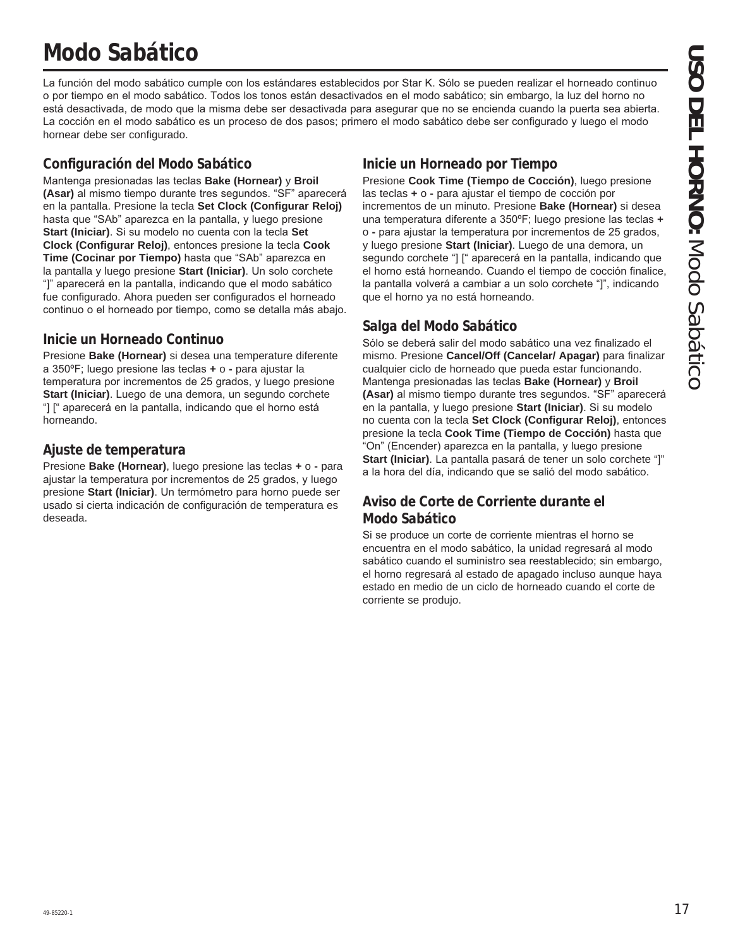# **Modo Sabático**

La función del modo sabático cumple con los estándares establecidos por Star K. Sólo se pueden realizar el horneado continuo o por tiempo en el modo sabático. Todos los tonos están desactivados en el modo sabático; sin embargo, la luz del horno no está desactivada, de modo que la misma debe ser desactivada para asequrar que no se encienda cuando la puerta sea abierta. La cocción en el modo sabático es un proceso de dos pasos; primero el modo sabático debe ser configurado y luego el modo hornear debe ser configurado.

### **Configuración del Modo Sabático**

Mantenga presionadas las teclas **Bake (Hornear)** y **Broil** (Asar) al mismo tiempo durante tres segundos. "SF" aparecerá en la pantalla. Presione la tecla **Set Clock (Configurar Reloj)** hasta que "SAb" aparezca en la pantalla, y luego presione **Start (Iniciar)**. Si su modelo no cuenta con la tecla Set **Clock (Configurar Reloj)**, entonces presione la tecla **Cook Time (Cocinar por Tiempo)** hasta que "SAb" aparezca en la pantalla y luego presione **Start (Iniciar)**. Un solo corchete "]" aparecerá en la pantalla, indicando que el modo sabático fue configurado. Ahora pueden ser configurados el horneado continuo o el horneado por tiempo, como se detalla más abajo.

### **Inicie un Horneado Continuo**

Presione **Bake (Hornear)** si desea una temperature diferente a 350°F; luego presione las teclas + o - para ajustar la temperatura por incrementos de 25 grados, y luego presione Start (Iniciar). Luego de una demora, un segundo corchete "] [" aparecerá en la pantalla, indicando que el horno está horneando.

### **Ajuste de temperatura**

Presione Bake (Hornear), luego presione las teclas + o - para ajustar la temperatura por incrementos de 25 grados, y luego presione Start (Iniciar). Un termómetro para horno puede ser usado si cierta indicación de configuración de temperatura es deseada.

### **Inicie un Horneado por Tiempo**

Presione Cook Time (Tiempo de Cocción), luego presione las teclas **+** o **-** para ajustar el tiempo de cocción por incrementos de un minuto. Presione **Bake (Hornear)** si desea una temperatura diferente a 350°F; luego presione las teclas + o - para ajustar la temperatura por incrementos de 25 grados, y luego presione **Start (Iniciar)**. Luego de una demora, un segundo corchete "] [" aparecerá en la pantalla, indicando que el horno está horneando. Cuando el tiempo de cocción finalice, la pantalla volverá a cambiar a un solo corchete "]", indicando que el horno ya no está horneando.

### **Salga del Modo Sabático**

Sólo se deberá salir del modo sabático una vez finalizado el mismo. Presione **Cancel/Off (Cancelar/ Apagar)** para finalizar cualquier ciclo de horneado que pueda estar funcionando. Mantenga presionadas las teclas **Bake (Hornear)** y **Broil** (Asar) al mismo tiempo durante tres segundos. "SF" aparecerá en la pantalla, y luego presione Start (Iniciar). Si su modelo no cuenta con la tecla Set Clock (Configurar Reloj), entonces presione la tecla **Cook Time (Tiempo de Cocción)** hasta que .<br>"On" (Encender) aparezca en la pantalla, y luego presione **Start (Iniciar)**. La pantalla pasará de tener un solo corchete "]" a la hora del día, indicando que se salió del modo sabático.

### **Aviso de Corte de Corriente durante el Modo Sabático**

Si se produce un corte de corriente mientras el horno se encuentra en el modo sabático, la unidad regresará al modo sabático cuando el suministro sea reestablecido; sin embargo, el horno regresará al estado de apagado incluso aunque haya estado en medio de un ciclo de horneado cuando el corte de corriente se produjo.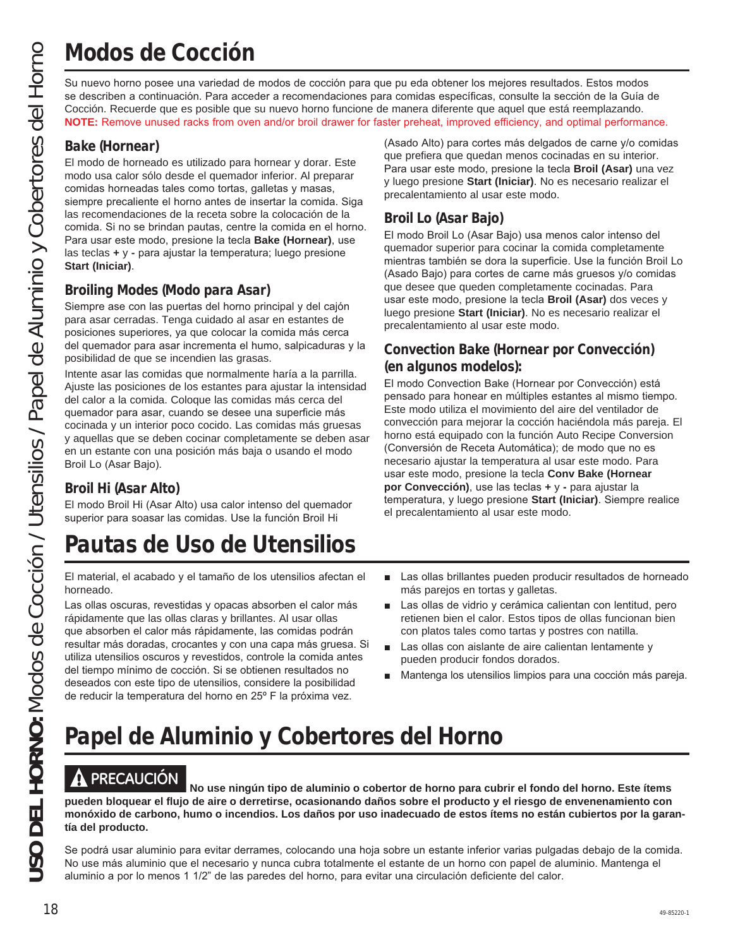# **Modos de Cocción**

Su nuevo horno posee una variedad de modos de cocción para que pu eda obtener los mejores resultados. Estos modos se describen a continuación. Para acceder a recomendaciones para comidas específicas, consulte la sección de la Guía de Cocción. Recuerde que es posible que su nuevo horno funcione de manera diferente que aquel que está reemplazando. **NOTE:** Remove unused racks from oven and/or broil drawer for faster preheat, improved efficiency, and optimal performance.

### **Bake (Hornear)**

El modo de horneado es utilizado para hornear y dorar. Este modo usa calor sólo desde el quemador inferior. Al preparar comidas horneadas tales como tortas, galletas y masas, siempre precaliente el horno antes de insertar la comida. Siga las recomendaciones de la receta sobre la colocación de la comida. Si no se brindan pautas, centre la comida en el horno. Para usar este modo, presione la tecla **Bake (Hornear)**, use las teclas **+** y **-** para ajustar la temperatura; luego presione **Start (Iniciar)**.

### **Broiling Modes (Modo para Asar)**

Siempre ase con las puertas del horno principal y del cajón para asar cerradas. Tenga cuidado al asar en estantes de posiciones superiores, ya que colocar la comida más cerca del quemador para asar incrementa el humo, salpicaduras y la posibilidad de que se incendien las grasas.

Intente asar las comidas que normalmente haría a la parrilla. Ajuste las posiciones de los estantes para ajustar la intensidad del calor a la comida. Coloque las comidas más cerca del quemador para asar, cuando se desee una superficie más cocinada y un interior poco cocido. Las comidas más gruesas y aquellas que se deben cocinar completamente se deben asar en un estante con una posición más baja o usando el modo Broil Lo (Asar Bajo).

### **Broil Hi (Asar Alto)**

El modo Broil Hi (Asar Alto) usa calor intenso del quemador superior para soasar las comidas. Use la función Broil Hi

# **Pautas de Uso de Utensilios**

El material, el acabado y el tamaño de los utensilios afectan el horneado.

Las ollas oscuras, revestidas y opacas absorben el calor más rápidamente que las ollas claras y brillantes. Al usar ollas que absorben el calor más rápidamente, las comidas podrán resultar más doradas, crocantes y con una capa más gruesa. Si utiliza utensilios oscuros y revestidos, controle la comida antes del tiempo mínimo de cocción. Si se obtienen resultados no deseados con este tipo de utensilios, considere la posibilidad de reducir la temperatura del horno en 25º F la próxima vez.

(Asado Alto) para cortes más delgados de carne y/o comidas que prefiera que quedan menos cocinadas en su interior. Para usar este modo, presione la tecla **Broil (Asar)** una vez y luego presione **Start (Iniciar)**. No es necesario realizar el precalentamiento al usar este modo.

### **Broil Lo (Asar Bajo)**

El modo Broil Lo (Asar Bajo) usa menos calor intenso del quemador superior para cocinar la comida completamente mientras también se dora la superficie. Use la función Broil Lo (Asado Bajo) para cortes de carne más gruesos y/o comidas que desee que queden completamente cocinadas. Para usar este modo, presione la tecla **Broil (Asar)** dos veces y luego presione **Start (Iniciar)**. No es necesario realizar el precalentamiento al usar este modo.

### **Convection Bake (Hornear por Convección) (en algunos modelos):**

El modo Convection Bake (Hornear por Convección) está pensado para honear en múltiples estantes al mismo tiempo. Este modo utiliza el movimiento del aire del ventilador de convección para mejorar la cocción haciéndola más pareja. El horno está equipado con la función Auto Recipe Conversion (Conversión de Receta Automática); de modo que no es necesario ajustar la temperatura al usar este modo. Para usar este modo, presione la tecla Conv Bake (Hornear **por Convección)**, use las teclas + y - para ajustar la temperatura, y luego presione Start (Iniciar). Siempre realice el precalentamiento al usar este modo.

- Las ollas brillantes pueden producir resultados de horneado más parejos en tortas y galletas.
- Las ollas de vidrio y cerámica calientan con lentitud, pero retienen bien el calor. Estos tipos de ollas funcionan bien con platos tales como tartas y postres con natilla.
- $\blacksquare$  Las ollas con aislante de aire calientan lentamente y pueden producir fondos dorados.
- Mantenga los utensilios limpios para una cocción más pareja.

# **Papel de Aluminio y Cobertores del Horno**

**A PRECAUCIÓN**<br>No use ningún tipo de aluminio o cobertor de horno para cubrir el fondo del horno. Este ítems **pueden bloquear el flujo de aire o derretirse, ocasionando daños sobre el producto y el riesgo de envenenamiento con monóxido de carbono, humo o incendios. Los daños por uso inadecuado de estos ítems no están cubiertos por la garantía del producto.**

Se podrá usar aluminio para evitar derrames, colocando una hoja sobre un estante inferior varias pulgadas debajo de la comida. No use más aluminio que el necesario y nunca cubra totalmente el estante de un horno con papel de aluminio. Mantenga el aluminio a por lo menos 1 1/2" de las paredes del horno, para evitar una circulación deficiente del calor.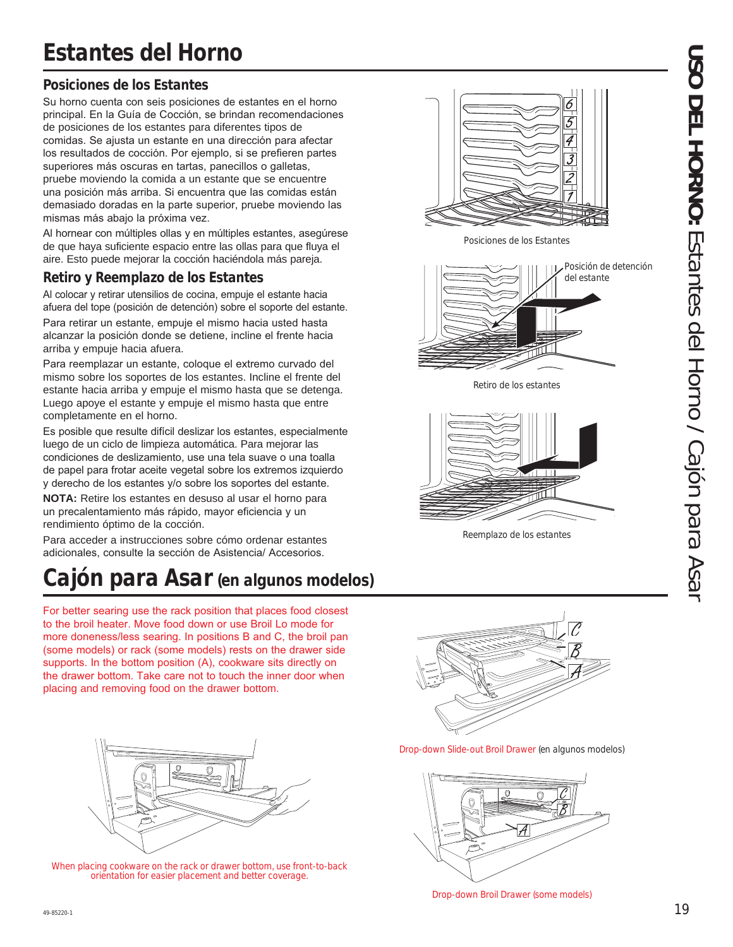### **Posiciones de los Estantes**

Su horno cuenta con seis posiciones de estantes en el horno principal. En la Guía de Cocción, se brindan recomendaciones de posiciones de los estantes para diferentes tipos de comidas. Se ajusta un estante en una dirección para afectar los resultados de cocción. Por ejemplo, si se prefieren partes superiores más oscuras en tartas, panecillos o galletas, pruebe moviendo la comida a un estante que se encuentre una posición más arriba. Si encuentra que las comidas están demasiado doradas en la parte superior, pruebe moviendo las mismas más abajo la próxima vez.

Al hornear con múltiples ollas y en múltiples estantes, asequirese de que haya suficiente espacio entre las ollas para que fluya el aire. Esto puede mejorar la cocción haciéndola más pareja.

### **Retiro y Reemplazo de los Estantes**

Al colocar y retirar utensilios de cocina, empuje el estante hacia afuera del tope (posición de detención) sobre el soporte del estante. Para retirar un estante, empuje el mismo hacia usted hasta alcanzar la posición donde se detiene, incline el frente hacia arriba y empuje hacia afuera.

Para reemplazar un estante, coloque el extremo curvado del mismo sobre los soportes de los estantes. Incline el frente del estante hacia arriba y empuje el mismo hasta que se detenga. Luego apoye el estante y empuje el mismo hasta que entre completamente en el horno.

Es posible que resulte difícil deslizar los estantes, especialmente luego de un ciclo de limpieza automática. Para mejorar las condiciones de deslizamiento, use una tela suave o una toalla de papel para frotar aceite vegetal sobre los extremos izquierdo y derecho de los estantes y/o sobre los soportes del estante.

**NOTA:** Retire los estantes en desuso al usar el horno para un precalentamiento más rápido, mayor eficiencia y un rendimiento óptimo de la cocción.

Para acceder a instrucciones sobre cómo ordenar estantes adicionales, consulte la sección de Asistencia/ Accesorios.

# **Cajón para Asar (en algunos modelos)**

For better searing use the rack position that places food closest to the broil heater. Move food down or use Broil Lo mode for more doneness/less searing. In positions B and C, the broil pan (some models) or rack (some models) rests on the drawer side supports. In the bottom position  $(A)$ , cookware sits directly on the drawer bottom. Take care not to touch the inner door when placing and removing food on the drawer bottom.



When placing cookware on the rack or drawer bottom, use front-to-back orientation for easier placement and better coverage.



Drop-down Slide-out Broil Drawer (en algunos modelos)



Drop-down Broil Drawer (some models)



Posiciones de los Estantes



Retiro de los estantes



Reemplazo de los estantes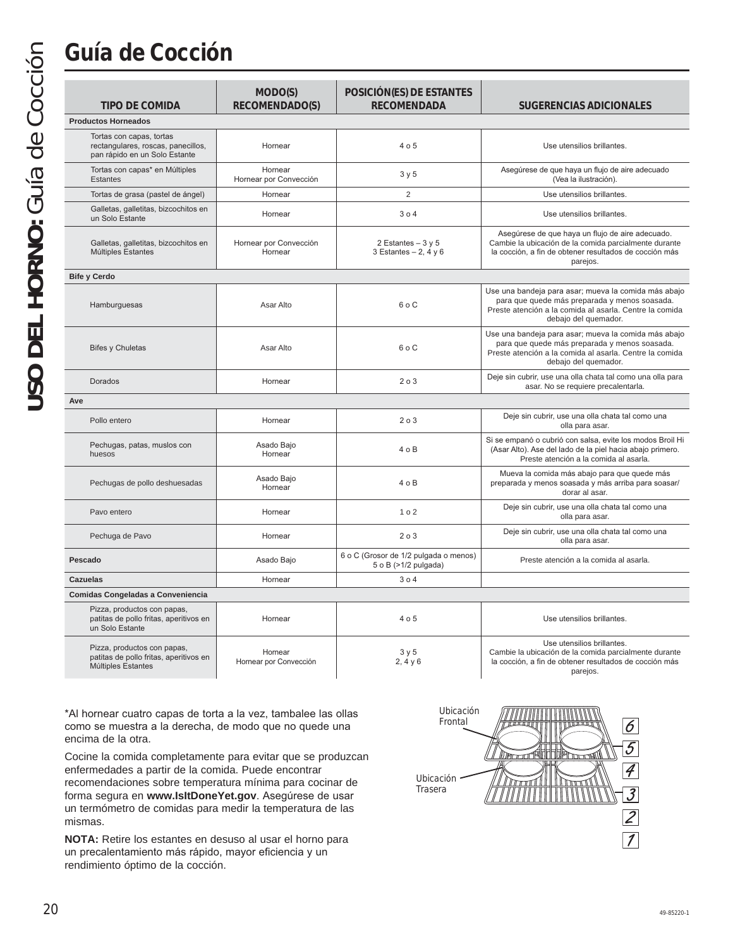# **Guía de Cocción**

| <b>TIPO DE COMIDA</b>                                                                           | MODO(S)<br>RECOMENDADO(S)         | POSICIÓN(ES) DE ESTANTES<br><b>RECOMENDADA</b>                | SUGERENCIAS ADICIONALES                                                                                                                                                                  |
|-------------------------------------------------------------------------------------------------|-----------------------------------|---------------------------------------------------------------|------------------------------------------------------------------------------------------------------------------------------------------------------------------------------------------|
| <b>Productos Horneados</b>                                                                      |                                   |                                                               |                                                                                                                                                                                          |
| Tortas con capas, tortas<br>rectangulares, roscas, panecillos,<br>pan rápido en un Solo Estante | Hornear                           | 4 o 5                                                         | Use utensilios brillantes.                                                                                                                                                               |
| Tortas con capas* en Múltiples<br><b>Estantes</b>                                               | Hornear<br>Hornear por Convección | 3y5                                                           | Asegúrese de que haya un flujo de aire adecuado<br>(Vea la ilustración).                                                                                                                 |
| Tortas de grasa (pastel de ángel)                                                               | Hornear                           | $\overline{2}$                                                | Use utensilios brillantes.                                                                                                                                                               |
| Galletas, galletitas, bizcochitos en<br>un Solo Estante                                         | Hornear                           | 304                                                           | Use utensilios brillantes.                                                                                                                                                               |
| Galletas, galletitas, bizcochitos en<br>Múltiples Estantes                                      | Hornear por Convección<br>Hornear | 2 Estantes $-3y5$<br>3 Estantes $-2$ , 4 y 6                  | Asegúrese de que haya un flujo de aire adecuado.<br>Cambie la ubicación de la comida parcialmente durante<br>la cocción, a fin de obtener resultados de cocción más<br>pareios.          |
| <b>Bife y Cerdo</b>                                                                             |                                   |                                                               |                                                                                                                                                                                          |
| Hamburguesas                                                                                    | Asar Alto                         | $6o$ C                                                        | Use una bandeja para asar; mueva la comida más abajo<br>para que quede más preparada y menos soasada.<br>Preste atención a la comida al asarla. Centre la comida<br>debajo del quemador. |
| <b>Bifes y Chuletas</b>                                                                         | Asar Alto                         | 6 <sub>0</sub>                                                | Use una bandeja para asar; mueva la comida más abajo<br>para que quede más preparada y menos soasada.<br>Preste atención a la comida al asarla. Centre la comida<br>debajo del quemador. |
| Dorados                                                                                         | Hornear                           | 203                                                           | Deje sin cubrir, use una olla chata tal como una olla para<br>asar. No se requiere precalentarla.                                                                                        |
| Ave                                                                                             |                                   |                                                               |                                                                                                                                                                                          |
| Pollo entero                                                                                    | Hornear                           | 203                                                           | Deje sin cubrir, use una olla chata tal como una<br>olla para asar.                                                                                                                      |
| Pechugas, patas, muslos con<br>huesos                                                           | Asado Bajo<br>Hornear             | 40B                                                           | Si se empanó o cubrió con salsa, evite los modos Broil Hi<br>(Asar Alto). Ase del lado de la piel hacia abajo primero.<br>Preste atención a la comida al asarla.                         |
| Pechugas de pollo deshuesadas                                                                   | Asado Bajo<br>Hornear             | 4 o B                                                         | Mueva la comida más abajo para que quede más<br>preparada y menos soasada y más arriba para soasar/<br>dorar al asar.                                                                    |
| Pavo entero                                                                                     | Hornear                           | 1 <sub>0</sub> 2                                              | Deje sin cubrir, use una olla chata tal como una<br>olla para asar.                                                                                                                      |
| Pechuga de Pavo                                                                                 | Hornear                           | 203                                                           | Deje sin cubrir, use una olla chata tal como una<br>olla para asar.                                                                                                                      |
| Pescado                                                                                         | Asado Bajo                        | 6 o C (Grosor de 1/2 pulgada o menos)<br>5 o B (>1/2 pulgada) | Preste atención a la comida al asarla.                                                                                                                                                   |
| <b>Cazuelas</b>                                                                                 | Hornear                           | 304                                                           |                                                                                                                                                                                          |
| Comidas Congeladas a Conveniencia                                                               |                                   |                                                               |                                                                                                                                                                                          |
| Pizza, productos con papas,<br>patitas de pollo fritas, aperitivos en<br>un Solo Estante        | Hornear                           | 4 o 5                                                         | Use utensilios brillantes.                                                                                                                                                               |
| Pizza, productos con papas,<br>patitas de pollo fritas, aperitivos en<br>Múltiples Estantes     | Hornear<br>Hornear por Convección | 3y5<br>2, 4, 9, 6                                             | Use utensilios brillantes.<br>Cambie la ubicación de la comida parcialmente durante<br>la cocción, a fin de obtener resultados de cocción más<br>pareios.                                |

\*Al hornear cuatro capas de torta a la vez, tambalee las ollas como se muestra a la derecha, de modo que no quede una encima de la otra.

Cocine la comida completamente para evitar que se produzcan enfermedades a partir de la comida. Puede encontrar recomendaciones sobre temperatura mínima para cocinar de forma segura en www.IsItDoneYet.gov. Asegúrese de usar un termómetro de comidas para medir la temperatura de las mismas.

**NOTA:** Retire los estantes en desuso al usar el horno para un precalentamiento más rápido, mayor eficiencia y un rendimiento óptimo de la cocción.

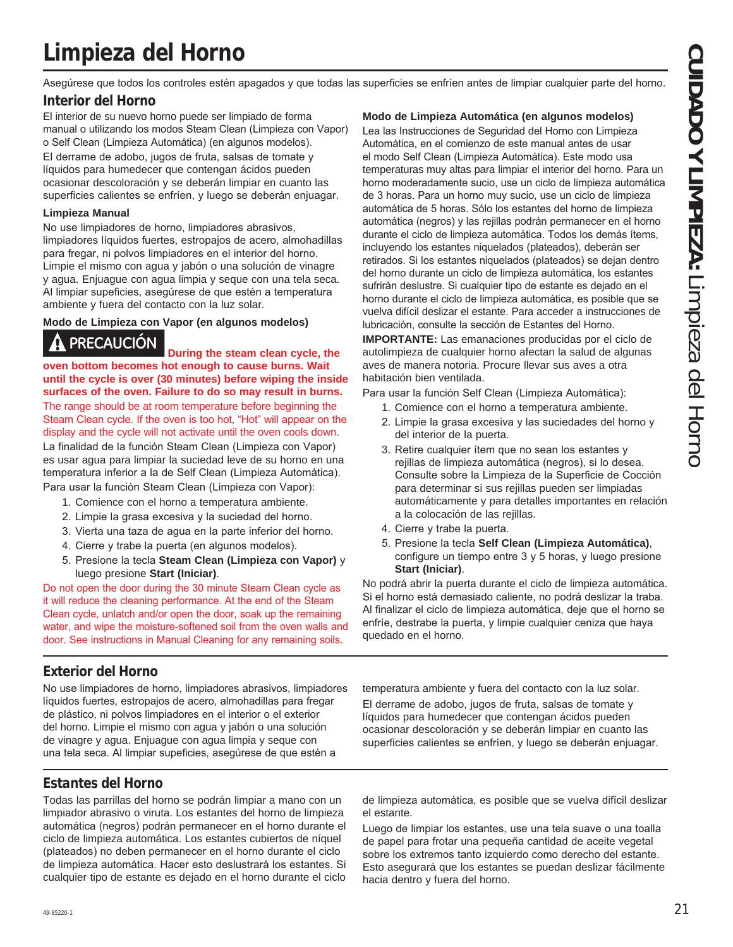# **Limpieza del Horno**

Asegúrese que todos los controles estén apagados y que todas las superficies se enfríen antes de limpiar cualquier parte del horno.

### **Interior del Horno**

El interior de su nuevo horno puede ser limpiado de forma manual o utilizando los modos Steam Clean (Limpieza con Vapor) o Self Clean (Limpieza Automática) (en algunos modelos). El derrame de adobo, jugos de fruta, salsas de tomate y líquidos para humedecer que contengan ácidos pueden ocasionar descoloración y se deberán limpiar en cuanto las superficies calientes se enfríen, y luego se deberán enjuagar.

### **Limpieza Manual**

No use limpiadores de horno. limpiadores abrasivos. limpiadores líquidos fuertes, estropajos de acero, almohadillas para fregar, ni polvos limpiadores en el interior del horno. Limpie el mismo con agua y jabón o una solución de vinagre y agua. Enjuague con agua limpia y seque con una tela seca. Al limpiar supeficies, asegúrese de que estén a temperatura ambiente y fuera del contacto con la luz solar.

### **Modo de Limpieza con Vapor (en algunos modelos)**

**PRECAUCIÓN During the steam clean cycle, the oven bottom becomes hot enough to cause burns. Wait until the cycle is over (30 minutes) before wiping the inside surfaces of the oven. Failure to do so may result in burns.** The range should be at room temperature before beginning the Steam Clean cycle. If the oven is too hot, "Hot" will appear on the display and the cycle will not activate until the oven cools down.

La finalidad de la función Steam Clean (Limpieza con Vapor) es usar agua para limpiar la suciedad leve de su horno en una temperatura inferior a la de Self Clean (Limpieza Automática).

Para usar la función Steam Clean (Limpieza con Vapor):

- 1. Comience con el horno a temperatura ambiente.
- 2. Limpie la grasa excesiva y la suciedad del horno.
- 3. Vierta una taza de agua en la parte inferior del horno.
- 4. Cierre y trabe la puerta (en algunos modelos).
- 5. Presione la tecla Steam Clean (Limpieza con Vapor) y luego presione **Start (Iniciar)**.

Do not open the door during the 30 minute Steam Clean cycle as it will reduce the cleaning performance. At the end of the Steam Clean cycle, unlatch and/or open the door, soak up the remaining water, and wipe the moisture-softened soil from the oven walls and door. See instructions in Manual Cleaning for any remaining soils.

### **Modo de Limpieza Automática (en algunos modelos)**

Lea las Instrucciones de Sequridad del Horno con Limpieza Automática, en el comienzo de este manual antes de usar el modo Self Clean (Limpieza Automática). Este modo usa temperaturas muy altas para limpiar el interior del horno. Para un horno moderadamente sucio, use un ciclo de limpieza automática de 3 horas. Para un horno muy sucio, use un ciclo de limpieza automática de 5 horas. Sólo los estantes del horno de limpieza automática (negros) y las reiillas podrán permanecer en el horno durante el ciclo de limpieza automática. Todos los demás ítems, incluyendo los estantes niquelados (plateados), deberán ser retirados. Si los estantes niquelados (plateados) se dejan dentro del horno durante un ciclo de limpieza automática, los estantes sufrirán deslustre. Si cualquier tipo de estante es dejado en el horno durante el ciclo de limpieza automática, es posible que se vuelva difícil deslizar el estante. Para acceder a instrucciones de lubricación, consulte la sección de Estantes del Horno.

**IMPORTANTE:** Las emanaciones producidas por el ciclo de autolimpieza de cualquier horno afectan la salud de algunas aves de manera notoria. Procure llevar sus aves a otra habitación bien ventilada.

- Para usar la función Self Clean (Limpieza Automática):
	- 1. Comience con el horno a temperatura ambiente.
	- 2. Limpie la grasa excesiva y las suciedades del horno y del interior de la puerta.
	- 3. Retire cualquier item que no sean los estantes y rejillas de limpieza automática (negros), si lo desea. Consulte sobre la Limpieza de la Superficie de Cocción para determinar si sus rejillas pueden ser limpiadas automáticamente y para detalles importantes en relación a la colocación de las rejillas.
	- 4. Cierre y trabe la puerta.
	- 5. Presione la tecla Self Clean (Limpieza Automática), configure un tiempo entre  $3 \text{ y } 5$  horas, y luego presione **Start (Iniciar)**.

No podrá abrir la puerta durante el ciclo de limpieza automática. Si el horno está demasiado caliente, no podrá deslizar la traba. Al finalizar el ciclo de limpieza automática, deje que el horno se enfríe, destrabe la puerta, y limpie cualquier ceniza que haya quedado en el horno.

### **Exterior del Horno**

No use limpiadores de horno, limpiadores abrasivos, limpiadores líquidos fuertes, estropajos de acero, almohadillas para fregar de plástico, ni polvos limpiadores en el interior o el exterior del horno. Limpie el mismo con agua y jabón o una solución de vinagre y agua. Enjuague con agua limpia y seque con una tela seca. Al limpiar supeficies, asegúrese de que estén a

temperatura ambiente y fuera del contacto con la luz solar. El derrame de adobo, jugos de fruta, salsas de tomate y líquidos para humedecer que contengan ácidos pueden ocasionar descoloración y se deberán limpiar en cuanto las superficies calientes se enfríen, y luego se deberán enjuagar.

### **Estantes del Horno**

Todas las parrillas del horno se podrán limpiar a mano con un limpiador abrasivo o viruta. Los estantes del horno de limpieza automática (negros) podrán permanecer en el horno durante el ciclo de limpieza automática. Los estantes cubiertos de níquel (plateados) no deben permanecer en el horno durante el ciclo de limpieza automática. Hacer esto deslustrará los estantes. Si cualquier tipo de estante es dejado en el horno durante el ciclo de limpieza automática, es posible que se vuelva difícil deslizar el estante.

Luego de limpiar los estantes, use una tela suave o una toalla de papel para frotar una pequeña cantidad de aceite vegetal sobre los extremos tanto izquierdo como derecho del estante. Esto asegurará que los estantes se puedan deslizar fácilmente hacia dentro y fuera del horno.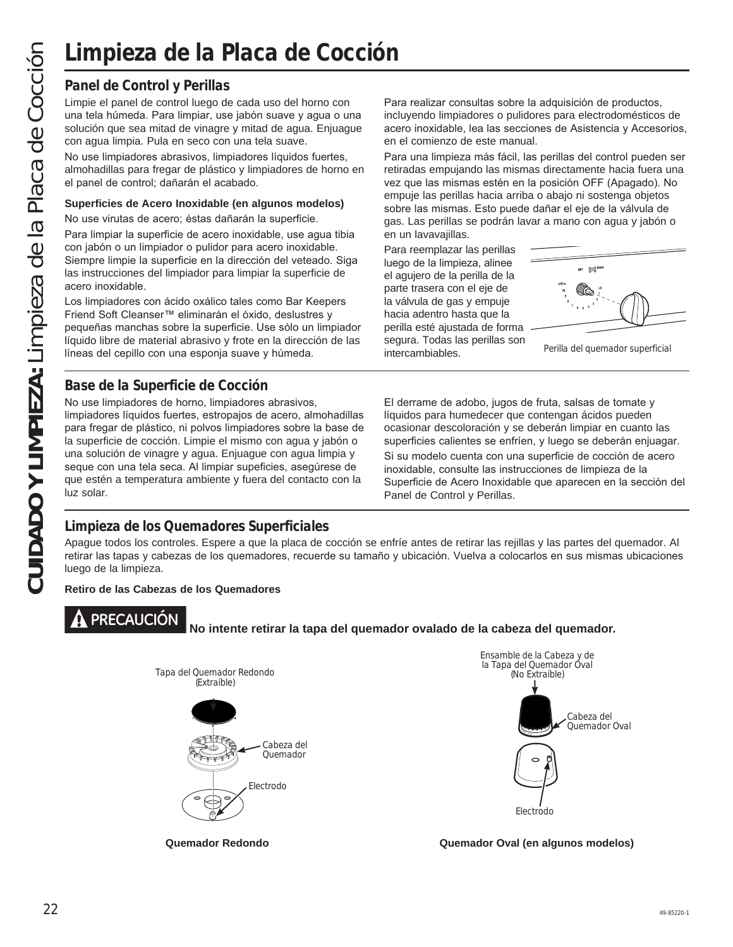### **Panel de Control y Perillas**

Limpie el panel de control luego de cada uso del horno con una tela húmeda. Para limpiar, use jabón suave y agua o una solución que sea mitad de vinagre y mitad de agua. Enjuague con agua limpia. Pula en seco con una tela suave.

No use limpiadores abrasivos, limpiadores líquidos fuertes, almohadillas para fregar de plástico y limpiadores de horno en el panel de control; dañarán el acabado.

### **Superficies de Acero Inoxidable (en algunos modelos)**

No use virutas de acero; éstas dañarán la superficie.

Para limpiar la superficie de acero inoxidable, use agua tibia con jabón o un limpiador o pulidor para acero inoxidable. Siempre limpie la superficie en la dirección del veteado. Siga las instrucciones del limpiador para limpiar la superficie de acero inoxidable.

Los limpiadores con ácido oxálico tales como Bar Keepers Friend Soft Cleanser™ eliminarán el óxido, deslustres y pequeñas manchas sobre la superficie. Use sólo un limpiador líquido libre de material abrasivo y frote en la dirección de las líneas del cepillo con una esponja suave y húmeda.

**Base de la Superficie de Cocción**

No use limpiadores de horno, limpiadores abrasivos, limpiadores líquidos fuertes, estropajos de acero, almohadillas para fregar de plástico, ni polvos limpiadores sobre la base de la superficie de cocción. Limpie el mismo con agua y jabón o una solución de vinagre y agua. Enjuague con agua limpia y seque con una tela seca. Al limpiar supeficies, asegúrese de que estén a temperatura ambiente y fuera del contacto con la luz solar.

Para realizar consultas sobre la adquisición de productos, incluyendo limpiadores o pulidores para electrodomésticos de acero inoxidable, lea las secciones de Asistencia y Accesorios, en el comienzo de este manual.

Para una limpieza más fácil, las perillas del control pueden ser retiradas empujando las mismas directamente hacia fuera una vez que las mismas estén en la posición OFF (Apagado). No empuje las perillas hacia arriba o abajo ni sostenga objetos sobre las mismas. Esto puede dañar el eje de la válvula de gas. Las perillas se podrán lavar a mano con agua y jabón o en un lavavajillas.

Para reemplazar las perillas luego de la limpieza, alinee el agujero de la perilla de la parte trasera con el eje de la válvula de gas y empuje hacia adentro hasta que la perilla esté ajustada de forma segura. Todas las perillas son intercambiables.



Perilla del quemador superficial

El derrame de adobo, jugos de fruta, salsas de tomate y líquidos para humedecer que contengan ácidos pueden ocasionar descoloración y se deberán limpiar en cuanto las superficies calientes se enfríen, y luego se deberán enjuagar. Si su modelo cuenta con una superficie de cocción de acero inoxidable, consulte las instrucciones de limpieza de la Superficie de Acero Inoxidable que aparecen en la sección del Panel de Control y Perillas.

### **Limpieza de los Quemadores Superficiales**

Apague todos los controles. Espere a que la placa de cocción se enfríe antes de retirar las rejillas y las partes del quemador. Al retirar las tapas y cabezas de los quemadores, recuerde su tamaño y ubicación. Vuelva a colocarlos en sus mismas ubicaciones luego de la limpieza.

**Retiro de las Cabezas de los Quemadores**



# **PRECAUCIÓN No intente retirar la tapa del quemador ovalado de la cabeza del quemador.**





**Quemador Redondo Quemador Oval (en algunos modelos)**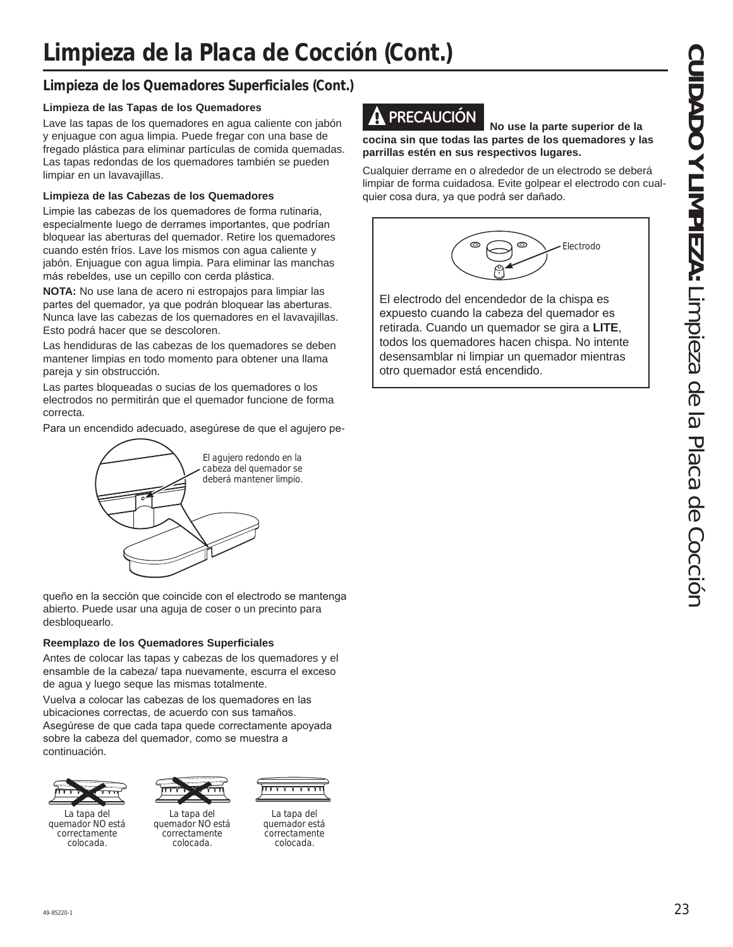### **Limpieza de los Quemadores Superficiales (Cont.)**

### **Limpieza de las Tapas de los Quemadores**

Lave las tapas de los quemadores en agua caliente con jabón y enjuague con agua limpia. Puede fregar con una base de fregado plástica para eliminar partículas de comida quemadas. Las tapas redondas de los quemadores también se pueden limpiar en un lavavajillas.

### **Limpieza de las Cabezas de los Quemadores**

Limpie las cabezas de los quemadores de forma rutinaria, especialmente luego de derrames importantes, que podrían bloquear las aberturas del quemador. Retire los quemadores cuando estén fríos. Lave los mismos con agua caliente y jabón. Enjuague con agua limpia. Para eliminar las manchas más rebeldes, use un cepillo con cerda plástica.

**NOTA:** No use lana de acero ni estropajos para limpiar las partes del quemador, ya que podrán bloquear las aberturas. Nunca lave las cabezas de los quemadores en el lavavajillas. Esto podrá hacer que se descoloren.

Las hendiduras de las cabezas de los quemadores se deben mantener limpias en todo momento para obtener una llama pareja y sin obstrucción.

Las partes bloqueadas o sucias de los quemadores o los electrodos no permitirán que el quemador funcione de forma correcta.

Para un encendido adecuado, asegúrese de que el agujero pe-



queño en la sección que coincide con el electrodo se mantenga abierto. Puede usar una aguja de coser o un precinto para desbloquearlo.

### **Reemplazo de los Quemadores Superficiales**

Antes de colocar las tapas y cabezas de los quemadores y el ensamble de la cabeza/ tapa nuevamente, escurra el exceso de agua y luego seque las mismas totalmente.

Vuelva a colocar las cabezas de los quemadores en las ubicaciones correctas, de acuerdo con sus tamaños. Asegúrese de que cada tapa quede correctamente apoyada sobre la cabeza del quemador, como se muestra a continuación.



La tapa del quemador NO está correctamente colocada.



La tapa del quemador NO está correctamente colocada.



La tapa del quemador está correctamente colocada.

# **PRECAUCIÓN No use la parte superior de la**

**cocina sin que todas las partes de los quemadores y las parrillas estén en sus respectivos lugares.**

Cualquier derrame en o alrededor de un electrodo se deberá limpiar de forma cuidadosa. Evite golpear el electrodo con cualquier cosa dura, ya que podrá ser dañado.



El electrodo del encendedor de la chispa es expuesto cuando la cabeza del quemador es retirada. Cuando un quemador se gira a **LITE** todos los quemadores hacen chispa. No intente desensamblar ni limpiar un quemador mientras otro quemador está encendido.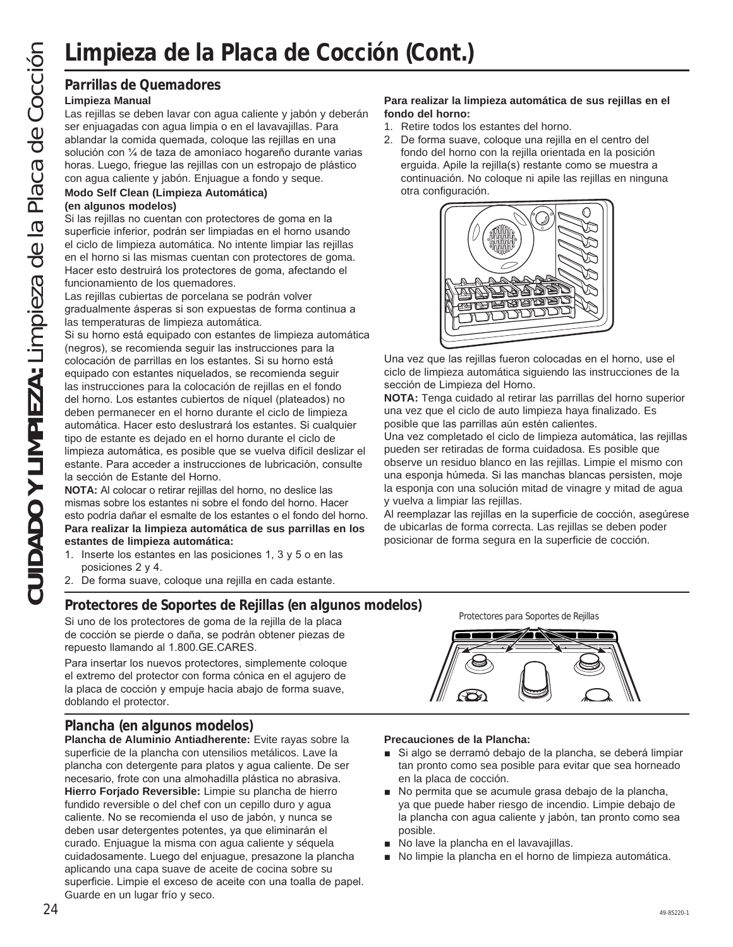### **Parrillas de Quemadores**

### **Limpieza Manual**

Las rejillas se deben lavar con agua caliente y jabón y deberán ser enjuagadas con agua limpia o en el lavavajillas. Para ablandar la comida quemada, coloque las rejillas en una solución con 1/4 de taza de amoníaco hogareño durante varias horas. Luego, friegue las rejillas con un estropajo de plástico con agua caliente y jabón. Enjuague a fondo y seque.

### **Modo Self Clean (Limpieza Automática)**

### **(en algunos modelos)**

Si las rejillas no cuentan con protectores de goma en la superficie inferior, podrán ser limpiadas en el horno usando el ciclo de limpieza automática. No intente limpiar las rejillas en el horno si las mismas cuentan con protectores de goma. Hacer esto destruirá los protectores de goma, afectando el funcionamiento de los quemadores.

Las rejillas cubiertas de porcelana se podrán volver gradualmente ásperas si son expuestas de forma continua a las temperaturas de limpieza automática.

Si su horno está equipado con estantes de limpieza automática (negros), se recomienda seguir las instrucciones para la colocación de parrillas en los estantes. Si su horno está equipado con estantes niquelados, se recomienda seguir las instrucciones para la colocación de rejillas en el fondo del horno. Los estantes cubiertos de níquel (plateados) no deben permanecer en el horno durante el ciclo de limpieza automática. Hacer esto deslustrará los estantes. Si cualquier tipo de estante es dejado en el horno durante el ciclo de limpieza automática, es posible que se vuelva difícil deslizar el estante. Para acceder a instrucciones de lubricación, consulte la sección de Estante del Horno.

**NOTA:** Al colocar o retirar rejillas del horno, no deslice las mismas sobre los estantes ni sobre el fondo del horno. Hacer esto podría dañar el esmalte de los estantes o el fondo del horno. **Para realizar la limpieza automática de sus parrillas en los estantes de limpieza automática:**

- 1. Inserte los estantes en las posiciones 1, 3 y 5 o en las posiciones  $2 \text{ y } 4$ .
- 2. De forma suave, coloque una rejilla en cada estante.

### **Protectores de Soportes de Rejillas (en algunos modelos)**

Si uno de los protectores de goma de la rejilla de la placa de cocción se pierde o daña, se podrán obtener piezas de repuesto llamando al 1.800.GE.CARES.

Para insertar los nuevos protectores, simplemente coloque el extremo del protector con forma cónica en el agujero de la placa de cocción y empuje hacia abajo de forma suave, doblando el protector.

### **Plancha (en algunos modelos)**

**Plancha de Aluminio Antiadherente:** Evite rayas sobre la superficie de la plancha con utensilios metálicos. Lave la plancha con detergente para platos y agua caliente. De ser necesario, frote con una almohadilla plástica no abrasiva. **Hierro Forjado Reversible:** Limpie su plancha de hierro fundido reversible o del chef con un cepillo duro y agua caliente. No se recomienda el uso de jabón, y nunca se deben usar detergentes potentes, ya que eliminarán el curado. Enjuague la misma con agua caliente y séquela cuidadosamente. Luego del enjuague, presazone la plancha aplicando una capa suave de aceite de cocina sobre su superficie. Limpie el exceso de aceite con una toalla de papel. Guarde en un lugar frío y seco.

### **Para realizar la limpieza automática de sus rejillas en el fondo del horno:**

- 1. Retire todos los estantes del horno.
- 2. De forma suave, coloque una rejilla en el centro del fondo del horno con la rejilla orientada en la posición erguida. Apile la rejilla(s) restante como se muestra a continuación. No coloque ni apile las rejillas en ninguna otra configuración.



Una vez que las rejillas fueron colocadas en el horno, use el ciclo de limpieza automática siguiendo las instrucciones de la sección de Limpieza del Horno.

**NOTA:** Tenga cuidado al retirar las parrillas del horno superior una vez que el ciclo de auto limpieza haya finalizado. Es posible que las parrillas aún estén calientes.

Una vez completado el ciclo de limpieza automática, las rejillas pueden ser retiradas de forma cuidadosa. Es posible que observe un residuo blanco en las rejillas. Limpie el mismo con una esponja húmeda. Si las manchas blancas persisten, moje la esponja con una solución mitad de vinagre y mitad de agua y vuelva a limpiar las rejillas.

Al reemplazar las rejillas en la superficie de cocción, asegúrese de ubicarlas de forma correcta. Las rejillas se deben poder posicionar de forma segura en la superficie de cocción.

Protectores para Soportes de Rejillas

### **Precauciones de la Plancha:**

- Si algo se derramó debajo de la plancha, se deberá limpiar tan pronto como sea posible para evitar que sea horneado en la placa de cocción.
- No permita que se acumule grasa debajo de la plancha, ya que puede haber riesgo de incendio. Limpie debajo de la plancha con agua caliente y jabón, tan pronto como sea posible.
- No lave la plancha en el lavavajillas.
- No limpie la plancha en el horno de limpieza automática.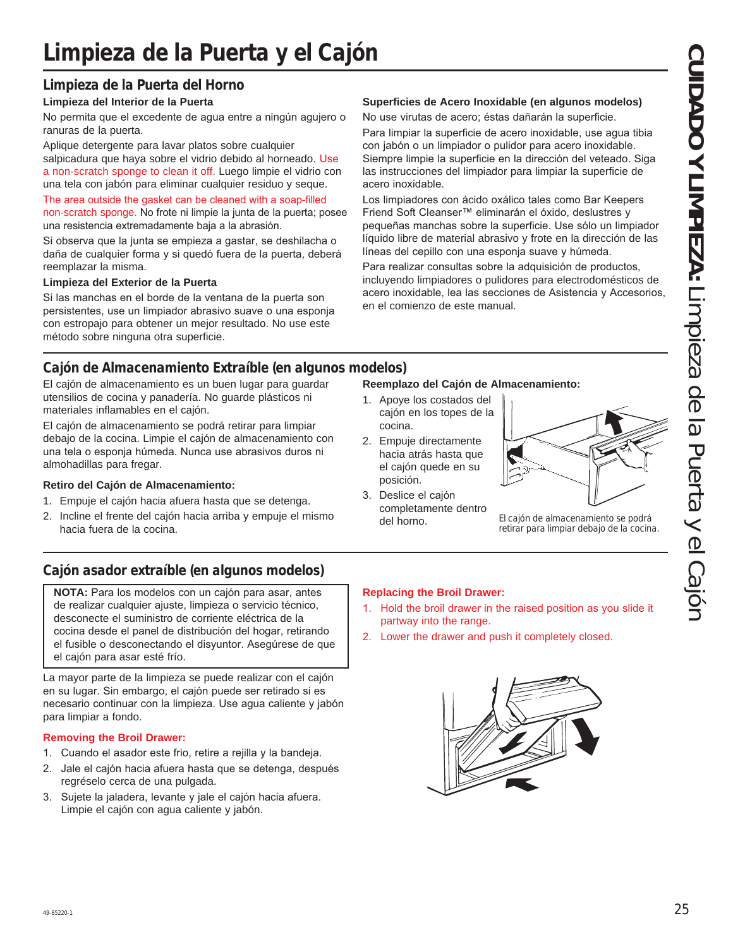# **Limpieza de la Puerta y el Cajón**

### **Limpieza de la Puerta del Horno**

### **Limpieza del Interior de la Puerta**

No permita que el excedente de agua entre a ningún agujero o ranuras de la puerta.

Aplique detergente para lavar platos sobre cualquier salpicadura que haya sobre el vidrio debido al horneado. Use a non-scratch sponge to clean it off. Luego limpie el vidrio con una tela con jabón para eliminar cualquier residuo y seque.

The area outside the gasket can be cleaned with a soap-filled non-scratch sponge. No frote ni limpie la junta de la puerta; posee una resistencia extremadamente baja a la abrasión.

Si observa que la junta se empieza a gastar, se deshilacha o daña de cualquier forma y si quedó fuera de la puerta, deberá reemplazar la misma.

### **Limpieza del Exterior de la Puerta**

Si las manchas en el borde de la ventana de la puerta son persistentes, use un limpiador abrasivo suave o una esponja con estropajo para obtener un mejor resultado. No use este método sobre ninguna otra superficie.

### **Superficies de Acero Inoxidable (en algunos modelos)**

No use virutas de acero; éstas dañarán la superficie.

Para limpiar la superficie de acero inoxidable, use agua tibia con jabón o un limpiador o pulidor para acero inoxidable. Siempre limpie la superficie en la dirección del veteado. Siga las instrucciones del limpiador para limpiar la superficie de acero inoxidable.

Los limpiadores con ácido oxálico tales como Bar Keepers Friend Soft Cleanser<sup>™</sup> eliminarán el óxido, deslustres y pequeñas manchas sobre la superficie. Use sólo un limpiador líquido libre de material abrasivo y frote en la dirección de las líneas del cepillo con una esponja suave y húmeda.

Para realizar consultas sobre la adquisición de productos, incluyendo limpiadores o pulidores para electrodomésticos de acero inoxidable, lea las secciones de Asistencia y Accesorios, en el comienzo de este manual.

### **Cajón de Almacenamiento Extraíble (en algunos modelos)**

El cajón de almacenamiento es un buen lugar para guardar utensilios de cocina y panadería. No guarde plásticos ni materiales inflamables en el cajón.

El cajón de almacenamiento se podrá retirar para limpiar debajo de la cocina. Limpie el cajón de almacenamiento con una tela o esponja húmeda. Nunca use abrasivos duros ni almohadillas para fregar.

### **Retiro del Cajón de Almacenamiento:**

- 1. Empuje el cajón hacia afuera hasta que se detenga.
- 2. Incline el frente del cajón hacia arriba y empuje el mismo hacia fuera de la cocina.

### **Cajón asador extraíble (en algunos modelos)**

**NOTA:** Para los modelos con un cajón para asar, antes de realizar cualquier ajuste, limpieza o servicio técnico, desconecte el suministro de corriente eléctrica de la cocina desde el panel de distribución del hogar, retirando el fusible o desconectando el disyuntor. Asegúrese de que el cajón para asar esté frío.

La mayor parte de la limpieza se puede realizar con el cajón en su lugar. Sin embargo, el cajón puede ser retirado si es necesario continuar con la limpieza. Use agua caliente y jabón para limpiar a fondo.

### **Removing the Broil Drawer:**

- 1. Cuando el asador este frio, retire a rejilla y la bandeja.
- 2. Jale el cajón hacia afuera hasta que se detenga, después regréselo cerca de una pulgada.
- 3. Sujete la jaladera, levante y jale el cajón hacia afuera. Limpie el cajón con agua caliente y jabón.

### **Reemplazo del Cajón de Almacenamiento:**

- 1. Apoye los costados del cajón en los topes de la cocina.
- 2. Empuje directamente hacia atrás hasta que el cajón quede en su posición.
- 3. Deslice el cajón completamente dentro



del horno. El cajón de almacenamiento se podrá retirar para limpiar debajo de la cocina.

### **Replacing the Broil Drawer:**

- 1. Hold the broil drawer in the raised position as you slide it partway into the range.
- 2. Lower the drawer and push it completely closed.

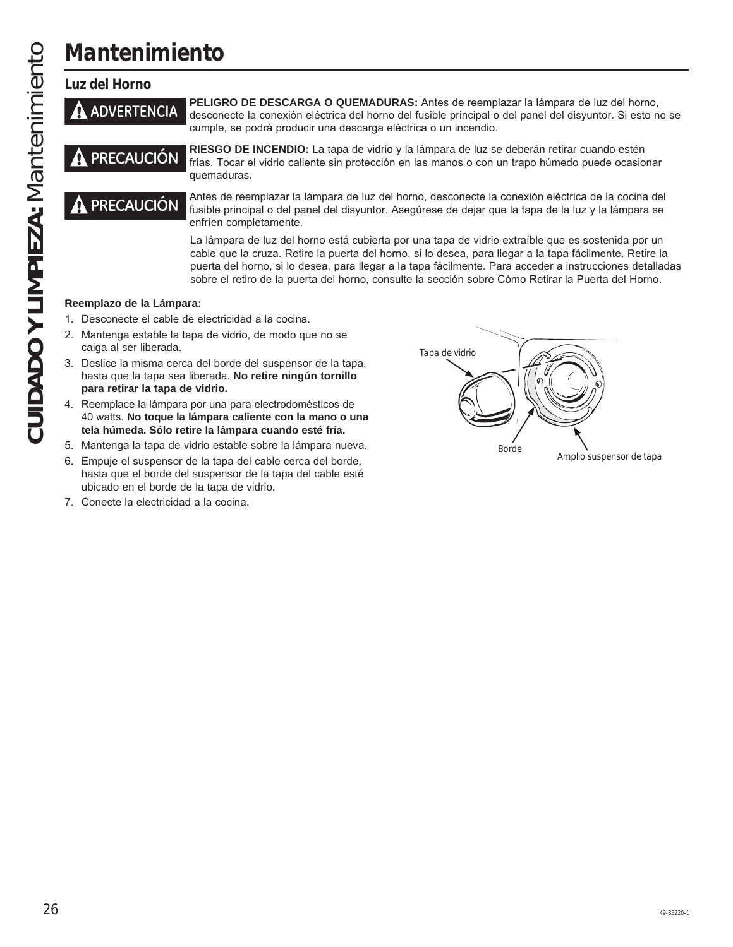# **CUIDADO Y LIMPIEZA:** Mantenimiento **CUIDADO Y LIMPIEZA: Mantenimiento**

**Mantenimiento**

### **Luz del Horno**



**ADVERTENCIA** PELIGRO DE DESCARGA O QUEMADURAS: Antes de reemplazar la lámpara de luz del horno,<br>**ADVERTENCIA** desconecte la conexión eléctrica del horno del fusible principal o del panel del disyuntor. Si esto no se cumple, se podrá producir una descarga eléctrica o un incendio.

**PRECAUCIÓN** RIESGO DE INCENDIO: La tapa de vidrio y la lámpara de luz se deberán retirar cuando estén **PRECAUCIÓN** frías. Tocar el vidrio caliente sin protección en las manos o con un trapo húmedo puede ocasion frías. Tocar el vidrio caliente sin protección en las manos o con un trapo húmedo puede ocasionar quemaduras.



**PRECAUCIÓN** Antes de reemplazar la lámpara de luz del horno, desconecte la conexión eléctrica de la cocina del<br>**PRECAUCIÓN** fusible principal o del panel del disyuntor. Asegúrese de dejar que la tapa de la luz y la lámpar enfríen completamente.

> La lámpara de luz del horno está cubierta por una tapa de vidrio extraíble que es sostenida por un cable que la cruza. Retire la puerta del horno, si lo desea, para llegar a la tapa fácilmente. Retire la puerta del horno, si lo desea, para llegar a la tapa fácilmente. Para acceder a instrucciones detalladas sobre el retiro de la puerta del horno, consulte la sección sobre Cómo Retirar la Puerta del Horno.

### **Reemplazo de la Lámpara:**

- 1. Desconecte el cable de electricidad a la cocina.
- 2. Mantenga estable la tapa de vidrio, de modo que no se caiga al ser liberada.
- 3. Deslice la misma cerca del borde del suspensor de la tapa, hasta que la tapa sea liberada. **No retire ningún tornillo para retirar la tapa de vidrio.**
- 4. Reemplace la lámpara por una para electrodomésticos de 40 watts. No toque la lámpara caliente con la mano o una **tela húmeda. Sólo retire la lámpara cuando esté fría.**
- 5. Mantenga la tapa de vidrio estable sobre la lámpara nueva.
- 6. Empuje el suspensor de la tapa del cable cerca del borde, hasta que el borde del suspensor de la tapa del cable esté ubicado en el borde de la tapa de vidrio.
- 7. Conecte la electricidad a la cocina.

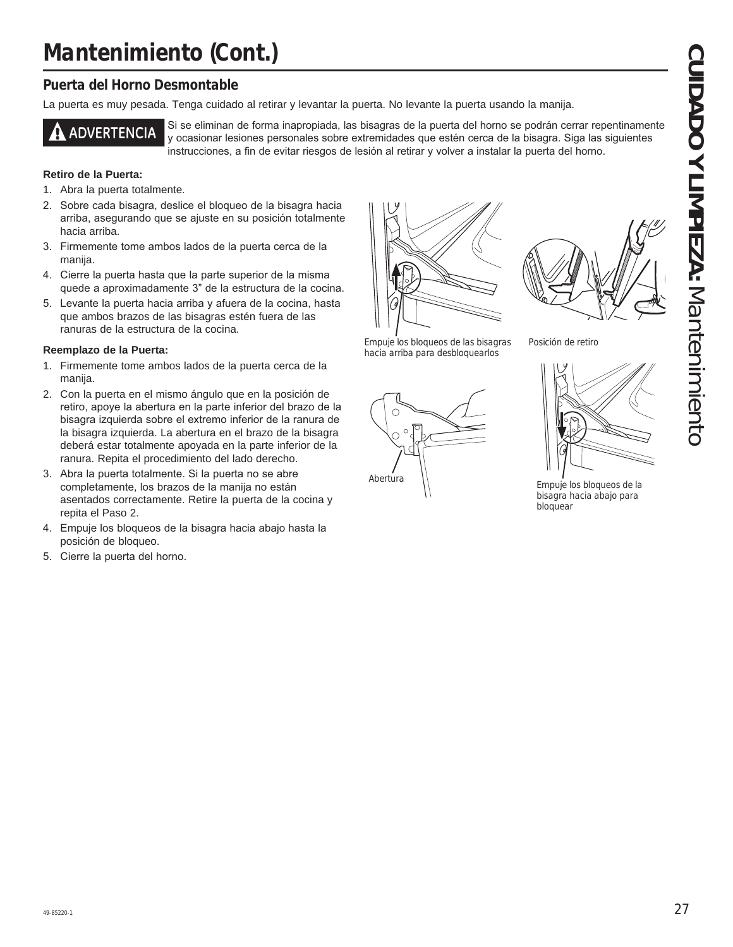# **Mantenimiento (Cont.)**

### **Puerta del Horno Desmontable**

La puerta es muy pesada. Tenga cuidado al retirar y levantar la puerta. No levante la puerta usando la manija.



**ADVERTENCIA** Si se eliminan de forma inapropiada, las bisagras de la puerta del horno se podrán cerrar repentinamente y ocasionar lesiones personales sobre extremidades que estén cerca de la bisagra. Siga las siguientes instrucciones, a fin de evitar riesgos de lesión al retirar y volver a instalar la puerta del horno.

### **Retiro de la Puerta:**

- 1. Abra la puerta totalmente.
- 2. Sobre cada bisagra, deslice el bloqueo de la bisagra hacia arriba, asegurando que se ajuste en su posición totalmente hacia arriba.
- 3. Firmemente tome ambos lados de la puerta cerca de la manija.
- 4. Cierre la puerta hasta que la parte superior de la misma quede a aproximadamente 3" de la estructura de la cocina.
- 5. Levante la puerta hacia arriba y afuera de la cocina, hasta que ambos brazos de las bisagras estén fuera de las ranuras de la estructura de la cocina.

### **Reemplazo de la Puerta:**

- 1. Firmemente tome ambos lados de la puerta cerca de la manija.
- 2. Con la puerta en el mismo ángulo que en la posición de retiro, apoye la abertura en la parte inferior del brazo de la bisagra izquierda sobre el extremo inferior de la ranura de la bisagra izquierda. La abertura en el brazo de la bisagra deberá estar totalmente apoyada en la parte inferior de la ranura. Repita el procedimiento del lado derecho.
- 3. Abra la puerta totalmente. Si la puerta no se abre completamente, los brazos de la manija no están asentados correctamente. Retire la puerta de la cocina y repita el Paso 2.
- 4. Empuje los bloqueos de la bisagra hacia abajo hasta la posición de bloqueo.
- 5. Cierre la puerta del horno.





Empuje los bloqueos de las bisagras hacia arriba para desbloquearlos





Posición de retiro



bisagra hacia abajo para bloquear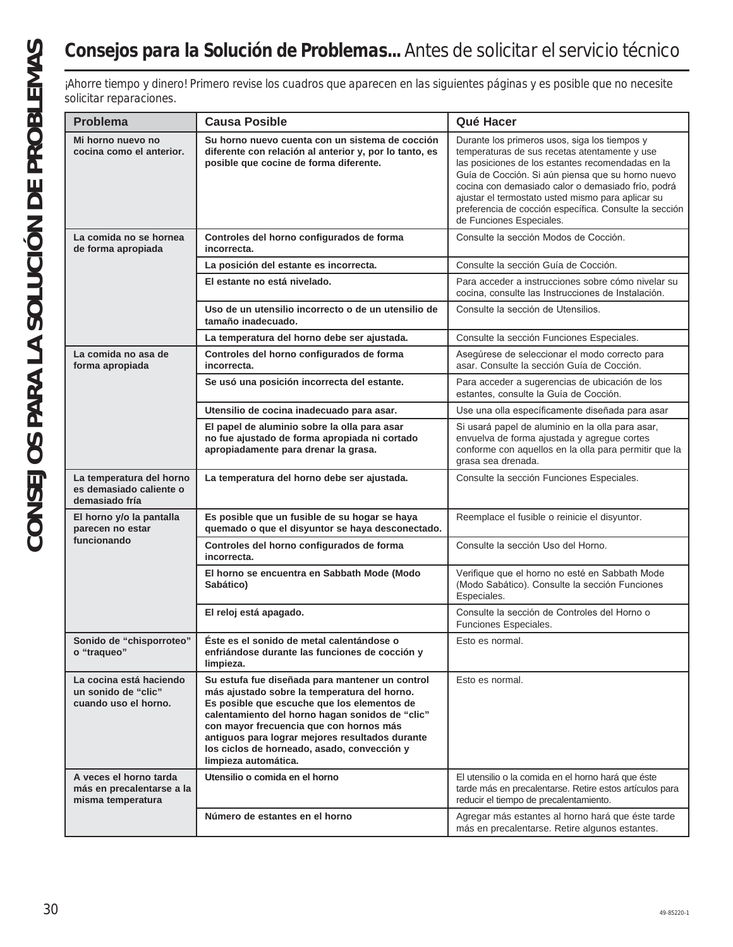# **Consejos para la Solución de Problemas...** Antes de solicitar el servicio técnico

| solicitar reparaciones.                                                  | ¡Ahorre tiempo y dinero! Primero revise los cuadros que aparecen en las siguientes páginas y es posible que no necesite                                                                                                                                                                                                                                                |                                                                                                                                                                                                                                                                                                                                                                                                           |
|--------------------------------------------------------------------------|------------------------------------------------------------------------------------------------------------------------------------------------------------------------------------------------------------------------------------------------------------------------------------------------------------------------------------------------------------------------|-----------------------------------------------------------------------------------------------------------------------------------------------------------------------------------------------------------------------------------------------------------------------------------------------------------------------------------------------------------------------------------------------------------|
| Problema                                                                 | <b>Causa Posible</b>                                                                                                                                                                                                                                                                                                                                                   | Qué Hacer                                                                                                                                                                                                                                                                                                                                                                                                 |
| Mi horno nuevo no<br>cocina como el anterior.                            | Su horno nuevo cuenta con un sistema de cocción<br>diferente con relación al anterior y, por lo tanto, es<br>posible que cocine de forma diferente.                                                                                                                                                                                                                    | Durante los primeros usos, siga los tiempos y<br>temperaturas de sus recetas atentamente y use<br>las posiciones de los estantes recomendadas en la<br>Guía de Cocción. Si aún piensa que su horno nuevo<br>cocina con demasiado calor o demasiado frío, podrá<br>ajustar el termostato usted mismo para aplicar su<br>preferencia de cocción específica. Consulte la sección<br>de Funciones Especiales. |
| La comida no se hornea<br>de forma apropiada                             | Controles del horno configurados de forma<br>incorrecta.                                                                                                                                                                                                                                                                                                               | Consulte la sección Modos de Cocción.                                                                                                                                                                                                                                                                                                                                                                     |
|                                                                          | La posición del estante es incorrecta.                                                                                                                                                                                                                                                                                                                                 | Consulte la sección Guía de Cocción.                                                                                                                                                                                                                                                                                                                                                                      |
|                                                                          | El estante no está nivelado.                                                                                                                                                                                                                                                                                                                                           | Para acceder a instrucciones sobre cómo nivelar su<br>cocina, consulte las Instrucciones de Instalación.                                                                                                                                                                                                                                                                                                  |
|                                                                          | Uso de un utensilio incorrecto o de un utensilio de<br>tamaño inadecuado.                                                                                                                                                                                                                                                                                              | Consulte la sección de Utensilios.                                                                                                                                                                                                                                                                                                                                                                        |
|                                                                          | La temperatura del horno debe ser ajustada.                                                                                                                                                                                                                                                                                                                            | Consulte la sección Funciones Especiales.                                                                                                                                                                                                                                                                                                                                                                 |
| La comida no asa de<br>forma apropiada                                   | Controles del horno configurados de forma<br>incorrecta.                                                                                                                                                                                                                                                                                                               | Asegúrese de seleccionar el modo correcto para<br>asar. Consulte la sección Guía de Cocción.                                                                                                                                                                                                                                                                                                              |
|                                                                          | Se usó una posición incorrecta del estante.                                                                                                                                                                                                                                                                                                                            | Para acceder a sugerencias de ubicación de los<br>estantes, consulte la Guía de Cocción.                                                                                                                                                                                                                                                                                                                  |
|                                                                          | Utensilio de cocina inadecuado para asar.                                                                                                                                                                                                                                                                                                                              | Use una olla específicamente diseñada para asar                                                                                                                                                                                                                                                                                                                                                           |
|                                                                          | El papel de aluminio sobre la olla para asar<br>no fue ajustado de forma apropiada ni cortado<br>apropiadamente para drenar la grasa.                                                                                                                                                                                                                                  | Si usará papel de aluminio en la olla para asar,<br>envuelva de forma ajustada y agregue cortes<br>conforme con aquellos en la olla para permitir que la<br>grasa sea drenada.                                                                                                                                                                                                                            |
| La temperatura del horno<br>es demasiado caliente o<br>demasiado fría    | La temperatura del horno debe ser ajustada.                                                                                                                                                                                                                                                                                                                            | Consulte la sección Funciones Especiales.                                                                                                                                                                                                                                                                                                                                                                 |
| El horno y/o la pantalla<br>parecen no estar                             | Es posible que un fusible de su hogar se haya<br>quemado o que el disyuntor se haya desconectado.                                                                                                                                                                                                                                                                      | Reemplace el fusible o reinicie el disyuntor.                                                                                                                                                                                                                                                                                                                                                             |
| funcionando                                                              | Controles del horno configurados de forma<br>incorrecta.                                                                                                                                                                                                                                                                                                               | Consulte la sección Uso del Horno.                                                                                                                                                                                                                                                                                                                                                                        |
|                                                                          | El horno se encuentra en Sabbath Mode (Modo<br>Sabático)                                                                                                                                                                                                                                                                                                               | Verifique que el horno no esté en Sabbath Mode<br>(Modo Sabático). Consulte la sección Funciones<br>Especiales.                                                                                                                                                                                                                                                                                           |
|                                                                          | El reloj está apagado.                                                                                                                                                                                                                                                                                                                                                 | Consulte la sección de Controles del Horno o<br>Funciones Especiales.                                                                                                                                                                                                                                                                                                                                     |
| Sonido de "chisporroteo"<br>o "traqueo"                                  | Éste es el sonido de metal calentándose o<br>enfriándose durante las funciones de cocción y<br>limpieza.                                                                                                                                                                                                                                                               | Esto es normal.                                                                                                                                                                                                                                                                                                                                                                                           |
| La cocina está haciendo<br>un sonido de "clic"<br>cuando uso el horno.   | Su estufa fue diseñada para mantener un control<br>más ajustado sobre la temperatura del horno.<br>Es posible que escuche que los elementos de<br>calentamiento del horno hagan sonidos de "clic"<br>con mayor frecuencia que con hornos más<br>antiguos para lograr mejores resultados durante<br>los ciclos de horneado, asado, convección y<br>limpieza automática. | Esto es normal.                                                                                                                                                                                                                                                                                                                                                                                           |
| A veces el horno tarda<br>más en precalentarse a la<br>misma temperatura | Utensilio o comida en el horno                                                                                                                                                                                                                                                                                                                                         | El utensilio o la comida en el horno hará que éste<br>tarde más en precalentarse. Retire estos artículos para<br>reducir el tiempo de precalentamiento.                                                                                                                                                                                                                                                   |
|                                                                          | Número de estantes en el horno                                                                                                                                                                                                                                                                                                                                         | Agregar más estantes al horno hará que éste tarde<br>más en precalentarse. Retire algunos estantes.                                                                                                                                                                                                                                                                                                       |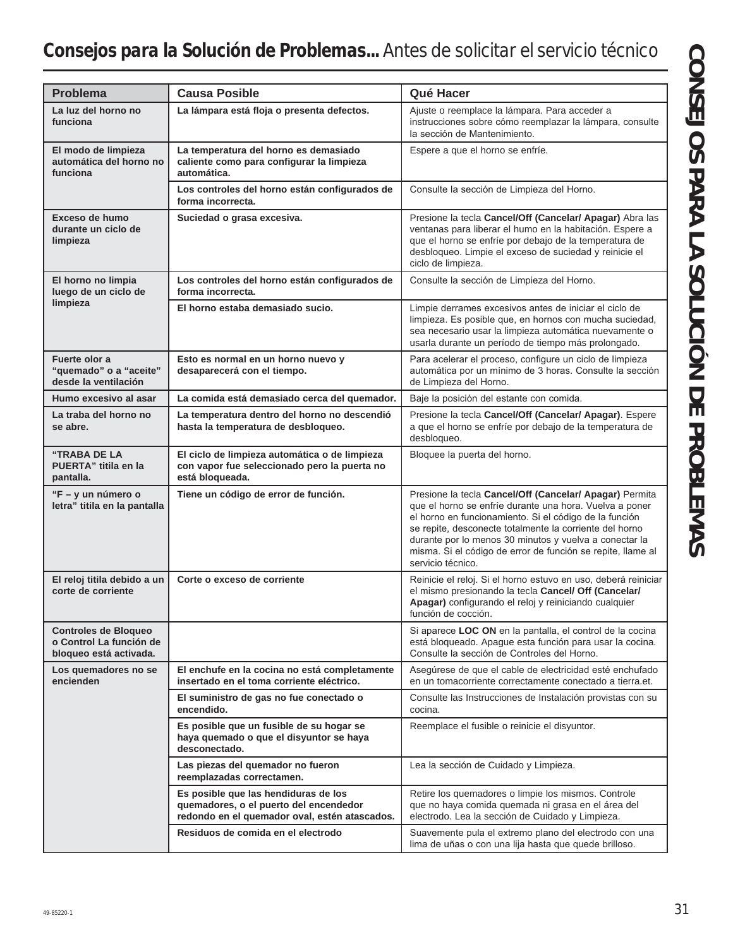# **Consejos para la Solución de Problemas...** Antes de solicitar el servicio técnico

| <b>Problema</b>                                                                  | <b>Causa Posible</b>                                                                                                            | Qué Hacer                                                                                                                                                                                                                                                                                                                                                                             |
|----------------------------------------------------------------------------------|---------------------------------------------------------------------------------------------------------------------------------|---------------------------------------------------------------------------------------------------------------------------------------------------------------------------------------------------------------------------------------------------------------------------------------------------------------------------------------------------------------------------------------|
|                                                                                  |                                                                                                                                 |                                                                                                                                                                                                                                                                                                                                                                                       |
| La luz del horno no<br>funciona                                                  | La lámpara está floja o presenta defectos.                                                                                      | Ajuste o reemplace la lámpara. Para acceder a<br>instrucciones sobre cómo reemplazar la lámpara, consulte<br>la sección de Mantenimiento.                                                                                                                                                                                                                                             |
| El modo de limpieza<br>automática del horno no<br>funciona                       | La temperatura del horno es demasiado<br>caliente como para configurar la limpieza<br>automática.                               | Espere a que el horno se enfríe.                                                                                                                                                                                                                                                                                                                                                      |
|                                                                                  | Los controles del horno están configurados de<br>forma incorrecta.                                                              | Consulte la sección de Limpieza del Horno.                                                                                                                                                                                                                                                                                                                                            |
| Exceso de humo<br>durante un ciclo de<br>limpieza                                | Suciedad o grasa excesiva.                                                                                                      | Presione la tecla Cancel/Off (Cancelar/ Apagar) Abra las<br>ventanas para liberar el humo en la habitación. Espere a<br>que el horno se enfríe por debajo de la temperatura de<br>desbloqueo. Limpie el exceso de suciedad y reinicie el<br>ciclo de limpieza.                                                                                                                        |
| El horno no limpia<br>luego de un ciclo de                                       | Los controles del horno están configurados de<br>forma incorrecta.                                                              | Consulte la sección de Limpieza del Horno.                                                                                                                                                                                                                                                                                                                                            |
| limpieza                                                                         | El horno estaba demasiado sucio.                                                                                                | Limpie derrames excesivos antes de iniciar el ciclo de<br>limpieza. Es posible que, en hornos con mucha suciedad,<br>sea necesario usar la limpieza automática nuevamente o<br>usarla durante un período de tiempo más prolongado.                                                                                                                                                    |
| Fuerte olor a<br>"quemado" o a "aceite"<br>desde la ventilación                  | Esto es normal en un horno nuevo y<br>desaparecerá con el tiempo.                                                               | Para acelerar el proceso, configure un ciclo de limpieza<br>automática por un mínimo de 3 horas. Consulte la sección<br>de Limpieza del Horno.                                                                                                                                                                                                                                        |
| Humo excesivo al asar                                                            | La comida está demasiado cerca del quemador.                                                                                    | Baje la posición del estante con comida.                                                                                                                                                                                                                                                                                                                                              |
| La traba del horno no<br>se abre.                                                | La temperatura dentro del horno no descendió<br>hasta la temperatura de desbloqueo.                                             | Presione la tecla Cancel/Off (Cancelar/ Apagar). Espere<br>a que el horno se enfríe por debajo de la temperatura de<br>desbloqueo.                                                                                                                                                                                                                                                    |
| "TRABA DE LA<br>PUERTA" titila en la<br>pantalla.                                | El ciclo de limpieza automática o de limpieza<br>con vapor fue seleccionado pero la puerta no<br>está bloqueada.                | Bloquee la puerta del horno.                                                                                                                                                                                                                                                                                                                                                          |
| "F - y un número o<br>letra" titila en la pantalla                               | Tiene un código de error de función.                                                                                            | Presione la tecla Cancel/Off (Cancelar/ Apagar) Permita<br>que el horno se enfríe durante una hora. Vuelva a poner<br>el horno en funcionamiento. Si el código de la función<br>se repite, desconecte totalmente la corriente del horno<br>durante por lo menos 30 minutos y vuelva a conectar la<br>misma. Si el código de error de función se repite, llame al<br>servicio técnico. |
| El reloj titila debido a un<br>corte de corriente                                | Corte o exceso de corriente                                                                                                     | Reinicie el reloj. Si el horno estuvo en uso, deberá reiniciar<br>el mismo presionando la tecla Cancel/ Off (Cancelar/<br>Apagar) configurando el reloj y reiniciando cualquier<br>función de cocción.                                                                                                                                                                                |
| <b>Controles de Bloqueo</b><br>o Control La función de<br>bloqueo está activada. |                                                                                                                                 | Si aparece LOC ON en la pantalla, el control de la cocina<br>está bloqueado. Apaque esta función para usar la cocina.<br>Consulte la sección de Controles del Horno.                                                                                                                                                                                                                  |
| Los quemadores no se<br>encienden                                                | El enchufe en la cocina no está completamente<br>insertado en el toma corriente eléctrico.                                      | Asegúrese de que el cable de electricidad esté enchufado<br>en un tomacorriente correctamente conectado a tierra.et.                                                                                                                                                                                                                                                                  |
|                                                                                  | El suministro de gas no fue conectado o<br>encendido.                                                                           | Consulte las Instrucciones de Instalación provistas con su<br>cocina.                                                                                                                                                                                                                                                                                                                 |
|                                                                                  | Es posible que un fusible de su hogar se<br>haya quemado o que el disyuntor se haya<br>desconectado.                            | Reemplace el fusible o reinicie el disyuntor.                                                                                                                                                                                                                                                                                                                                         |
|                                                                                  | Las piezas del quemador no fueron<br>reemplazadas correctamen.                                                                  | Lea la sección de Cuidado y Limpieza.                                                                                                                                                                                                                                                                                                                                                 |
|                                                                                  | Es posible que las hendiduras de los<br>quemadores, o el puerto del encendedor<br>redondo en el quemador oval, estén atascados. | Retire los quemadores o limpie los mismos. Controle<br>que no haya comida quemada ni grasa en el área del<br>electrodo. Lea la sección de Cuidado y Limpieza.                                                                                                                                                                                                                         |
|                                                                                  | Residuos de comida en el electrodo                                                                                              | Suavemente pula el extremo plano del electrodo con una<br>lima de uñas o con una lija hasta que quede brilloso.                                                                                                                                                                                                                                                                       |